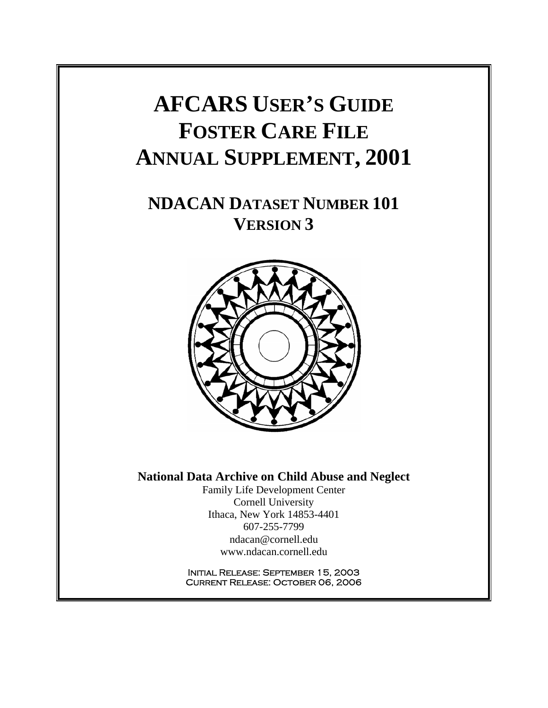## **AFCARS USER'S GUIDE FOSTER CARE FILE ANNUAL SUPPLEMENT, 2001**

## **NDACAN DATASET NUMBER 101 VERSION 3**



#### **National Data Archive on Child Abuse and Neglect**

Family Life Development Center Cornell University Ithaca, New York 14853-4401 607-255-7799 ndacan@cornell.edu www.ndacan.cornell.edu

Initial Release: September 15, 2003 Current Release: October 06, 2006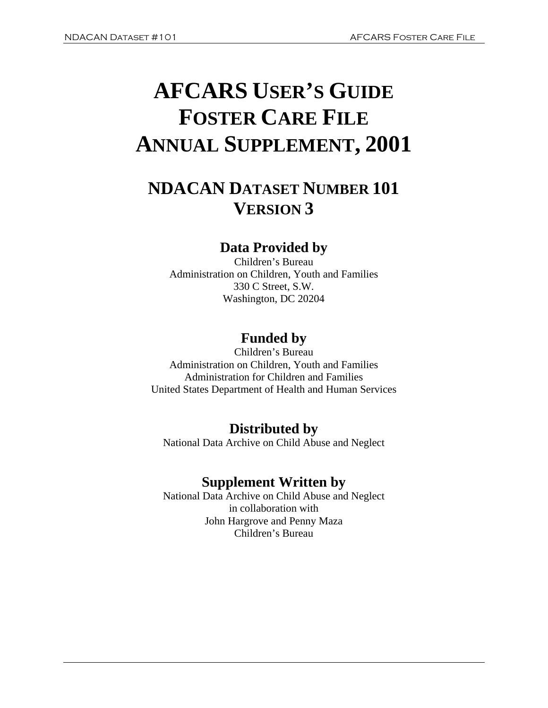# **AFCARS USER'S GUIDE FOSTER CARE FILE ANNUAL SUPPLEMENT, 2001**

## **NDACAN DATASET NUMBER 101 VERSION 3**

### **Data Provided by**

Children's Bureau Administration on Children, Youth and Families 330 C Street, S.W. Washington, DC 20204

## **Funded by**

Children's Bureau Administration on Children, Youth and Families Administration for Children and Families United States Department of Health and Human Services

## **Distributed by**

National Data Archive on Child Abuse and Neglect

### **Supplement Written by**

National Data Archive on Child Abuse and Neglect in collaboration with John Hargrove and Penny Maza Children's Bureau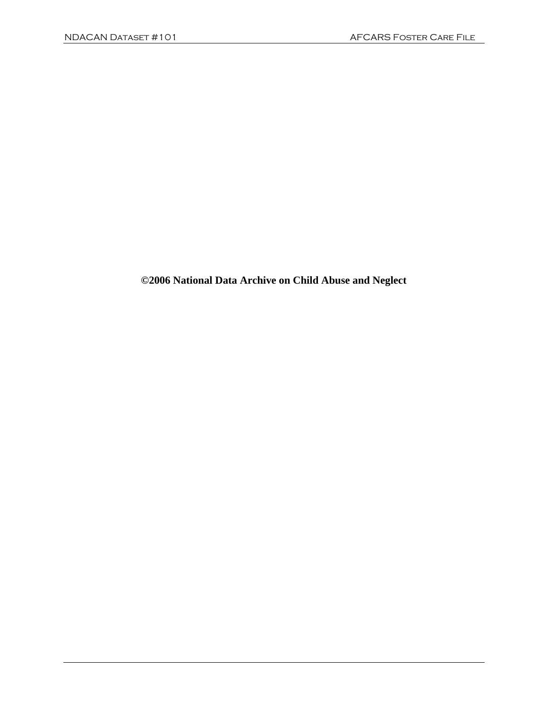**©2006 National Data Archive on Child Abuse and Neglect**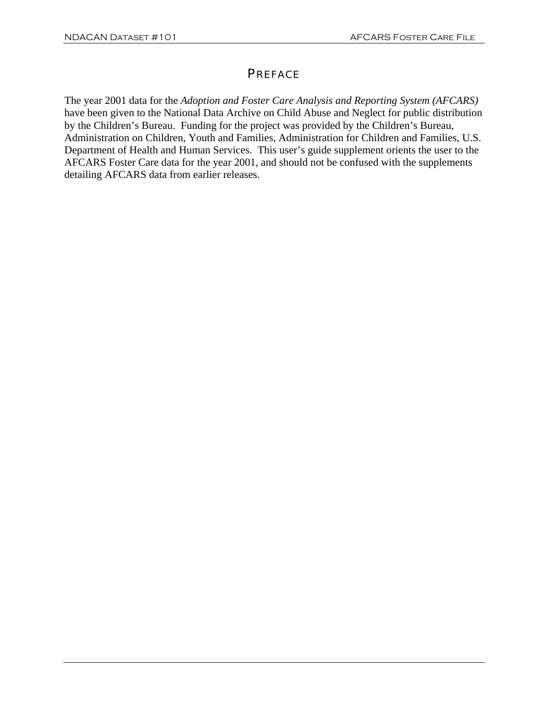#### **PREFACE**

The year 2001 data for the *Adoption and Foster Care Analysis and Reporting System (AFCARS)*  have been given to the National Data Archive on Child Abuse and Neglect for public distribution by the Children's Bureau. Funding for the project was provided by the Children's Bureau, Administration on Children, Youth and Families, Administration for Children and Families, U.S. Department of Health and Human Services. This user's guide supplement orients the user to the AFCARS Foster Care data for the year 2001, and should not be confused with the supplements detailing AFCARS data from earlier releases.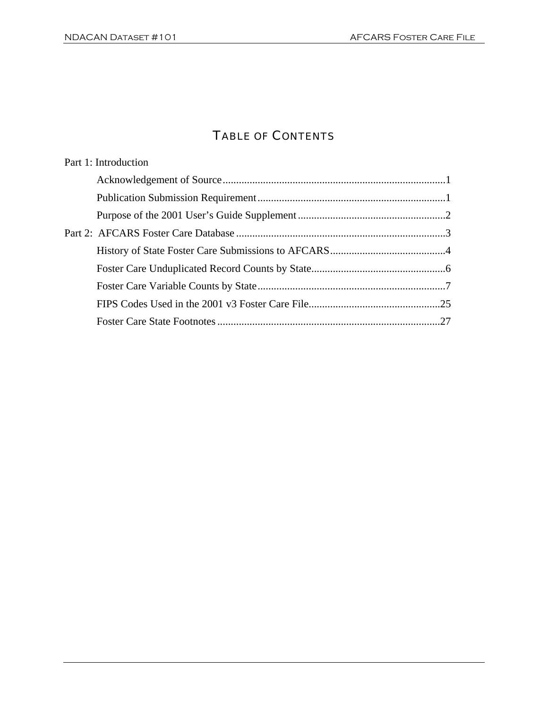### TABLE OF CONTENTS

| Part 1: Introduction |  |
|----------------------|--|
|                      |  |
|                      |  |
|                      |  |
|                      |  |
|                      |  |
|                      |  |
|                      |  |
|                      |  |
|                      |  |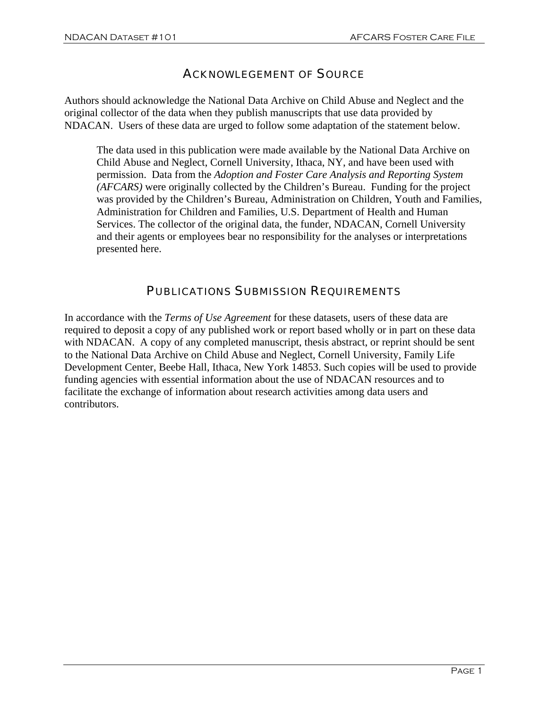#### ACKNOWLEGEMENT OF SOURCE

Authors should acknowledge the National Data Archive on Child Abuse and Neglect and the original collector of the data when they publish manuscripts that use data provided by NDACAN. Users of these data are urged to follow some adaptation of the statement below.

The data used in this publication were made available by the National Data Archive on Child Abuse and Neglect, Cornell University, Ithaca, NY, and have been used with permission. Data from the *Adoption and Foster Care Analysis and Reporting System (AFCARS)* were originally collected by the Children's Bureau. Funding for the project was provided by the Children's Bureau, Administration on Children, Youth and Families, Administration for Children and Families, U.S. Department of Health and Human Services. The collector of the original data, the funder, NDACAN, Cornell University and their agents or employees bear no responsibility for the analyses or interpretations presented here.

#### PUBLICATIONS SUBMISSION REQUIREMENTS

In accordance with the *Terms of Use Agreement* for these datasets, users of these data are required to deposit a copy of any published work or report based wholly or in part on these data with NDACAN. A copy of any completed manuscript, thesis abstract, or reprint should be sent to the National Data Archive on Child Abuse and Neglect, Cornell University, Family Life Development Center, Beebe Hall, Ithaca, New York 14853. Such copies will be used to provide funding agencies with essential information about the use of NDACAN resources and to facilitate the exchange of information about research activities among data users and contributors.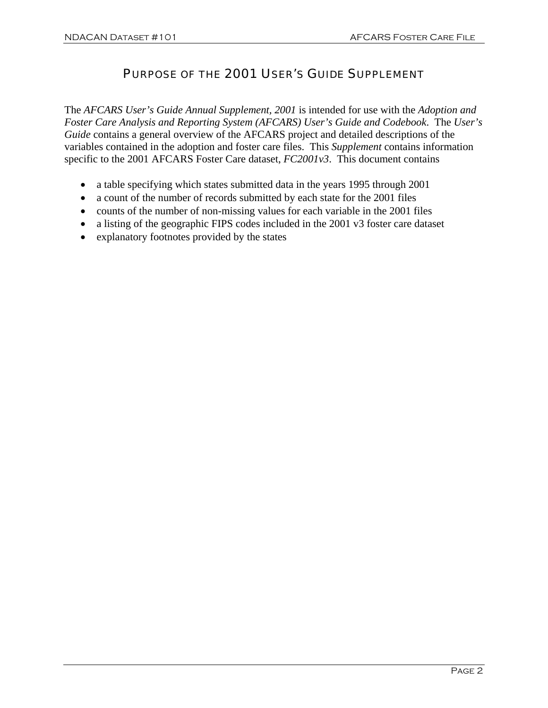#### PURPOSE OF THE 2001 USER'S GUIDE SUPPLEMENT

The *AFCARS User's Guide Annual Supplement, 2001* is intended for use with the *Adoption and Foster Care Analysis and Reporting System (AFCARS) User's Guide and Codebook*. The *User's Guide* contains a general overview of the AFCARS project and detailed descriptions of the variables contained in the adoption and foster care files. This *Supplement* contains information specific to the 2001 AFCARS Foster Care dataset, *FC2001v3*. This document contains

- a table specifying which states submitted data in the years 1995 through 2001
- a count of the number of records submitted by each state for the 2001 files
- counts of the number of non-missing values for each variable in the 2001 files
- a listing of the geographic FIPS codes included in the 2001 v3 foster care dataset
- explanatory footnotes provided by the states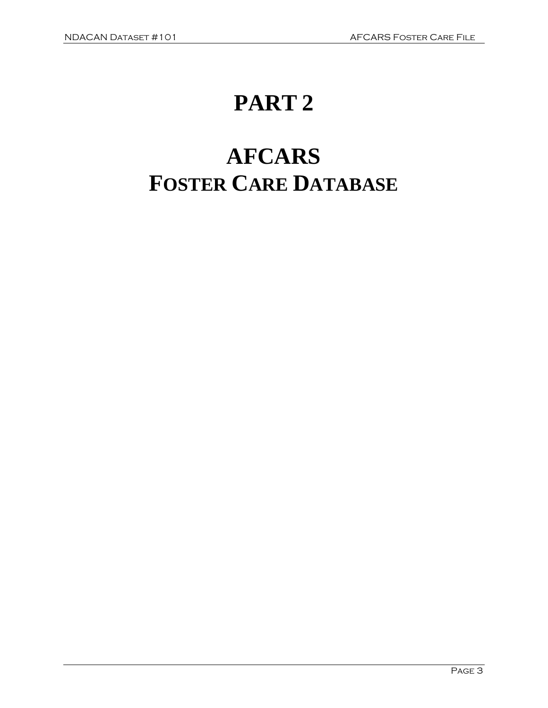## **PART 2**

# **AFCARS FOSTER CARE DATABASE**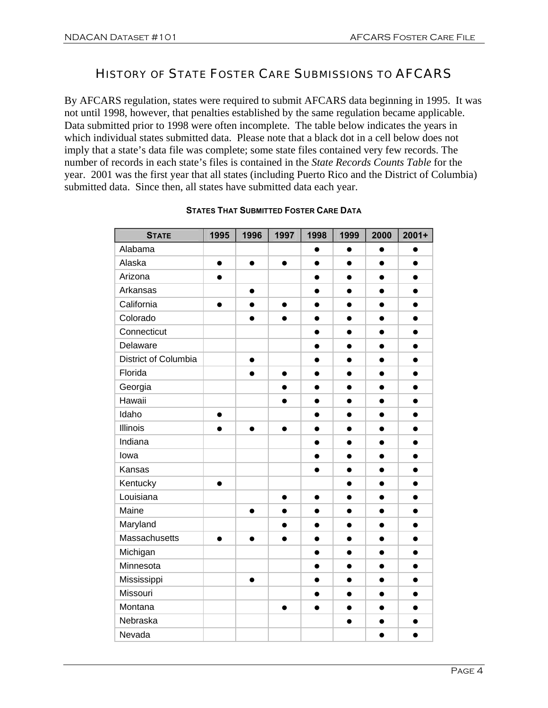#### HISTORY OF STATE FOSTER CARE SUBMISSIONS TO AFCARS

By AFCARS regulation, states were required to submit AFCARS data beginning in 1995. It was not until 1998, however, that penalties established by the same regulation became applicable. Data submitted prior to 1998 were often incomplete. The table below indicates the years in which individual states submitted data. Please note that a black dot in a cell below does not imply that a state's data file was complete; some state files contained very few records. The number of records in each state's files is contained in the *State Records Counts Table* for the year. 2001 was the first year that all states (including Puerto Rico and the District of Columbia) submitted data. Since then, all states have submitted data each year.

| <b>STATE</b>         | 1995      | 1996      | 1997      | 1998      | 1999      | 2000      | $2001+$   |
|----------------------|-----------|-----------|-----------|-----------|-----------|-----------|-----------|
| Alabama              |           |           |           | $\bullet$ | $\bullet$ | $\bullet$ |           |
| Alaska               | $\bullet$ | $\bullet$ | $\bullet$ | $\bullet$ | $\bullet$ | $\bullet$ | $\bullet$ |
| Arizona              |           |           |           |           |           |           |           |
| Arkansas             |           | $\bullet$ |           | $\bullet$ | $\bullet$ | $\bullet$ |           |
| California           |           |           |           | $\bullet$ |           |           |           |
| Colorado             |           | $\bullet$ | $\bullet$ | $\bullet$ | $\bullet$ | $\bullet$ | $\bullet$ |
| Connecticut          |           |           |           | $\bullet$ | ●         |           |           |
| Delaware             |           |           |           | $\bullet$ | $\bullet$ | ●         |           |
| District of Columbia |           | $\bullet$ |           | $\bullet$ | $\bullet$ |           |           |
| Florida              |           | $\bullet$ | $\bullet$ | $\bullet$ | $\bullet$ | $\bullet$ | $\bullet$ |
| Georgia              |           |           |           | $\bullet$ | $\bullet$ |           |           |
| Hawaii               |           |           |           |           |           |           |           |
| Idaho                | $\bullet$ |           |           | $\bullet$ | $\bullet$ |           |           |
| Illinois             |           |           |           | $\bullet$ | $\bullet$ |           |           |
| Indiana              |           |           |           | $\bullet$ | $\bullet$ |           |           |
| lowa                 |           |           |           |           |           |           |           |
| Kansas               |           |           |           |           | $\bullet$ |           |           |
| Kentucky             | $\bullet$ |           |           |           | $\bullet$ |           |           |
| Louisiana            |           |           | $\bullet$ | $\bullet$ | $\bullet$ |           |           |
| Maine                |           |           |           |           |           |           |           |
| Maryland             |           |           |           | $\bullet$ | $\bullet$ |           |           |
| Massachusetts        |           |           |           | $\bullet$ | $\bullet$ |           |           |
| Michigan             |           |           |           | $\bullet$ | $\bullet$ | $\bullet$ |           |
| Minnesota            |           |           |           |           |           |           |           |
| Mississippi          |           | $\bullet$ |           | $\bullet$ | $\bullet$ |           |           |
| Missouri             |           |           |           | $\bullet$ | $\bullet$ |           |           |
| Montana              |           |           | $\bullet$ | $\bullet$ | $\bullet$ | $\bullet$ | $\bullet$ |
| Nebraska             |           |           |           |           | $\bullet$ |           |           |
| Nevada               |           |           |           |           |           | $\bullet$ | $\bullet$ |

#### **STATES THAT SUBMITTED FOSTER CARE DATA**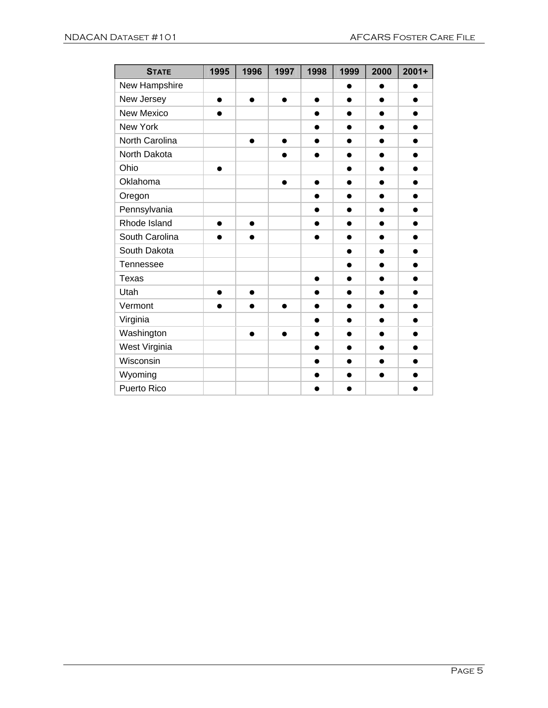| <b>STATE</b>      | 1995      | 1996      | 1997      | 1998      | 1999      | 2000      | $2001 +$  |
|-------------------|-----------|-----------|-----------|-----------|-----------|-----------|-----------|
| New Hampshire     |           |           |           |           | ●         | ●         |           |
| New Jersey        | $\bullet$ | $\bullet$ | $\bullet$ | $\bullet$ | $\bullet$ | $\bullet$ |           |
| <b>New Mexico</b> | $\bullet$ |           |           | $\bullet$ | ●         | $\bullet$ |           |
| New York          |           |           |           | $\bullet$ | $\bullet$ | $\bullet$ |           |
| North Carolina    |           | $\bullet$ | $\bullet$ | $\bullet$ | $\bullet$ | $\bullet$ | $\bullet$ |
| North Dakota      |           |           | ●         | $\bullet$ | $\bullet$ | ●         | ●         |
| Ohio              | ●         |           |           |           | ●         |           |           |
| Oklahoma          |           |           | ●         | $\bullet$ | ●         |           |           |
| Oregon            |           |           |           |           |           |           |           |
| Pennsylvania      |           |           |           | $\bullet$ | ●         | ●         |           |
| Rhode Island      | $\bullet$ | $\bullet$ |           | $\bullet$ |           |           |           |
| South Carolina    | ●         | ●         |           |           | ●         | ●         |           |
| South Dakota      |           |           |           |           | $\bullet$ | $\bullet$ | $\bullet$ |
| <b>Tennessee</b>  |           |           |           |           | $\bullet$ | $\bullet$ |           |
| <b>Texas</b>      |           |           |           | $\bullet$ | $\bullet$ | $\bullet$ |           |
| Utah              | $\bullet$ | $\bullet$ |           | $\bullet$ | ●         |           |           |
| Vermont           | ●         | ●         | ●         | $\bullet$ | ●         | ●         |           |
| Virginia          |           |           |           | ●         | ●         |           |           |
| Washington        |           | ●         |           | ●         |           |           |           |
| West Virginia     |           |           |           | $\bullet$ | $\bullet$ |           |           |
| Wisconsin         |           |           |           | $\bullet$ | ●         | ●         |           |
| Wyoming           |           |           |           | ●         | e         | $\bullet$ |           |
| Puerto Rico       |           |           |           |           |           |           |           |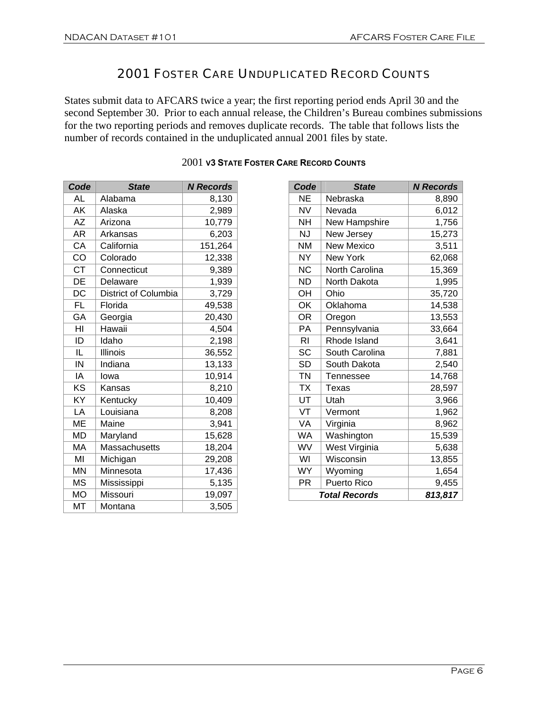#### 2001 FOSTER CARE UNDUPLICATED RECORD COUNTS

States submit data to AFCARS twice a year; the first reporting period ends April 30 and the second September 30. Prior to each annual release, the Children's Bureau combines submissions for the two reporting periods and removes duplicate records. The table that follows lists the number of records contained in the unduplicated annual 2001 files by state.

| Code      | <b>State</b>                | <b>N</b> Records |
|-----------|-----------------------------|------------------|
| AL        | Alabama                     | 8,130            |
| AK        | Alaska                      | 2,989            |
| <b>AZ</b> | Arizona                     | 10,779           |
| AR        | Arkansas                    | 6,203            |
| CA        | California                  | 151,264          |
| CO        | Colorado                    | 12,338           |
| <b>CT</b> | Connecticut                 | 9,389            |
| DE        | Delaware                    | 1,939            |
| DC        | <b>District of Columbia</b> | 3,729            |
| <b>FL</b> | Florida                     | 49,538           |
| GA        | Georgia                     | 20,430           |
| HI        | Hawaii                      | 4,504            |
| ID        | Idaho                       | 2,198            |
| IL        | Illinois                    | 36,552           |
| IN        | Indiana                     | 13,133           |
| IA        | lowa                        | 10,914           |
| ΚS        | Kansas                      | 8,210            |
| KY        | Kentucky                    | 10,409           |
| LA        | Louisiana                   | 8,208            |
| ME        | Maine                       | 3,941            |
| <b>MD</b> | Maryland                    | 15,628           |
| MA        | Massachusetts               | 18,204           |
| MI        | Michigan                    | 29,208           |
| <b>MN</b> | Minnesota                   | 17,436           |
| <b>MS</b> | Mississippi                 | 5,135            |
| МO        | Missouri                    | 19,097           |
| <b>MT</b> | Montana                     | 3,505            |

#### 2001 **V3 STATE FOSTER CARE RECORD COUNTS**

| Code      | <b>State</b>          | <b>N</b> Records |
|-----------|-----------------------|------------------|
| ΝE        | Nebraska              | 8,890            |
| <b>NV</b> | Nevada                | 6,012            |
| <b>NH</b> | New Hampshire         | 1,756            |
| NJ        | New Jersey            | 15,273           |
| <b>NM</b> | <b>New Mexico</b>     | 3,511            |
| <b>NY</b> | <b>New York</b>       | 62,068           |
| <b>NC</b> | <b>North Carolina</b> | 15,369           |
| <b>ND</b> | North Dakota          | 1,995            |
| OH        | Ohio                  | 35,720           |
| OK        | Oklahoma              | 14,538           |
| <b>OR</b> | Oregon                | 13,553           |
| PA        | Pennsylvania          | 33,664           |
| RI        | Rhode Island          | 3,641            |
| SC        | South Carolina        | 7,881            |
| <b>SD</b> | South Dakota          | 2,540            |
| <b>TN</b> | Tennessee             | 14,768           |
| <b>TX</b> | Texas                 | 28,597           |
| UT        | Utah                  | 3,966            |
| VT        | Vermont               | 1,962            |
| VA        | Virginia              | 8,962            |
| WA        | Washington            | 15,539           |
| WV        | West Virginia         | 5,638            |
| WI        | Wisconsin             | 13,855           |
| <b>WY</b> | Wyoming               | 1,654            |
| <b>PR</b> | Puerto Rico           | 9,455            |
|           | <b>Total Records</b>  | 813,817          |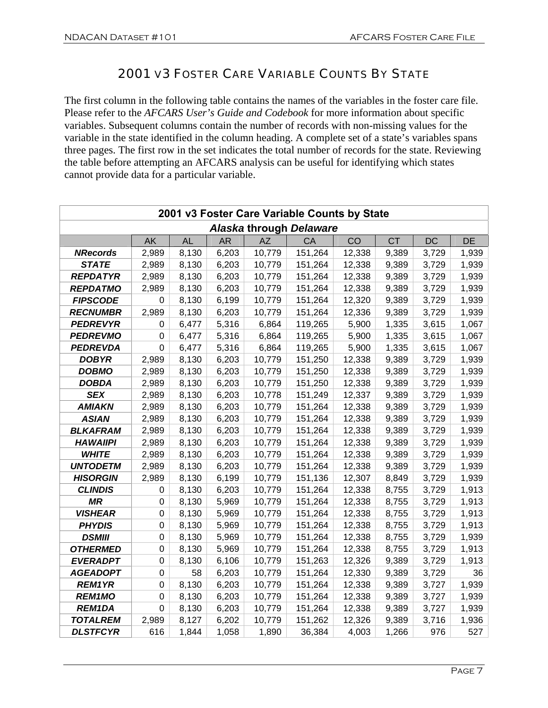#### 2001 V3 FOSTER CARE VARIABLE COUNTS BY STATE

The first column in the following table contains the names of the variables in the foster care file. Please refer to the *AFCARS User's Guide and Codebook* for more information about specific variables. Subsequent columns contain the number of records with non-missing values for the variable in the state identified in the column heading. A complete set of a state's variables spans three pages. The first row in the set indicates the total number of records for the state. Reviewing the table before attempting an AFCARS analysis can be useful for identifying which states cannot provide data for a particular variable.

|                 | 2001 v3 Foster Care Variable Counts by State |           |           |           |                         |        |           |           |       |  |  |  |
|-----------------|----------------------------------------------|-----------|-----------|-----------|-------------------------|--------|-----------|-----------|-------|--|--|--|
|                 |                                              |           |           |           | Alaska through Delaware |        |           |           |       |  |  |  |
|                 | AK                                           | <b>AL</b> | <b>AR</b> | <b>AZ</b> | CA                      | CO     | <b>CT</b> | <b>DC</b> | DE    |  |  |  |
| <b>NRecords</b> | 2,989                                        | 8,130     | 6,203     | 10,779    | 151,264                 | 12,338 | 9,389     | 3,729     | 1,939 |  |  |  |
| <b>STATE</b>    | 2,989                                        | 8,130     | 6,203     | 10,779    | 151,264                 | 12,338 | 9,389     | 3,729     | 1,939 |  |  |  |
| <b>REPDATYR</b> | 2,989                                        | 8,130     | 6,203     | 10,779    | 151,264                 | 12,338 | 9,389     | 3,729     | 1,939 |  |  |  |
| <b>REPDATMO</b> | 2,989                                        | 8,130     | 6,203     | 10,779    | 151,264                 | 12,338 | 9,389     | 3,729     | 1,939 |  |  |  |
| <b>FIPSCODE</b> | 0                                            | 8,130     | 6,199     | 10,779    | 151,264                 | 12,320 | 9,389     | 3,729     | 1,939 |  |  |  |
| <b>RECNUMBR</b> | 2,989                                        | 8,130     | 6,203     | 10,779    | 151,264                 | 12,336 | 9,389     | 3,729     | 1,939 |  |  |  |
| <b>PEDREVYR</b> | 0                                            | 6,477     | 5,316     | 6,864     | 119,265                 | 5,900  | 1,335     | 3,615     | 1,067 |  |  |  |
| <b>PEDREVMO</b> | $\mathbf 0$                                  | 6,477     | 5,316     | 6,864     | 119,265                 | 5,900  | 1,335     | 3,615     | 1,067 |  |  |  |
| <b>PEDREVDA</b> | $\mathbf 0$                                  | 6,477     | 5,316     | 6,864     | 119,265                 | 5,900  | 1,335     | 3,615     | 1,067 |  |  |  |
| <b>DOBYR</b>    | 2,989                                        | 8,130     | 6,203     | 10,779    | 151,250                 | 12,338 | 9,389     | 3,729     | 1,939 |  |  |  |
| <b>DOBMO</b>    | 2,989                                        | 8,130     | 6,203     | 10,779    | 151,250                 | 12,338 | 9,389     | 3,729     | 1,939 |  |  |  |
| <b>DOBDA</b>    | 2,989                                        | 8,130     | 6,203     | 10,779    | 151,250                 | 12,338 | 9,389     | 3,729     | 1,939 |  |  |  |
| <b>SEX</b>      | 2,989                                        | 8,130     | 6,203     | 10,778    | 151,249                 | 12,337 | 9,389     | 3,729     | 1,939 |  |  |  |
| <b>AMIAKN</b>   | 2,989                                        | 8,130     | 6,203     | 10,779    | 151,264                 | 12,338 | 9,389     | 3,729     | 1,939 |  |  |  |
| <b>ASIAN</b>    | 2,989                                        | 8,130     | 6,203     | 10,779    | 151,264                 | 12,338 | 9,389     | 3,729     | 1,939 |  |  |  |
| <b>BLKAFRAM</b> | 2,989                                        | 8,130     | 6,203     | 10,779    | 151,264                 | 12,338 | 9,389     | 3,729     | 1,939 |  |  |  |
| <b>HAWAIIPI</b> | 2,989                                        | 8,130     | 6,203     | 10,779    | 151,264                 | 12,338 | 9,389     | 3,729     | 1,939 |  |  |  |
| <b>WHITE</b>    | 2,989                                        | 8,130     | 6,203     | 10,779    | 151,264                 | 12,338 | 9,389     | 3,729     | 1,939 |  |  |  |
| <b>UNTODETM</b> | 2,989                                        | 8,130     | 6,203     | 10,779    | 151,264                 | 12,338 | 9,389     | 3,729     | 1,939 |  |  |  |
| <b>HISORGIN</b> | 2,989                                        | 8,130     | 6,199     | 10,779    | 151,136                 | 12,307 | 8,849     | 3,729     | 1,939 |  |  |  |
| <b>CLINDIS</b>  | 0                                            | 8,130     | 6,203     | 10,779    | 151,264                 | 12,338 | 8,755     | 3,729     | 1,913 |  |  |  |
| <b>MR</b>       | 0                                            | 8,130     | 5,969     | 10,779    | 151,264                 | 12,338 | 8,755     | 3,729     | 1,913 |  |  |  |
| <b>VISHEAR</b>  | 0                                            | 8,130     | 5,969     | 10,779    | 151,264                 | 12,338 | 8,755     | 3,729     | 1,913 |  |  |  |
| <b>PHYDIS</b>   | 0                                            | 8,130     | 5,969     | 10,779    | 151,264                 | 12,338 | 8,755     | 3,729     | 1,913 |  |  |  |
| <b>DSMIII</b>   | 0                                            | 8,130     | 5,969     | 10,779    | 151,264                 | 12,338 | 8,755     | 3,729     | 1,939 |  |  |  |
| <b>OTHERMED</b> | 0                                            | 8,130     | 5,969     | 10,779    | 151,264                 | 12,338 | 8,755     | 3,729     | 1,913 |  |  |  |
| <b>EVERADPT</b> | 0                                            | 8,130     | 6,106     | 10,779    | 151,263                 | 12,326 | 9,389     | 3,729     | 1,913 |  |  |  |
| <b>AGEADOPT</b> | 0                                            | 58        | 6,203     | 10,779    | 151,264                 | 12,330 | 9,389     | 3,729     | 36    |  |  |  |
| <b>REM1YR</b>   | 0                                            | 8,130     | 6,203     | 10,779    | 151,264                 | 12,338 | 9,389     | 3,727     | 1,939 |  |  |  |
| <b>REM1MO</b>   | 0                                            | 8,130     | 6,203     | 10,779    | 151,264                 | 12,338 | 9,389     | 3,727     | 1,939 |  |  |  |
| <b>REM1DA</b>   | 0                                            | 8,130     | 6,203     | 10,779    | 151,264                 | 12,338 | 9,389     | 3,727     | 1,939 |  |  |  |
| <b>TOTALREM</b> | 2,989                                        | 8,127     | 6,202     | 10,779    | 151,262                 | 12,326 | 9,389     | 3,716     | 1,936 |  |  |  |
| <b>DLSTFCYR</b> | 616                                          | 1,844     | 1,058     | 1,890     | 36,384                  | 4,003  | 1,266     | 976       | 527   |  |  |  |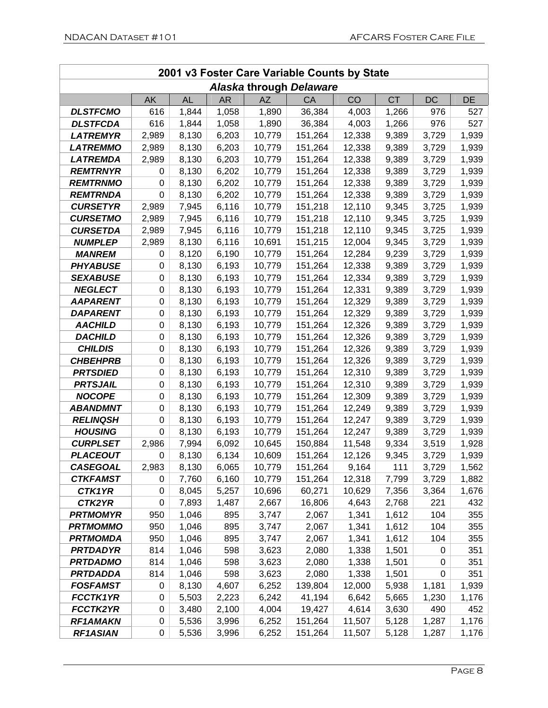|                                    | 2001 v3 Foster Care Variable Counts by State |                |                |                  |                         |                 |              |                |                |  |  |  |
|------------------------------------|----------------------------------------------|----------------|----------------|------------------|-------------------------|-----------------|--------------|----------------|----------------|--|--|--|
|                                    |                                              |                |                |                  | Alaska through Delaware |                 |              |                |                |  |  |  |
|                                    | AK                                           | <b>AL</b>      | <b>AR</b>      | <b>AZ</b>        | CA                      | CO              | <b>CT</b>    | DC             | <b>DE</b>      |  |  |  |
| <b>DLSTFCMO</b>                    | 616                                          | 1,844          | 1,058          | 1,890            | 36,384                  | 4,003           | 1,266        | 976            | 527            |  |  |  |
| <b>DLSTFCDA</b>                    | 616                                          | 1,844          | 1,058          | 1,890            | 36,384                  | 4,003           | 1,266        | 976            | 527            |  |  |  |
| <b>LATREMYR</b>                    | 2,989                                        | 8,130          | 6,203          | 10,779           | 151,264                 | 12,338          | 9,389        | 3,729          | 1,939          |  |  |  |
| <b>LATREMMO</b>                    | 2,989                                        | 8,130          | 6,203          | 10,779           | 151,264                 | 12,338          | 9,389        | 3,729          | 1,939          |  |  |  |
| <b>LATREMDA</b>                    | 2,989                                        | 8,130          | 6,203          | 10,779           | 151,264                 | 12,338          | 9,389        | 3,729          | 1,939          |  |  |  |
| <b>REMTRNYR</b>                    | 0                                            | 8,130          | 6,202          | 10,779           | 151,264                 | 12,338          | 9,389        | 3,729          | 1,939          |  |  |  |
| <b>REMTRNMO</b>                    | 0                                            | 8,130          | 6,202          | 10,779           | 151,264                 | 12,338          | 9,389        | 3,729          | 1,939          |  |  |  |
| <b>REMTRNDA</b>                    | $\boldsymbol{0}$                             | 8,130          | 6,202          | 10,779           | 151,264                 | 12,338          | 9,389        | 3,729          | 1,939          |  |  |  |
| <b>CURSETYR</b>                    | 2,989                                        | 7,945          | 6,116          | 10,779           | 151,218                 | 12,110          | 9,345        | 3,725          | 1,939          |  |  |  |
| <b>CURSETMO</b>                    | 2,989                                        | 7,945          | 6,116          | 10,779           | 151,218                 | 12,110          | 9,345        | 3,725          | 1,939          |  |  |  |
| <b>CURSETDA</b>                    | 2,989                                        | 7,945          | 6,116          | 10,779           | 151,218                 | 12,110          | 9,345        | 3,725          | 1,939          |  |  |  |
| <b>NUMPLEP</b>                     | 2,989                                        | 8,130          | 6,116          | 10,691           | 151,215                 | 12,004          | 9,345        | 3,729          | 1,939          |  |  |  |
| <b>MANREM</b>                      | 0                                            | 8,120          | 6,190          | 10,779           | 151,264                 | 12,284          | 9,239        | 3,729          | 1,939          |  |  |  |
| <b>PHYABUSE</b>                    | $\boldsymbol{0}$                             | 8,130          | 6,193          | 10,779           | 151,264                 | 12,338          | 9,389        | 3,729          | 1,939          |  |  |  |
| <b>SEXABUSE</b>                    | 0                                            | 8,130          | 6,193          | 10,779           | 151,264                 | 12,334          | 9,389        | 3,729          | 1,939          |  |  |  |
| <b>NEGLECT</b>                     | 0                                            | 8,130          | 6,193          | 10,779           | 151,264                 | 12,331          | 9,389        | 3,729          | 1,939          |  |  |  |
| <b>AAPARENT</b>                    | 0                                            | 8,130          | 6,193          | 10,779           | 151,264                 | 12,329          | 9,389        | 3,729          | 1,939          |  |  |  |
| <b>DAPARENT</b>                    | 0                                            | 8,130          | 6,193          | 10,779           | 151,264                 | 12,329          | 9,389        | 3,729          | 1,939          |  |  |  |
| <b>AACHILD</b>                     | 0                                            | 8,130          | 6,193          | 10,779           | 151,264                 | 12,326          | 9,389        | 3,729          | 1,939          |  |  |  |
| <b>DACHILD</b>                     | 0                                            | 8,130          | 6,193          | 10,779           | 151,264                 | 12,326          | 9,389        | 3,729          | 1,939          |  |  |  |
| <b>CHILDIS</b>                     | 0                                            | 8,130          | 6,193          | 10,779           | 151,264                 | 12,326          | 9,389        | 3,729          | 1,939          |  |  |  |
| <b>CHBEHPRB</b>                    | 0                                            | 8,130          | 6,193          | 10,779           | 151,264                 | 12,326          | 9,389        | 3,729          | 1,939          |  |  |  |
| <b>PRTSDIED</b>                    | 0                                            | 8,130          | 6,193          | 10,779           | 151,264                 | 12,310          | 9,389        | 3,729          | 1,939          |  |  |  |
| <b>PRTSJAIL</b>                    | 0                                            | 8,130          | 6,193          | 10,779           | 151,264                 | 12,310          | 9,389        | 3,729          | 1,939          |  |  |  |
| <b>NOCOPE</b>                      | 0                                            | 8,130          | 6,193          | 10,779           | 151,264                 | 12,309          | 9,389        | 3,729          | 1,939          |  |  |  |
| <b>ABANDMNT</b>                    | 0                                            | 8,130          | 6,193          | 10,779           | 151,264                 | 12,249          | 9,389        | 3,729          | 1,939          |  |  |  |
| <b>RELINQSH</b>                    | 0                                            | 8,130          | 6,193          | 10,779           | 151,264                 | 12,247          | 9,389        | 3,729          | 1,939          |  |  |  |
| <b>HOUSING</b>                     | 0                                            | 8,130          | 6,193          | 10,779           | 151,264                 | 12,247          | 9,389        | 3,729          | 1,939          |  |  |  |
| <b>CURPLSET</b><br><b>PLACEOUT</b> | 2,986<br>0                                   | 7,994          | 6,092          | 10,645<br>10,609 | 150,884                 | 11,548          | 9,334        | 3,519          | 1,928          |  |  |  |
| <b>CASEGOAL</b>                    | 2,983                                        | 8,130<br>8,130 | 6,134<br>6,065 |                  | 151,264                 | 12,126          | 9,345        | 3,729          | 1,939          |  |  |  |
| <b>CTKFAMST</b>                    | 0                                            | 7,760          | 6,160          | 10,779<br>10,779 | 151,264<br>151,264      | 9,164<br>12,318 | 111<br>7,799 | 3,729          | 1,562<br>1,882 |  |  |  |
| CTK1YR                             | 0                                            | 8,045          | 5,257          | 10,696           | 60,271                  | 10,629          | 7,356        | 3,729<br>3,364 | 1,676          |  |  |  |
| CTK2YR                             | 0                                            | 7,893          | 1,487          | 2,667            | 16,806                  | 4,643           | 2,768        | 221            | 432            |  |  |  |
| <b>PRTMOMYR</b>                    | 950                                          | 1,046          | 895            | 3,747            | 2,067                   | 1,341           | 1,612        | 104            | 355            |  |  |  |
| <b>PRTMOMMO</b>                    | 950                                          | 1,046          | 895            | 3,747            | 2,067                   | 1,341           | 1,612        | 104            | 355            |  |  |  |
| <b>PRTMOMDA</b>                    | 950                                          | 1,046          | 895            | 3,747            | 2,067                   | 1,341           | 1,612        | 104            | 355            |  |  |  |
| <b>PRTDADYR</b>                    | 814                                          | 1,046          | 598            | 3,623            | 2,080                   | 1,338           | 1,501        | 0              | 351            |  |  |  |
| <b>PRTDADMO</b>                    | 814                                          | 1,046          | 598            | 3,623            | 2,080                   | 1,338           | 1,501        | 0              | 351            |  |  |  |
| <b>PRTDADDA</b>                    | 814                                          | 1,046          | 598            | 3,623            | 2,080                   | 1,338           | 1,501        | 0              | 351            |  |  |  |
| <b>FOSFAMST</b>                    | 0                                            | 8,130          | 4,607          | 6,252            | 139,804                 | 12,000          | 5,938        | 1,181          | 1,939          |  |  |  |
| <b>FCCTK1YR</b>                    | 0                                            | 5,503          | 2,223          | 6,242            | 41,194                  | 6,642           | 5,665        | 1,230          | 1,176          |  |  |  |
| <b>FCCTK2YR</b>                    | 0                                            | 3,480          | 2,100          | 4,004            | 19,427                  | 4,614           | 3,630        | 490            | 452            |  |  |  |
| <b>RF1AMAKN</b>                    | 0                                            | 5,536          | 3,996          | 6,252            | 151,264                 | 11,507          | 5,128        | 1,287          | 1,176          |  |  |  |
| <b>RF1ASIAN</b>                    | 0                                            | 5,536          | 3,996          | 6,252            | 151,264                 | 11,507          | 5,128        | 1,287          | 1,176          |  |  |  |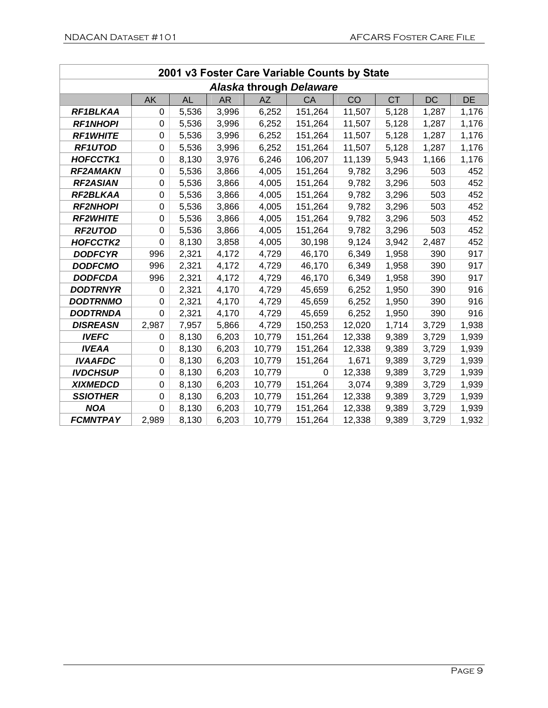| 2001 v3 Foster Care Variable Counts by State |           |       |           |        |                         |        |           |           |       |  |  |
|----------------------------------------------|-----------|-------|-----------|--------|-------------------------|--------|-----------|-----------|-------|--|--|
|                                              |           |       |           |        | Alaska through Delaware |        |           |           |       |  |  |
|                                              | <b>AK</b> | AL    | <b>AR</b> | AZ     | <b>CA</b>               | CO     | <b>CT</b> | <b>DC</b> | DE    |  |  |
| RF1BLKAA                                     | 0         | 5,536 | 3,996     | 6,252  | 151,264                 | 11,507 | 5,128     | 1,287     | 1,176 |  |  |
| <b>RF1NHOPI</b>                              | 0         | 5,536 | 3,996     | 6,252  | 151,264                 | 11,507 | 5,128     | 1,287     | 1,176 |  |  |
| <b>RF1WHITE</b>                              | 0         | 5,536 | 3,996     | 6,252  | 151,264                 | 11,507 | 5,128     | 1,287     | 1,176 |  |  |
| <b>RF1UTOD</b>                               | 0         | 5,536 | 3,996     | 6,252  | 151,264                 | 11,507 | 5,128     | 1,287     | 1,176 |  |  |
| <b>HOFCCTK1</b>                              | 0         | 8,130 | 3,976     | 6,246  | 106,207                 | 11,139 | 5,943     | 1,166     | 1,176 |  |  |
| <b>RF2AMAKN</b>                              | 0         | 5,536 | 3,866     | 4,005  | 151,264                 | 9,782  | 3,296     | 503       | 452   |  |  |
| <b>RF2ASIAN</b>                              | 0         | 5,536 | 3,866     | 4,005  | 151,264                 | 9,782  | 3,296     | 503       | 452   |  |  |
| RF2BLKAA                                     | 0         | 5,536 | 3,866     | 4,005  | 151,264                 | 9,782  | 3,296     | 503       | 452   |  |  |
| <b>RF2NHOPI</b>                              | 0         | 5,536 | 3,866     | 4,005  | 151,264                 | 9,782  | 3,296     | 503       | 452   |  |  |
| <b>RF2WHITE</b>                              | 0         | 5,536 | 3,866     | 4,005  | 151,264                 | 9,782  | 3,296     | 503       | 452   |  |  |
| <b>RF2UTOD</b>                               | 0         | 5,536 | 3,866     | 4,005  | 151,264                 | 9,782  | 3,296     | 503       | 452   |  |  |
| HOFCCTK2                                     | 0         | 8,130 | 3,858     | 4,005  | 30,198                  | 9,124  | 3,942     | 2,487     | 452   |  |  |
| <b>DODFCYR</b>                               | 996       | 2,321 | 4,172     | 4,729  | 46,170                  | 6,349  | 1,958     | 390       | 917   |  |  |
| <b>DODFCMO</b>                               | 996       | 2,321 | 4,172     | 4,729  | 46,170                  | 6,349  | 1,958     | 390       | 917   |  |  |
| <b>DODFCDA</b>                               | 996       | 2,321 | 4,172     | 4,729  | 46,170                  | 6,349  | 1,958     | 390       | 917   |  |  |
| <b>DODTRNYR</b>                              | 0         | 2,321 | 4,170     | 4,729  | 45,659                  | 6,252  | 1,950     | 390       | 916   |  |  |
| <b>DODTRNMO</b>                              | 0         | 2,321 | 4,170     | 4,729  | 45,659                  | 6,252  | 1,950     | 390       | 916   |  |  |
| <b>DODTRNDA</b>                              | 0         | 2,321 | 4,170     | 4,729  | 45,659                  | 6,252  | 1,950     | 390       | 916   |  |  |
| <b>DISREASN</b>                              | 2,987     | 7,957 | 5,866     | 4,729  | 150,253                 | 12,020 | 1,714     | 3,729     | 1,938 |  |  |
| <b>IVEFC</b>                                 | 0         | 8,130 | 6,203     | 10,779 | 151,264                 | 12,338 | 9,389     | 3,729     | 1,939 |  |  |
| <b>IVEAA</b>                                 | 0         | 8,130 | 6,203     | 10,779 | 151,264                 | 12,338 | 9,389     | 3,729     | 1,939 |  |  |
| <b>IVAAFDC</b>                               | 0         | 8,130 | 6,203     | 10,779 | 151,264                 | 1,671  | 9,389     | 3,729     | 1,939 |  |  |
| <b>IVDCHSUP</b>                              | 0         | 8,130 | 6,203     | 10,779 | 0                       | 12,338 | 9,389     | 3,729     | 1,939 |  |  |
| <b>XIXMEDCD</b>                              | 0         | 8,130 | 6,203     | 10,779 | 151,264                 | 3,074  | 9,389     | 3,729     | 1,939 |  |  |
| <b>SSIOTHER</b>                              | 0         | 8,130 | 6,203     | 10,779 | 151,264                 | 12,338 | 9,389     | 3,729     | 1,939 |  |  |
| <b>NOA</b>                                   | 0         | 8,130 | 6,203     | 10,779 | 151,264                 | 12,338 | 9,389     | 3,729     | 1,939 |  |  |
| <b>FCMNTPAY</b>                              | 2,989     | 8,130 | 6,203     | 10,779 | 151,264                 | 12,338 | 9,389     | 3,729     | 1,932 |  |  |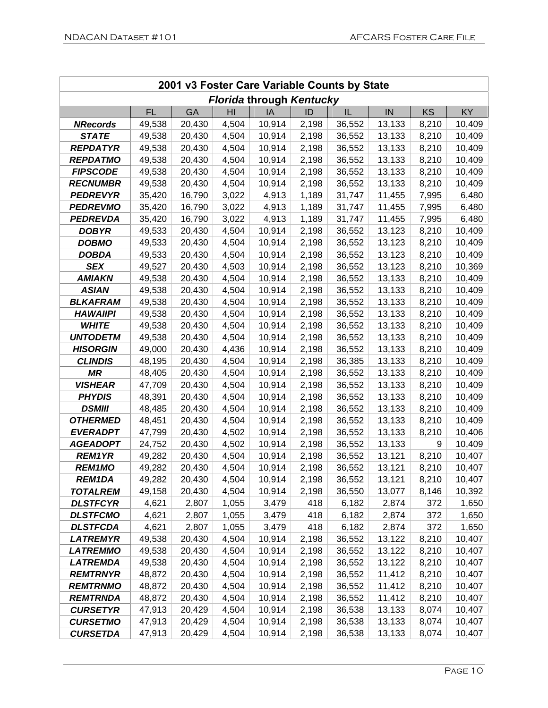| 2001 v3 Foster Care Variable Counts by State |           |           |       |                                 |       |        |        |       |        |  |  |  |
|----------------------------------------------|-----------|-----------|-------|---------------------------------|-------|--------|--------|-------|--------|--|--|--|
|                                              |           |           |       | <b>Florida through Kentucky</b> |       |        |        |       |        |  |  |  |
|                                              | <b>FL</b> | <b>GA</b> | HI    | IA                              | ID    | IL     | IN     | KS    | KY     |  |  |  |
| <b>NRecords</b>                              | 49,538    | 20,430    | 4,504 | 10,914                          | 2,198 | 36,552 | 13,133 | 8,210 | 10,409 |  |  |  |
| <b>STATE</b>                                 | 49,538    | 20,430    | 4,504 | 10,914                          | 2,198 | 36,552 | 13,133 | 8,210 | 10,409 |  |  |  |
| <b>REPDATYR</b>                              | 49,538    | 20,430    | 4,504 | 10,914                          | 2,198 | 36,552 | 13,133 | 8,210 | 10,409 |  |  |  |
| <b>REPDATMO</b>                              | 49,538    | 20,430    | 4,504 | 10,914                          | 2,198 | 36,552 | 13,133 | 8,210 | 10,409 |  |  |  |
| <b>FIPSCODE</b>                              | 49,538    | 20,430    | 4,504 | 10,914                          | 2,198 | 36,552 | 13,133 | 8,210 | 10,409 |  |  |  |
| <b>RECNUMBR</b>                              | 49,538    | 20,430    | 4,504 | 10,914                          | 2,198 | 36,552 | 13,133 | 8,210 | 10,409 |  |  |  |
| <b>PEDREVYR</b>                              | 35,420    | 16,790    | 3,022 | 4,913                           | 1,189 | 31,747 | 11,455 | 7,995 | 6,480  |  |  |  |
| <b>PEDREVMO</b>                              | 35,420    | 16,790    | 3,022 | 4,913                           | 1,189 | 31,747 | 11,455 | 7,995 | 6,480  |  |  |  |
| <b>PEDREVDA</b>                              | 35,420    | 16,790    | 3,022 | 4,913                           | 1,189 | 31,747 | 11,455 | 7,995 | 6,480  |  |  |  |
| <b>DOBYR</b>                                 | 49,533    | 20,430    | 4,504 | 10,914                          | 2,198 | 36,552 | 13,123 | 8,210 | 10,409 |  |  |  |
| <b>DOBMO</b>                                 | 49,533    | 20,430    | 4,504 | 10,914                          | 2,198 | 36,552 | 13,123 | 8,210 | 10,409 |  |  |  |
| <b>DOBDA</b>                                 | 49,533    | 20,430    | 4,504 | 10,914                          | 2,198 | 36,552 | 13,123 | 8,210 | 10,409 |  |  |  |
| <b>SEX</b>                                   | 49,527    | 20,430    | 4,503 | 10,914                          | 2,198 | 36,552 | 13,123 | 8,210 | 10,369 |  |  |  |
| <b>AMIAKN</b>                                | 49,538    | 20,430    | 4,504 | 10,914                          | 2,198 | 36,552 | 13,133 | 8,210 | 10,409 |  |  |  |
| <b>ASIAN</b>                                 | 49,538    | 20,430    | 4,504 | 10,914                          | 2,198 | 36,552 | 13,133 | 8,210 | 10,409 |  |  |  |
| <b>BLKAFRAM</b>                              | 49,538    | 20,430    | 4,504 | 10,914                          | 2,198 | 36,552 | 13,133 | 8,210 | 10,409 |  |  |  |
| <b>HAWAIIPI</b>                              | 49,538    | 20,430    | 4,504 | 10,914                          | 2,198 | 36,552 | 13,133 | 8,210 | 10,409 |  |  |  |
| <b>WHITE</b>                                 | 49,538    | 20,430    | 4,504 | 10,914                          | 2,198 | 36,552 | 13,133 | 8,210 | 10,409 |  |  |  |
| <b>UNTODETM</b>                              | 49,538    | 20,430    | 4,504 | 10,914                          | 2,198 | 36,552 | 13,133 | 8,210 | 10,409 |  |  |  |
| <b>HISORGIN</b>                              | 49,000    | 20,430    | 4,436 | 10,914                          | 2,198 | 36,552 | 13,133 | 8,210 | 10,409 |  |  |  |
| <b>CLINDIS</b>                               | 48,195    | 20,430    | 4,504 | 10,914                          | 2,198 | 36,385 | 13,133 | 8,210 | 10,409 |  |  |  |
| <b>MR</b>                                    | 48,405    | 20,430    | 4,504 | 10,914                          | 2,198 | 36,552 | 13,133 | 8,210 | 10,409 |  |  |  |
| <b>VISHEAR</b>                               | 47,709    | 20,430    | 4,504 | 10,914                          | 2,198 | 36,552 | 13,133 | 8,210 | 10,409 |  |  |  |
| <b>PHYDIS</b>                                | 48,391    | 20,430    | 4,504 | 10,914                          | 2,198 | 36,552 | 13,133 | 8,210 | 10,409 |  |  |  |
| <b>DSMIII</b>                                | 48,485    | 20,430    | 4,504 | 10,914                          | 2,198 | 36,552 | 13,133 | 8,210 | 10,409 |  |  |  |
| <b>OTHERMED</b>                              | 48,451    | 20,430    | 4,504 | 10,914                          | 2,198 | 36,552 | 13,133 | 8,210 | 10,409 |  |  |  |
| <b>EVERADPT</b>                              | 47,799    | 20,430    | 4,502 | 10,914                          | 2,198 | 36,552 | 13,133 | 8,210 | 10,406 |  |  |  |
| <b>AGEADOPT</b>                              | 24,752    | 20,430    | 4,502 | 10,914                          | 2,198 | 36,552 | 13,133 | 9     | 10,409 |  |  |  |
| <b>REM1YR</b>                                | 49,282    | 20,430    | 4,504 | 10,914                          | 2,198 | 36,552 | 13,121 | 8,210 | 10,407 |  |  |  |
| <b>REM1MO</b>                                | 49,282    | 20,430    | 4,504 | 10,914                          | 2,198 | 36,552 | 13,121 | 8,210 | 10,407 |  |  |  |
| <b>REM1DA</b>                                | 49,282    | 20,430    | 4,504 | 10,914                          | 2,198 | 36,552 | 13,121 | 8,210 | 10,407 |  |  |  |
| <b>TOTALREM</b>                              | 49,158    | 20,430    | 4,504 | 10,914                          | 2,198 | 36,550 | 13,077 | 8,146 | 10,392 |  |  |  |
| <b>DLSTFCYR</b>                              | 4,621     | 2,807     | 1,055 | 3,479                           | 418   | 6,182  | 2,874  | 372   | 1,650  |  |  |  |
| <b>DLSTFCMO</b>                              | 4,621     | 2,807     | 1,055 | 3,479                           | 418   | 6,182  | 2,874  | 372   | 1,650  |  |  |  |
| <b>DLSTFCDA</b>                              | 4,621     | 2,807     | 1,055 | 3,479                           | 418   | 6,182  | 2,874  | 372   | 1,650  |  |  |  |
| <b>LATREMYR</b>                              | 49,538    | 20,430    | 4,504 | 10,914                          | 2,198 | 36,552 | 13,122 | 8,210 | 10,407 |  |  |  |
| <b>LATREMMO</b>                              | 49,538    | 20,430    | 4,504 | 10,914                          | 2,198 | 36,552 | 13,122 | 8,210 | 10,407 |  |  |  |
| <b>LATREMDA</b>                              | 49,538    | 20,430    | 4,504 | 10,914                          | 2,198 | 36,552 | 13,122 | 8,210 | 10,407 |  |  |  |
| <b>REMTRNYR</b>                              | 48,872    | 20,430    | 4,504 | 10,914                          | 2,198 | 36,552 | 11,412 | 8,210 | 10,407 |  |  |  |
| <b>REMTRNMO</b>                              | 48,872    | 20,430    | 4,504 | 10,914                          | 2,198 | 36,552 | 11,412 | 8,210 | 10,407 |  |  |  |
| <b>REMTRNDA</b>                              | 48,872    | 20,430    | 4,504 | 10,914                          | 2,198 | 36,552 | 11,412 | 8,210 | 10,407 |  |  |  |
| <b>CURSETYR</b>                              | 47,913    | 20,429    | 4,504 | 10,914                          | 2,198 | 36,538 | 13,133 | 8,074 | 10,407 |  |  |  |
| <b>CURSETMO</b>                              | 47,913    | 20,429    | 4,504 | 10,914                          | 2,198 | 36,538 | 13,133 | 8,074 | 10,407 |  |  |  |
| <b>CURSETDA</b>                              | 47,913    | 20,429    | 4,504 | 10,914                          | 2,198 | 36,538 | 13,133 | 8,074 | 10,407 |  |  |  |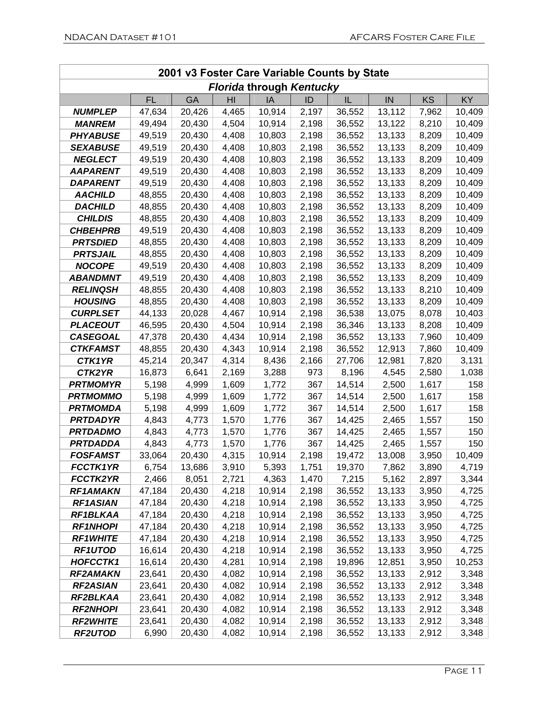| 2001 v3 Foster Care Variable Counts by State |                  |                  |                |                                 |                |                  |        |                |                |  |  |
|----------------------------------------------|------------------|------------------|----------------|---------------------------------|----------------|------------------|--------|----------------|----------------|--|--|
|                                              |                  |                  |                | <b>Florida through Kentucky</b> |                |                  |        |                |                |  |  |
|                                              | <b>FL</b>        | <b>GA</b>        | HI             | IA                              | ID             | IL               | IN     | <b>KS</b>      | <b>KY</b>      |  |  |
| <b>NUMPLEP</b>                               | 47,634           | 20,426           | 4,465          | 10,914                          | 2,197          | 36,552           | 13,112 | 7,962          | 10,409         |  |  |
| <b>MANREM</b>                                | 49,494           | 20,430           | 4,504          | 10,914                          | 2,198          | 36,552           | 13,122 | 8,210          | 10,409         |  |  |
| <b>PHYABUSE</b>                              | 49,519           | 20,430           | 4,408          | 10,803                          | 2,198          | 36,552           | 13,133 | 8,209          | 10,409         |  |  |
| <b>SEXABUSE</b>                              | 49,519           | 20,430           | 4,408          | 10,803                          | 2,198          | 36,552           | 13,133 | 8,209          | 10,409         |  |  |
| <b>NEGLECT</b>                               | 49,519           | 20,430           | 4,408          | 10,803                          | 2,198          | 36,552           | 13,133 | 8,209          | 10,409         |  |  |
| <b>AAPARENT</b>                              | 49,519           | 20,430           | 4,408          | 10,803                          | 2,198          | 36,552           | 13,133 | 8,209          | 10,409         |  |  |
| <b>DAPARENT</b>                              | 49,519           | 20,430           | 4,408          | 10,803                          | 2,198          | 36,552           | 13,133 | 8,209          | 10,409         |  |  |
| <b>AACHILD</b>                               | 48,855           | 20,430           | 4,408          | 10,803                          | 2,198          | 36,552           | 13,133 | 8,209          | 10,409         |  |  |
| <b>DACHILD</b>                               | 48,855           | 20,430           | 4,408          | 10,803                          | 2,198          | 36,552           | 13,133 | 8,209          | 10,409         |  |  |
| <b>CHILDIS</b>                               | 48,855           | 20,430           | 4,408          | 10,803                          | 2,198          | 36,552           | 13,133 | 8,209          | 10,409         |  |  |
| <b>CHBEHPRB</b>                              | 49,519           | 20,430           | 4,408          | 10,803                          | 2,198          | 36,552           | 13,133 | 8,209          | 10,409         |  |  |
| <b>PRTSDIED</b>                              | 48,855           | 20,430           | 4,408          | 10,803                          | 2,198          | 36,552           | 13,133 | 8,209          | 10,409         |  |  |
| <b>PRTSJAIL</b>                              | 48,855           | 20,430           | 4,408          | 10,803                          | 2,198          | 36,552           | 13,133 | 8,209          | 10,409         |  |  |
| <b>NOCOPE</b>                                | 49,519           | 20,430           | 4,408          | 10,803                          | 2,198          | 36,552           | 13,133 | 8,209          | 10,409         |  |  |
| <b>ABANDMNT</b>                              | 49,519           | 20,430           | 4,408          | 10,803                          | 2,198          | 36,552           | 13,133 | 8,209          | 10,409         |  |  |
| <b>RELINQSH</b>                              | 48,855           | 20,430           | 4,408          | 10,803                          | 2,198          | 36,552           | 13,133 | 8,210          | 10,409         |  |  |
| <b>HOUSING</b>                               | 48,855           | 20,430           | 4,408          | 10,803                          | 2,198          | 36,552           | 13,133 | 8,209          | 10,409         |  |  |
| <b>CURPLSET</b>                              | 44,133           | 20,028           | 4,467          | 10,914                          | 2,198          | 36,538           | 13,075 | 8,078          | 10,403         |  |  |
| <b>PLACEOUT</b>                              | 46,595           | 20,430           | 4,504          | 10,914                          | 2,198          | 36,346           | 13,133 | 8,208          | 10,409         |  |  |
| <b>CASEGOAL</b>                              | 47,378           | 20,430           | 4,434          | 10,914                          | 2,198          | 36,552           | 13,133 | 7,960          | 10,409         |  |  |
| <b>CTKFAMST</b>                              | 48,855           | 20,430           | 4,343          | 10,914                          | 2,198          | 36,552           | 12,913 | 7,860          | 10,409         |  |  |
| CTK1YR                                       | 45,214           | 20,347           | 4,314          | 8,436                           | 2,166          | 27,706           | 12,981 | 7,820          | 3,131          |  |  |
| CTK2YR                                       | 16,873           | 6,641            | 2,169          | 3,288                           | 973            | 8,196            | 4,545  | 2,580          | 1,038          |  |  |
| <b>PRTMOMYR</b>                              | 5,198            | 4,999            | 1,609          | 1,772                           | 367            | 14,514           | 2,500  | 1,617          | 158            |  |  |
| <b>PRTMOMMO</b>                              | 5,198            | 4,999            | 1,609          | 1,772                           | 367            | 14,514           | 2,500  | 1,617          | 158            |  |  |
| <b>PRTMOMDA</b>                              | 5,198            | 4,999            | 1,609          | 1,772                           | 367            | 14,514           | 2,500  | 1,617          | 158            |  |  |
| <b>PRTDADYR</b>                              | 4,843            | 4,773            | 1,570          | 1,776                           | 367            | 14,425           | 2,465  | 1,557          | 150            |  |  |
| <b>PRTDADMO</b>                              | 4,843            | 4,773            | 1,570          | 1,776                           | 367            | 14,425           | 2,465  | 1,557          | 150            |  |  |
| <b>PRTDADDA</b>                              | 4,843            | 4,773            | 1,570          | 1,776                           | 367            | 14,425           | 2,465  | 1,557          | 150            |  |  |
| <b>FOSFAMST</b>                              | 33,064           | 20,430           | 4,315          | 10,914                          | 2,198          | 19,472           | 13,008 | 3,950          | 10,409         |  |  |
| <b>FCCTK1YR</b>                              | 6,754            | 13,686           | 3,910          | 5,393                           | 1,751          | 19,370           | 7,862  | 3,890          | 4,719          |  |  |
| <b>FCCTK2YR</b>                              | 2,466            | 8,051            | 2,721          | 4,363                           | 1,470          | 7,215            | 5,162  | 2,897          | 3,344          |  |  |
| <b>RF1AMAKN</b>                              | 47,184           | 20,430           | 4,218          | 10,914                          | 2,198          | 36,552           | 13,133 | 3,950          | 4,725          |  |  |
| <b>RF1ASIAN</b>                              | 47,184           | 20,430           | 4,218          | 10,914                          | 2,198          | 36,552           | 13,133 | 3,950          | 4,725          |  |  |
| RF1BLKAA                                     | 47,184           | 20,430           | 4,218          | 10,914                          | 2,198          | 36,552           | 13,133 | 3,950          | 4,725          |  |  |
| <b>RF1NHOPI</b>                              | 47,184           | 20,430           | 4,218          | 10,914                          | 2,198          | 36,552           | 13,133 | 3,950          | 4,725          |  |  |
| <b>RF1WHITE</b>                              | 47,184           | 20,430           | 4,218          | 10,914                          | 2,198          | 36,552           | 13,133 | 3,950          | 4,725          |  |  |
| <b>RF1UTOD</b>                               | 16,614           | 20,430           | 4,218          | 10,914                          | 2,198          | 36,552           | 13,133 | 3,950          | 4,725          |  |  |
| <b>HOFCCTK1</b>                              | 16,614<br>23,641 | 20,430           | 4,281<br>4,082 | 10,914                          | 2,198          | 19,896           | 12,851 | 3,950          | 10,253         |  |  |
| <b>RF2AMAKN</b>                              |                  | 20,430           |                | 10,914                          | 2,198          | 36,552           | 13,133 | 2,912          | 3,348          |  |  |
| <b>RF2ASIAN</b><br>RF2BLKAA                  | 23,641<br>23,641 | 20,430<br>20,430 | 4,082<br>4,082 | 10,914<br>10,914                | 2,198<br>2,198 | 36,552           | 13,133 | 2,912<br>2,912 | 3,348<br>3,348 |  |  |
| <b>RF2NHOPI</b>                              | 23,641           | 20,430           | 4,082          |                                 |                | 36,552<br>36,552 | 13,133 |                |                |  |  |
|                                              |                  |                  |                | 10,914                          | 2,198          |                  | 13,133 | 2,912          | 3,348          |  |  |
| <b>RF2WHITE</b><br><b>RF2UTOD</b>            | 23,641           | 20,430           | 4,082          | 10,914                          | 2,198          | 36,552           | 13,133 | 2,912          | 3,348          |  |  |
|                                              | 6,990            | 20,430           | 4,082          | 10,914                          | 2,198          | 36,552           | 13,133 | 2,912          | 3,348          |  |  |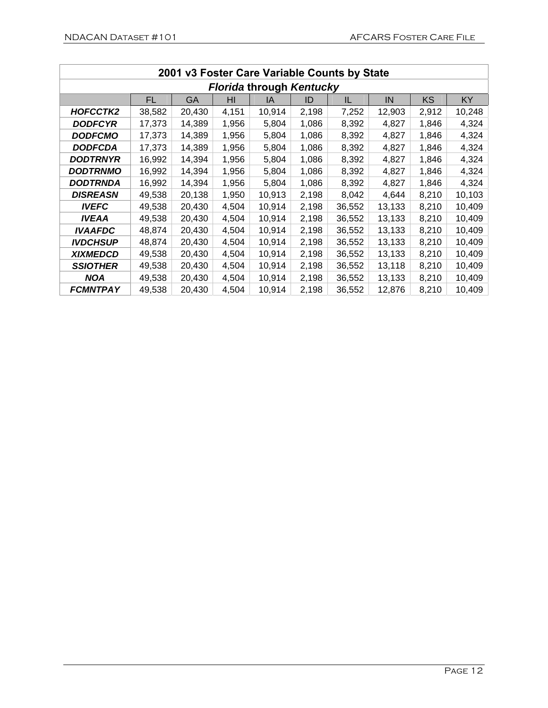| 2001 v3 Foster Care Variable Counts by State |                                 |           |       |        |       |        |        |       |           |  |  |  |  |
|----------------------------------------------|---------------------------------|-----------|-------|--------|-------|--------|--------|-------|-----------|--|--|--|--|
|                                              | <b>Florida through Kentucky</b> |           |       |        |       |        |        |       |           |  |  |  |  |
|                                              | FL                              | <b>GA</b> | HI    | IA     | ID    | IL     | IN     | KS    | <b>KY</b> |  |  |  |  |
| HOFCCTK2                                     | 38,582                          | 20,430    | 4,151 | 10,914 | 2,198 | 7,252  | 12,903 | 2,912 | 10,248    |  |  |  |  |
| <b>DODFCYR</b>                               | 17,373                          | 14,389    | 1,956 | 5,804  | 1,086 | 8,392  | 4,827  | 1,846 | 4,324     |  |  |  |  |
| <b>DODFCMO</b>                               | 17,373                          | 14,389    | 1,956 | 5,804  | 1,086 | 8,392  | 4,827  | 1,846 | 4,324     |  |  |  |  |
| <b>DODFCDA</b>                               | 17,373                          | 14,389    | 1,956 | 5,804  | 1,086 | 8,392  | 4,827  | 1,846 | 4,324     |  |  |  |  |
| DODTRNYR                                     | 16,992                          | 14,394    | 1,956 | 5,804  | 1,086 | 8,392  | 4,827  | 1,846 | 4,324     |  |  |  |  |
| <b>DODTRNMO</b>                              | 16,992                          | 14,394    | 1,956 | 5,804  | 1,086 | 8,392  | 4,827  | 1,846 | 4,324     |  |  |  |  |
| DODTRNDA                                     | 16,992                          | 14,394    | 1,956 | 5,804  | 1,086 | 8,392  | 4,827  | 1,846 | 4,324     |  |  |  |  |
| <b>DISREASN</b>                              | 49,538                          | 20,138    | 1,950 | 10,913 | 2,198 | 8,042  | 4,644  | 8,210 | 10,103    |  |  |  |  |
| <b>IVEFC</b>                                 | 49,538                          | 20,430    | 4,504 | 10,914 | 2,198 | 36,552 | 13,133 | 8,210 | 10,409    |  |  |  |  |
| <b>IVEAA</b>                                 | 49,538                          | 20,430    | 4,504 | 10,914 | 2,198 | 36,552 | 13,133 | 8,210 | 10,409    |  |  |  |  |
| <b>IVAAFDC</b>                               | 48,874                          | 20,430    | 4,504 | 10,914 | 2,198 | 36,552 | 13,133 | 8,210 | 10,409    |  |  |  |  |
| <b>IVDCHSUP</b>                              | 48,874                          | 20,430    | 4,504 | 10,914 | 2,198 | 36,552 | 13,133 | 8,210 | 10,409    |  |  |  |  |
| <b>XIXMEDCD</b>                              | 49,538                          | 20,430    | 4,504 | 10,914 | 2,198 | 36,552 | 13,133 | 8,210 | 10,409    |  |  |  |  |
| <b>SSIOTHER</b>                              | 49,538                          | 20,430    | 4,504 | 10,914 | 2,198 | 36,552 | 13,118 | 8,210 | 10,409    |  |  |  |  |
| <b>NOA</b>                                   | 49,538                          | 20,430    | 4,504 | 10,914 | 2,198 | 36,552 | 13,133 | 8,210 | 10,409    |  |  |  |  |
| <b>FCMNTPAY</b>                              | 49,538                          | 20,430    | 4,504 | 10,914 | 2,198 | 36,552 | 12,876 | 8,210 | 10,409    |  |  |  |  |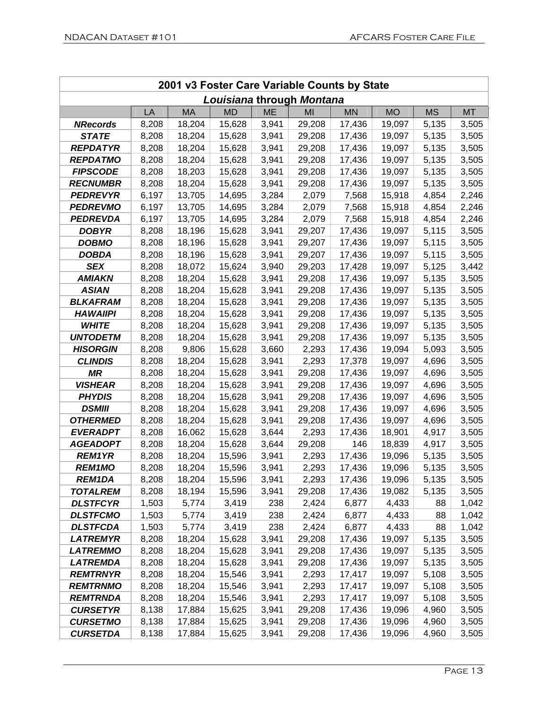| 2001 v3 Foster Care Variable Counts by State |       |           |                           |           |        |           |           |           |           |  |  |
|----------------------------------------------|-------|-----------|---------------------------|-----------|--------|-----------|-----------|-----------|-----------|--|--|
|                                              |       |           | Louisiana through Montana |           |        |           |           |           |           |  |  |
|                                              | LA    | <b>MA</b> | <b>MD</b>                 | <b>ME</b> | MI     | <b>MN</b> | <b>MO</b> | <b>MS</b> | <b>MT</b> |  |  |
| <b>NRecords</b>                              | 8,208 | 18,204    | 15,628                    | 3,941     | 29,208 | 17,436    | 19,097    | 5,135     | 3,505     |  |  |
| <b>STATE</b>                                 | 8,208 | 18,204    | 15,628                    | 3,941     | 29,208 | 17,436    | 19,097    | 5,135     | 3,505     |  |  |
| <b>REPDATYR</b>                              | 8,208 | 18,204    | 15,628                    | 3,941     | 29,208 | 17,436    | 19,097    | 5,135     | 3,505     |  |  |
| <b>REPDATMO</b>                              | 8,208 | 18,204    | 15,628                    | 3,941     | 29,208 | 17,436    | 19,097    | 5,135     | 3,505     |  |  |
| <b>FIPSCODE</b>                              | 8,208 | 18,203    | 15,628                    | 3,941     | 29,208 | 17,436    | 19,097    | 5,135     | 3,505     |  |  |
| <b>RECNUMBR</b>                              | 8,208 | 18,204    | 15,628                    | 3,941     | 29,208 | 17,436    | 19,097    | 5,135     | 3,505     |  |  |
| <b>PEDREVYR</b>                              | 6,197 | 13,705    | 14,695                    | 3,284     | 2,079  | 7,568     | 15,918    | 4,854     | 2,246     |  |  |
| <b>PEDREVMO</b>                              | 6,197 | 13,705    | 14,695                    | 3,284     | 2,079  | 7,568     | 15,918    | 4,854     | 2,246     |  |  |
| <b>PEDREVDA</b>                              | 6,197 | 13,705    | 14,695                    | 3,284     | 2,079  | 7,568     | 15,918    | 4,854     | 2,246     |  |  |
| <b>DOBYR</b>                                 | 8,208 | 18,196    | 15,628                    | 3,941     | 29,207 | 17,436    | 19,097    | 5,115     | 3,505     |  |  |
| <b>DOBMO</b>                                 | 8,208 | 18,196    | 15,628                    | 3,941     | 29,207 | 17,436    | 19,097    | 5,115     | 3,505     |  |  |
| <b>DOBDA</b>                                 | 8,208 | 18,196    | 15,628                    | 3,941     | 29,207 | 17,436    | 19,097    | 5,115     | 3,505     |  |  |
| <b>SEX</b>                                   | 8,208 | 18,072    | 15,624                    | 3,940     | 29,203 | 17,428    | 19,097    | 5,125     | 3,442     |  |  |
| <b>AMIAKN</b>                                | 8,208 | 18,204    | 15,628                    | 3,941     | 29,208 | 17,436    | 19,097    | 5,135     | 3,505     |  |  |
| <b>ASIAN</b>                                 | 8,208 | 18,204    | 15,628                    | 3,941     | 29,208 | 17,436    | 19,097    | 5,135     | 3,505     |  |  |
| <b>BLKAFRAM</b>                              | 8,208 | 18,204    | 15,628                    | 3,941     | 29,208 | 17,436    | 19,097    | 5,135     | 3,505     |  |  |
| <b>HAWAIIPI</b>                              | 8,208 | 18,204    | 15,628                    | 3,941     | 29,208 | 17,436    | 19,097    | 5,135     | 3,505     |  |  |
| <b>WHITE</b>                                 | 8,208 | 18,204    | 15,628                    | 3,941     | 29,208 | 17,436    | 19,097    | 5,135     | 3,505     |  |  |
| <b>UNTODETM</b>                              | 8,208 | 18,204    | 15,628                    | 3,941     | 29,208 | 17,436    | 19,097    | 5,135     | 3,505     |  |  |
| <b>HISORGIN</b>                              | 8,208 | 9,806     | 15,628                    | 3,660     | 2,293  | 17,436    | 19,094    | 5,093     | 3,505     |  |  |
| <b>CLINDIS</b>                               | 8,208 | 18,204    | 15,628                    | 3,941     | 2,293  | 17,378    | 19,097    | 4,696     | 3,505     |  |  |
| <b>MR</b>                                    | 8,208 | 18,204    | 15,628                    | 3,941     | 29,208 | 17,436    | 19,097    | 4,696     | 3,505     |  |  |
| <b>VISHEAR</b>                               | 8,208 | 18,204    | 15,628                    | 3,941     | 29,208 | 17,436    | 19,097    | 4,696     | 3,505     |  |  |
| <b>PHYDIS</b>                                | 8,208 | 18,204    | 15,628                    | 3,941     | 29,208 | 17,436    | 19,097    | 4,696     | 3,505     |  |  |
| <b>DSMIII</b>                                | 8,208 | 18,204    | 15,628                    | 3,941     | 29,208 | 17,436    | 19,097    | 4,696     | 3,505     |  |  |
| <b>OTHERMED</b>                              | 8,208 | 18,204    | 15,628                    | 3,941     | 29,208 | 17,436    | 19,097    | 4,696     | 3,505     |  |  |
| <b>EVERADPT</b>                              | 8,208 | 16,062    | 15,628                    | 3,644     | 2,293  | 17,436    | 18,901    | 4,917     | 3,505     |  |  |
| <b>AGEADOPT</b>                              | 8,208 | 18,204    | 15,628                    | 3,644     | 29,208 | 146       | 18,839    | 4,917     | 3,505     |  |  |
| <b>REM1YR</b>                                | 8,208 | 18,204    | 15,596                    | 3,941     | 2,293  | 17,436    | 19,096    | 5,135     | 3,505     |  |  |
| <b>REM1MO</b>                                | 8,208 | 18,204    | 15,596                    | 3,941     | 2,293  | 17,436    | 19,096    | 5,135     | 3,505     |  |  |
| REM1DA                                       | 8,208 | 18,204    | 15,596                    | 3,941     | 2,293  | 17,436    | 19,096    | 5,135     | 3,505     |  |  |
| <b>TOTALREM</b>                              | 8,208 | 18,194    | 15,596                    | 3,941     | 29,208 | 17,436    | 19,082    | 5,135     | 3,505     |  |  |
| <b>DLSTFCYR</b>                              | 1,503 | 5,774     | 3,419                     | 238       | 2,424  | 6,877     | 4,433     | 88        | 1,042     |  |  |
| <b>DLSTFCMO</b>                              | 1,503 | 5,774     | 3,419                     | 238       | 2,424  | 6,877     | 4,433     | 88        | 1,042     |  |  |
| <b>DLSTFCDA</b>                              | 1,503 | 5,774     | 3,419                     | 238       | 2,424  | 6,877     | 4,433     | 88        | 1,042     |  |  |
| <b>LATREMYR</b>                              | 8,208 | 18,204    | 15,628                    | 3,941     | 29,208 | 17,436    | 19,097    | 5,135     | 3,505     |  |  |
| <b>LATREMMO</b>                              | 8,208 | 18,204    | 15,628                    | 3,941     | 29,208 | 17,436    | 19,097    | 5,135     | 3,505     |  |  |
| <b>LATREMDA</b>                              | 8,208 | 18,204    | 15,628                    | 3,941     | 29,208 | 17,436    | 19,097    | 5,135     | 3,505     |  |  |
| <b>REMTRNYR</b>                              | 8,208 | 18,204    | 15,546                    | 3,941     | 2,293  | 17,417    | 19,097    | 5,108     | 3,505     |  |  |
| <b>REMTRNMO</b>                              | 8,208 | 18,204    | 15,546                    | 3,941     | 2,293  | 17,417    | 19,097    | 5,108     | 3,505     |  |  |
| <b>REMTRNDA</b>                              | 8,208 | 18,204    | 15,546                    | 3,941     | 2,293  | 17,417    | 19,097    | 5,108     | 3,505     |  |  |
| <b>CURSETYR</b>                              | 8,138 | 17,884    | 15,625                    | 3,941     | 29,208 | 17,436    | 19,096    | 4,960     | 3,505     |  |  |
| <b>CURSETMO</b>                              | 8,138 | 17,884    | 15,625                    | 3,941     | 29,208 | 17,436    | 19,096    | 4,960     | 3,505     |  |  |
| <b>CURSETDA</b>                              | 8,138 | 17,884    | 15,625                    | 3,941     | 29,208 | 17,436    | 19,096    | 4,960     | 3,505     |  |  |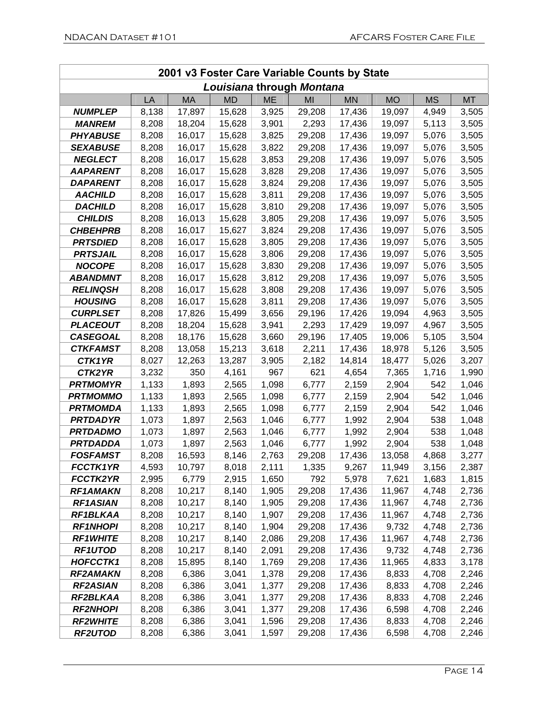|                 | 2001 v3 Foster Care Variable Counts by State |           |                           |           |        |           |           |           |           |
|-----------------|----------------------------------------------|-----------|---------------------------|-----------|--------|-----------|-----------|-----------|-----------|
|                 |                                              |           | Louisiana through Montana |           |        |           |           |           |           |
|                 | LA                                           | <b>MA</b> | <b>MD</b>                 | <b>ME</b> | MI     | <b>MN</b> | <b>MO</b> | <b>MS</b> | <b>MT</b> |
| <b>NUMPLEP</b>  | 8,138                                        | 17,897    | 15,628                    | 3,925     | 29,208 | 17,436    | 19,097    | 4,949     | 3,505     |
| <b>MANREM</b>   | 8,208                                        | 18,204    | 15,628                    | 3,901     | 2,293  | 17,436    | 19,097    | 5,113     | 3,505     |
| <b>PHYABUSE</b> | 8,208                                        | 16,017    | 15,628                    | 3,825     | 29,208 | 17,436    | 19,097    | 5,076     | 3,505     |
| <b>SEXABUSE</b> | 8,208                                        | 16,017    | 15,628                    | 3,822     | 29,208 | 17,436    | 19,097    | 5,076     | 3,505     |
| <b>NEGLECT</b>  | 8,208                                        | 16,017    | 15,628                    | 3,853     | 29,208 | 17,436    | 19,097    | 5,076     | 3,505     |
| <b>AAPARENT</b> | 8,208                                        | 16,017    | 15,628                    | 3,828     | 29,208 | 17,436    | 19,097    | 5,076     | 3,505     |
| <b>DAPARENT</b> | 8,208                                        | 16,017    | 15,628                    | 3,824     | 29,208 | 17,436    | 19,097    | 5,076     | 3,505     |
| <b>AACHILD</b>  | 8,208                                        | 16,017    | 15,628                    | 3,811     | 29,208 | 17,436    | 19,097    | 5,076     | 3,505     |
| <b>DACHILD</b>  | 8,208                                        | 16,017    | 15,628                    | 3,810     | 29,208 | 17,436    | 19,097    | 5,076     | 3,505     |
| <b>CHILDIS</b>  | 8,208                                        | 16,013    | 15,628                    | 3,805     | 29,208 | 17,436    | 19,097    | 5,076     | 3,505     |
| <b>CHBEHPRB</b> | 8,208                                        | 16,017    | 15,627                    | 3,824     | 29,208 | 17,436    | 19,097    | 5,076     | 3,505     |
| <b>PRTSDIED</b> | 8,208                                        | 16,017    | 15,628                    | 3,805     | 29,208 | 17,436    | 19,097    | 5,076     | 3,505     |
| <b>PRTSJAIL</b> | 8,208                                        | 16,017    | 15,628                    | 3,806     | 29,208 | 17,436    | 19,097    | 5,076     | 3,505     |
| <b>NOCOPE</b>   | 8,208                                        | 16,017    | 15,628                    | 3,830     | 29,208 | 17,436    | 19,097    | 5,076     | 3,505     |
| <b>ABANDMNT</b> | 8,208                                        | 16,017    | 15,628                    | 3,812     | 29,208 | 17,436    | 19,097    | 5,076     | 3,505     |
| <b>RELINQSH</b> | 8,208                                        | 16,017    | 15,628                    | 3,808     | 29,208 | 17,436    | 19,097    | 5,076     | 3,505     |
| <b>HOUSING</b>  | 8,208                                        | 16,017    | 15,628                    | 3,811     | 29,208 | 17,436    | 19,097    | 5,076     | 3,505     |
| <b>CURPLSET</b> | 8,208                                        | 17,826    | 15,499                    | 3,656     | 29,196 | 17,426    | 19,094    | 4,963     | 3,505     |
| <b>PLACEOUT</b> | 8,208                                        | 18,204    | 15,628                    | 3,941     | 2,293  | 17,429    | 19,097    | 4,967     | 3,505     |
| <b>CASEGOAL</b> | 8,208                                        | 18,176    | 15,628                    | 3,660     | 29,196 | 17,405    | 19,006    | 5,105     | 3,504     |
| <b>CTKFAMST</b> | 8,208                                        | 13,058    | 15,213                    | 3,618     | 2,211  | 17,436    | 18,978    | 5,126     | 3,505     |
| CTK1YR          | 8,027                                        | 12,263    | 13,287                    | 3,905     | 2,182  | 14,814    | 18,477    | 5,026     | 3,207     |
| CTK2YR          | 3,232                                        | 350       | 4,161                     | 967       | 621    | 4,654     | 7,365     | 1,716     | 1,990     |
| <b>PRTMOMYR</b> | 1,133                                        | 1,893     | 2,565                     | 1,098     | 6,777  | 2,159     | 2,904     | 542       | 1,046     |
| <b>PRTMOMMO</b> | 1,133                                        | 1,893     | 2,565                     | 1,098     | 6,777  | 2,159     | 2,904     | 542       | 1,046     |
| <b>PRTMOMDA</b> | 1,133                                        | 1,893     | 2,565                     | 1,098     | 6,777  | 2,159     | 2,904     | 542       | 1,046     |
| <b>PRTDADYR</b> | 1,073                                        | 1,897     | 2,563                     | 1,046     | 6,777  | 1,992     | 2,904     | 538       | 1,048     |
| <b>PRTDADMO</b> | 1,073                                        | 1,897     | 2,563                     | 1,046     | 6,777  | 1,992     | 2,904     | 538       | 1,048     |
| <b>PRTDADDA</b> | 1,073                                        | 1,897     | 2,563                     | 1,046     | 6,777  | 1,992     | 2,904     | 538       | 1,048     |
| <b>FOSFAMST</b> | 8,208                                        | 16,593    | 8,146                     | 2,763     | 29,208 | 17,436    | 13,058    | 4,868     | 3,277     |
| <b>FCCTK1YR</b> | 4,593                                        | 10,797    | 8,018                     | 2,111     | 1,335  | 9,267     | 11,949    | 3,156     | 2,387     |
| <b>FCCTK2YR</b> | 2,995                                        | 6,779     | 2,915                     | 1,650     | 792    | 5,978     | 7,621     | 1,683     | 1,815     |
| <b>RF1AMAKN</b> | 8,208                                        | 10,217    | 8,140                     | 1,905     | 29,208 | 17,436    | 11,967    | 4,748     | 2,736     |
| <b>RF1ASIAN</b> | 8,208                                        | 10,217    | 8,140                     | 1,905     | 29,208 | 17,436    | 11,967    | 4,748     | 2,736     |
| RF1BLKAA        | 8,208                                        | 10,217    | 8,140                     | 1,907     | 29,208 | 17,436    | 11,967    | 4,748     | 2,736     |
| <b>RF1NHOPI</b> | 8,208                                        | 10,217    | 8,140                     | 1,904     | 29,208 | 17,436    | 9,732     | 4,748     | 2,736     |
| <b>RF1WHITE</b> | 8,208                                        | 10,217    | 8,140                     | 2,086     | 29,208 | 17,436    | 11,967    | 4,748     | 2,736     |
| <b>RF1UTOD</b>  | 8,208                                        | 10,217    | 8,140                     | 2,091     | 29,208 | 17,436    | 9,732     | 4,748     | 2,736     |
| <b>HOFCCTK1</b> | 8,208                                        | 15,895    | 8,140                     | 1,769     | 29,208 | 17,436    | 11,965    | 4,833     | 3,178     |
| <b>RF2AMAKN</b> | 8,208                                        | 6,386     | 3,041                     | 1,378     | 29,208 | 17,436    | 8,833     | 4,708     | 2,246     |
| <b>RF2ASIAN</b> | 8,208                                        | 6,386     | 3,041                     | 1,377     | 29,208 | 17,436    | 8,833     | 4,708     | 2,246     |
| RF2BLKAA        | 8,208                                        | 6,386     | 3,041                     | 1,377     | 29,208 | 17,436    | 8,833     | 4,708     | 2,246     |
| <b>RF2NHOPI</b> | 8,208                                        | 6,386     | 3,041                     | 1,377     | 29,208 | 17,436    | 6,598     | 4,708     | 2,246     |
| <b>RF2WHITE</b> | 8,208                                        | 6,386     | 3,041                     | 1,596     | 29,208 | 17,436    | 8,833     | 4,708     | 2,246     |
| <b>RF2UTOD</b>  | 8,208                                        | 6,386     | 3,041                     | 1,597     | 29,208 | 17,436    | 6,598     | 4,708     | 2,246     |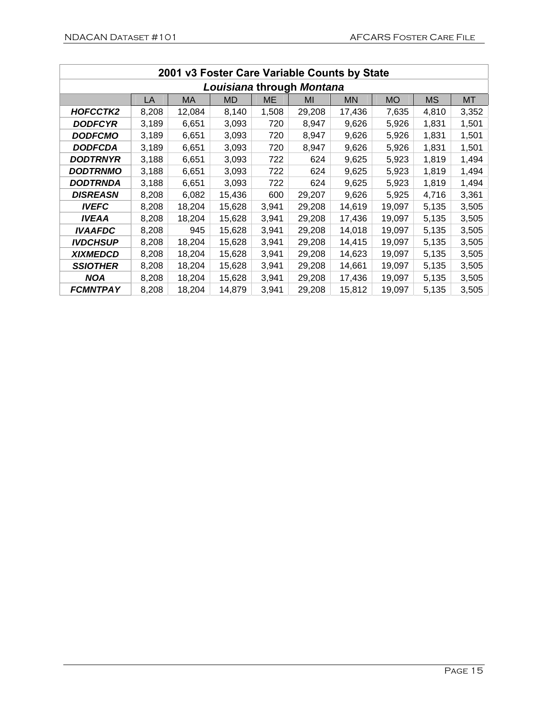|                 | 2001 v3 Foster Care Variable Counts by State |        |           |       |                           |           |           |           |           |
|-----------------|----------------------------------------------|--------|-----------|-------|---------------------------|-----------|-----------|-----------|-----------|
|                 |                                              |        |           |       | Louisiana through Montana |           |           |           |           |
|                 | LA                                           | МA     | <b>MD</b> | ME    | MI                        | <b>MN</b> | <b>MO</b> | <b>MS</b> | <b>MT</b> |
| HOFCCTK2        | 8,208                                        | 12,084 | 8,140     | 1,508 | 29,208                    | 17,436    | 7,635     | 4,810     | 3,352     |
| <b>DODFCYR</b>  | 3,189                                        | 6,651  | 3,093     | 720   | 8,947                     | 9,626     | 5,926     | 1,831     | 1,501     |
| <b>DODFCMO</b>  | 3,189                                        | 6,651  | 3,093     | 720   | 8,947                     | 9,626     | 5,926     | 1,831     | 1,501     |
| <b>DODFCDA</b>  | 3,189                                        | 6,651  | 3,093     | 720   | 8,947                     | 9,626     | 5,926     | 1,831     | 1,501     |
| <b>DODTRNYR</b> | 3,188                                        | 6,651  | 3,093     | 722   | 624                       | 9,625     | 5,923     | 1,819     | 1,494     |
| <b>DODTRNMO</b> | 3,188                                        | 6,651  | 3,093     | 722   | 624                       | 9,625     | 5,923     | 1,819     | 1,494     |
| DODTRNDA        | 3,188                                        | 6,651  | 3,093     | 722   | 624                       | 9,625     | 5,923     | 1,819     | 1,494     |
| <b>DISREASN</b> | 8,208                                        | 6,082  | 15,436    | 600   | 29,207                    | 9,626     | 5,925     | 4,716     | 3,361     |
| <b>IVEFC</b>    | 8,208                                        | 18,204 | 15,628    | 3,941 | 29,208                    | 14,619    | 19,097    | 5,135     | 3,505     |
| <b>IVEAA</b>    | 8,208                                        | 18,204 | 15,628    | 3,941 | 29,208                    | 17,436    | 19,097    | 5,135     | 3,505     |
| <b>IVAAFDC</b>  | 8,208                                        | 945    | 15,628    | 3,941 | 29,208                    | 14,018    | 19,097    | 5,135     | 3,505     |
| <b>IVDCHSUP</b> | 8,208                                        | 18,204 | 15,628    | 3,941 | 29,208                    | 14,415    | 19,097    | 5,135     | 3,505     |
| <b>XIXMEDCD</b> | 8,208                                        | 18,204 | 15,628    | 3,941 | 29,208                    | 14,623    | 19,097    | 5,135     | 3,505     |
| <b>SSIOTHER</b> | 8,208                                        | 18,204 | 15,628    | 3,941 | 29,208                    | 14,661    | 19,097    | 5,135     | 3,505     |
| <b>NOA</b>      | 8,208                                        | 18,204 | 15,628    | 3,941 | 29,208                    | 17,436    | 19,097    | 5,135     | 3,505     |
| <b>FCMNTPAY</b> | 8,208                                        | 18,204 | 14,879    | 3,941 | 29,208                    | 15,812    | 19,097    | 5,135     | 3,505     |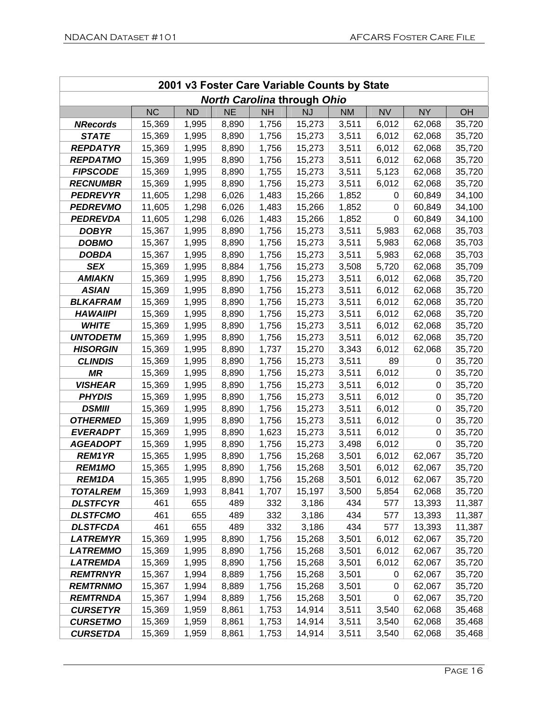|                 | 2001 v3 Foster Care Variable Counts by State |           |           |           |                                    |           |           |           |        |
|-----------------|----------------------------------------------|-----------|-----------|-----------|------------------------------------|-----------|-----------|-----------|--------|
|                 |                                              |           |           |           | <b>North Carolina through Ohio</b> |           |           |           |        |
|                 | <b>NC</b>                                    | <b>ND</b> | <b>NE</b> | <b>NH</b> | <b>NJ</b>                          | <b>NM</b> | <b>NV</b> | <b>NY</b> | OH     |
| <b>NRecords</b> | 15,369                                       | 1,995     | 8,890     | 1,756     | 15,273                             | 3,511     | 6,012     | 62,068    | 35,720 |
| <b>STATE</b>    | 15,369                                       | 1,995     | 8,890     | 1,756     | 15,273                             | 3,511     | 6,012     | 62,068    | 35,720 |
| <b>REPDATYR</b> | 15,369                                       | 1,995     | 8,890     | 1,756     | 15,273                             | 3,511     | 6,012     | 62,068    | 35,720 |
| <b>REPDATMO</b> | 15,369                                       | 1,995     | 8,890     | 1,756     | 15,273                             | 3,511     | 6,012     | 62,068    | 35,720 |
| <b>FIPSCODE</b> | 15,369                                       | 1,995     | 8,890     | 1,755     | 15,273                             | 3,511     | 5,123     | 62,068    | 35,720 |
| <b>RECNUMBR</b> | 15,369                                       | 1,995     | 8,890     | 1,756     | 15,273                             | 3,511     | 6,012     | 62,068    | 35,720 |
| <b>PEDREVYR</b> | 11,605                                       | 1,298     | 6,026     | 1,483     | 15,266                             | 1,852     | 0         | 60,849    | 34,100 |
| <b>PEDREVMO</b> | 11,605                                       | 1,298     | 6,026     | 1,483     | 15,266                             | 1,852     | 0         | 60,849    | 34,100 |
| <b>PEDREVDA</b> | 11,605                                       | 1,298     | 6,026     | 1,483     | 15,266                             | 1,852     | 0         | 60,849    | 34,100 |
| <b>DOBYR</b>    | 15,367                                       | 1,995     | 8,890     | 1,756     | 15,273                             | 3,511     | 5,983     | 62,068    | 35,703 |
| <b>DOBMO</b>    | 15,367                                       | 1,995     | 8,890     | 1,756     | 15,273                             | 3,511     | 5,983     | 62,068    | 35,703 |
| <b>DOBDA</b>    | 15,367                                       | 1,995     | 8,890     | 1,756     | 15,273                             | 3,511     | 5,983     | 62,068    | 35,703 |
| <b>SEX</b>      | 15,369                                       | 1,995     | 8,884     | 1,756     | 15,273                             | 3,508     | 5,720     | 62,068    | 35,709 |
| <b>AMIAKN</b>   | 15,369                                       | 1,995     | 8,890     | 1,756     | 15,273                             | 3,511     | 6,012     | 62,068    | 35,720 |
| <b>ASIAN</b>    | 15,369                                       | 1,995     | 8,890     | 1,756     | 15,273                             | 3,511     | 6,012     | 62,068    | 35,720 |
| <b>BLKAFRAM</b> | 15,369                                       | 1,995     | 8,890     | 1,756     | 15,273                             | 3,511     | 6,012     | 62,068    | 35,720 |
| <b>HAWAIIPI</b> | 15,369                                       | 1,995     | 8,890     | 1,756     | 15,273                             | 3,511     | 6,012     | 62,068    | 35,720 |
| <b>WHITE</b>    | 15,369                                       | 1,995     | 8,890     | 1,756     | 15,273                             | 3,511     | 6,012     | 62,068    | 35,720 |
| <b>UNTODETM</b> | 15,369                                       | 1,995     | 8,890     | 1,756     | 15,273                             | 3,511     | 6,012     | 62,068    | 35,720 |
| <b>HISORGIN</b> | 15,369                                       | 1,995     | 8,890     | 1,737     | 15,270                             | 3,343     | 6,012     | 62,068    | 35,720 |
| <b>CLINDIS</b>  | 15,369                                       | 1,995     | 8,890     | 1,756     | 15,273                             | 3,511     | 89        | 0         | 35,720 |
| <b>MR</b>       | 15,369                                       | 1,995     | 8,890     | 1,756     | 15,273                             | 3,511     | 6,012     | 0         | 35,720 |
| <b>VISHEAR</b>  | 15,369                                       | 1,995     | 8,890     | 1,756     | 15,273                             | 3,511     | 6,012     | 0         | 35,720 |
| <b>PHYDIS</b>   | 15,369                                       | 1,995     | 8,890     | 1,756     | 15,273                             | 3,511     | 6,012     | 0         | 35,720 |
| <b>DSMIII</b>   | 15,369                                       | 1,995     | 8,890     | 1,756     | 15,273                             | 3,511     | 6,012     | 0         | 35,720 |
| <b>OTHERMED</b> | 15,369                                       | 1,995     | 8,890     | 1,756     | 15,273                             | 3,511     | 6,012     | 0         | 35,720 |
| <b>EVERADPT</b> | 15,369                                       | 1,995     | 8,890     | 1,623     | 15,273                             | 3,511     | 6,012     | 0         | 35,720 |
| <b>AGEADOPT</b> | 15,369                                       | 1,995     | 8,890     | 1,756     | 15,273                             | 3,498     | 6,012     | 0         | 35,720 |
| <b>REM1YR</b>   | 15,365                                       | 1,995     | 8,890     | 1,756     | 15,268                             | 3,501     | 6,012     | 62,067    | 35,720 |
| <b>REM1MO</b>   | 15,365                                       | 1,995     | 8,890     | 1,756     | 15,268                             | 3,501     | 6,012     | 62,067    | 35,720 |
| REM1DA          | 15,365                                       | 1,995     | 8,890     | 1,756     | 15,268                             | 3,501     | 6,012     | 62,067    | 35,720 |
| <b>TOTALREM</b> | 15,369                                       | 1,993     | 8,841     | 1,707     | 15,197                             | 3,500     | 5,854     | 62,068    | 35,720 |
| <b>DLSTFCYR</b> | 461                                          | 655       | 489       | 332       | 3,186                              | 434       | 577       | 13,393    | 11,387 |
| <b>DLSTFCMO</b> | 461                                          | 655       | 489       | 332       | 3,186                              | 434       | 577       | 13,393    | 11,387 |
| <b>DLSTFCDA</b> | 461                                          | 655       | 489       | 332       | 3,186                              | 434       | 577       | 13,393    | 11,387 |
| <b>LATREMYR</b> | 15,369                                       | 1,995     | 8,890     | 1,756     | 15,268                             | 3,501     | 6,012     | 62,067    | 35,720 |
| <b>LATREMMO</b> | 15,369                                       | 1,995     | 8,890     | 1,756     | 15,268                             | 3,501     | 6,012     | 62,067    | 35,720 |
| <b>LATREMDA</b> | 15,369                                       | 1,995     | 8,890     | 1,756     | 15,268                             | 3,501     | 6,012     | 62,067    | 35,720 |
| <b>REMTRNYR</b> | 15,367                                       | 1,994     | 8,889     | 1,756     | 15,268                             | 3,501     | 0         | 62,067    | 35,720 |
| <b>REMTRNMO</b> | 15,367                                       | 1,994     | 8,889     | 1,756     | 15,268                             | 3,501     | 0         | 62,067    | 35,720 |
| <b>REMTRNDA</b> | 15,367                                       | 1,994     | 8,889     | 1,756     | 15,268                             | 3,501     | 0         | 62,067    | 35,720 |
| <b>CURSETYR</b> | 15,369                                       | 1,959     | 8,861     | 1,753     | 14,914                             | 3,511     | 3,540     | 62,068    | 35,468 |
| <b>CURSETMO</b> | 15,369                                       | 1,959     | 8,861     | 1,753     | 14,914                             | 3,511     | 3,540     | 62,068    | 35,468 |
| <b>CURSETDA</b> | 15,369                                       | 1,959     | 8,861     | 1,753     | 14,914                             | 3,511     | 3,540     | 62,068    | 35,468 |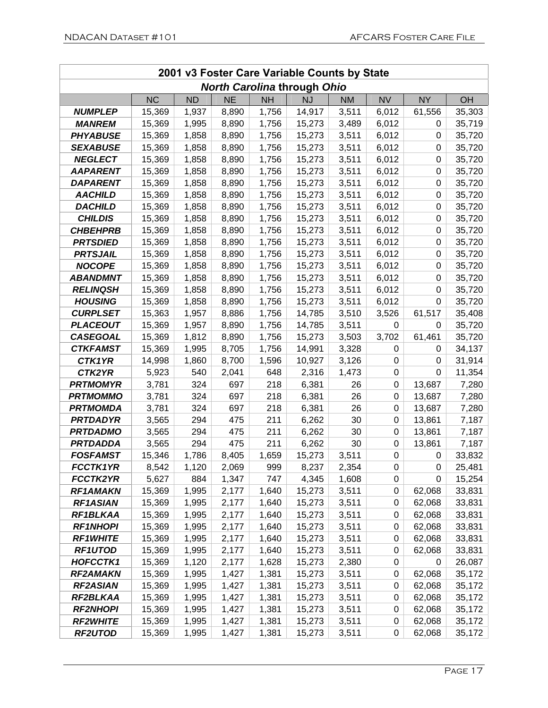|                 | 2001 v3 Foster Care Variable Counts by State |           |           |           |                                    |           |           |           |           |
|-----------------|----------------------------------------------|-----------|-----------|-----------|------------------------------------|-----------|-----------|-----------|-----------|
|                 |                                              |           |           |           | <b>North Carolina through Ohio</b> |           |           |           |           |
|                 | <b>NC</b>                                    | <b>ND</b> | <b>NE</b> | <b>NH</b> | <b>NJ</b>                          | <b>NM</b> | <b>NV</b> | <b>NY</b> | <b>OH</b> |
| <b>NUMPLEP</b>  | 15,369                                       | 1,937     | 8,890     | 1,756     | 14,917                             | 3,511     | 6,012     | 61,556    | 35,303    |
| <b>MANREM</b>   | 15,369                                       | 1,995     | 8,890     | 1,756     | 15,273                             | 3,489     | 6,012     | 0         | 35,719    |
| <b>PHYABUSE</b> | 15,369                                       | 1,858     | 8,890     | 1,756     | 15,273                             | 3,511     | 6,012     | 0         | 35,720    |
| <b>SEXABUSE</b> | 15,369                                       | 1,858     | 8,890     | 1,756     | 15,273                             | 3,511     | 6,012     | 0         | 35,720    |
| <b>NEGLECT</b>  | 15,369                                       | 1,858     | 8,890     | 1,756     | 15,273                             | 3,511     | 6,012     | 0         | 35,720    |
| <b>AAPARENT</b> | 15,369                                       | 1,858     | 8,890     | 1,756     | 15,273                             | 3,511     | 6,012     | 0         | 35,720    |
| <b>DAPARENT</b> | 15,369                                       | 1,858     | 8,890     | 1,756     | 15,273                             | 3,511     | 6,012     | 0         | 35,720    |
| <b>AACHILD</b>  | 15,369                                       | 1,858     | 8,890     | 1,756     | 15,273                             | 3,511     | 6,012     | 0         | 35,720    |
| <b>DACHILD</b>  | 15,369                                       | 1,858     | 8,890     | 1,756     | 15,273                             | 3,511     | 6,012     | 0         | 35,720    |
| <b>CHILDIS</b>  | 15,369                                       | 1,858     | 8,890     | 1,756     | 15,273                             | 3,511     | 6,012     | 0         | 35,720    |
| <b>CHBEHPRB</b> | 15,369                                       | 1,858     | 8,890     | 1,756     | 15,273                             | 3,511     | 6,012     | 0         | 35,720    |
| <b>PRTSDIED</b> | 15,369                                       | 1,858     | 8,890     | 1,756     | 15,273                             | 3,511     | 6,012     | 0         | 35,720    |
| <b>PRTSJAIL</b> | 15,369                                       | 1,858     | 8,890     | 1,756     | 15,273                             | 3,511     | 6,012     | 0         | 35,720    |
| <b>NOCOPE</b>   | 15,369                                       | 1,858     | 8,890     | 1,756     | 15,273                             | 3,511     | 6,012     | 0         | 35,720    |
| <b>ABANDMNT</b> | 15,369                                       | 1,858     | 8,890     | 1,756     | 15,273                             | 3,511     | 6,012     | 0         | 35,720    |
| <b>RELINQSH</b> | 15,369                                       | 1,858     | 8,890     | 1,756     | 15,273                             | 3,511     | 6,012     | 0         | 35,720    |
| <b>HOUSING</b>  | 15,369                                       | 1,858     | 8,890     | 1,756     | 15,273                             | 3,511     | 6,012     | 0         | 35,720    |
| <b>CURPLSET</b> | 15,363                                       | 1,957     | 8,886     | 1,756     | 14,785                             | 3,510     | 3,526     | 61,517    | 35,408    |
| <b>PLACEOUT</b> | 15,369                                       | 1,957     | 8,890     | 1,756     | 14,785                             | 3,511     | 0         | 0         | 35,720    |
| <b>CASEGOAL</b> | 15,369                                       | 1,812     | 8,890     | 1,756     | 15,273                             | 3,503     | 3,702     | 61,461    | 35,720    |
| <b>CTKFAMST</b> | 15,369                                       | 1,995     | 8,705     | 1,756     | 14,991                             | 3,328     | 0         | 0         | 34,137    |
| CTK1YR          | 14,998                                       | 1,860     | 8,700     | 1,596     | 10,927                             | 3,126     | 0         | 0         | 31,914    |
| CTK2YR          | 5,923                                        | 540       | 2,041     | 648       | 2,316                              | 1,473     | 0         | 0         | 11,354    |
| <b>PRTMOMYR</b> | 3,781                                        | 324       | 697       | 218       | 6,381                              | 26        | 0         | 13,687    | 7,280     |
| <b>PRTMOMMO</b> | 3,781                                        | 324       | 697       | 218       | 6,381                              | 26        | 0         | 13,687    | 7,280     |
| <b>PRTMOMDA</b> | 3,781                                        | 324       | 697       | 218       | 6,381                              | 26        | 0         | 13,687    | 7,280     |
| <b>PRTDADYR</b> | 3,565                                        | 294       | 475       | 211       | 6,262                              | 30        | 0         | 13,861    | 7,187     |
| <b>PRTDADMO</b> | 3,565                                        | 294       | 475       | 211       | 6,262                              | 30        | 0         | 13,861    | 7,187     |
| <b>PRTDADDA</b> | 3,565                                        | 294       | 475       | 211       | 6,262                              | 30        | $\pmb{0}$ | 13,861    | 7,187     |
| <b>FOSFAMST</b> | 15,346                                       | 1,786     | 8,405     | 1,659     | 15,273                             | 3,511     | 0         | 0         | 33,832    |
| <b>FCCTK1YR</b> | 8,542                                        | 1,120     | 2,069     | 999       | 8,237                              | 2,354     | 0         | 0         | 25,481    |
| <b>FCCTK2YR</b> | 5,627                                        | 884       | 1,347     | 747       | 4,345                              | 1,608     | 0         | 0         | 15,254    |
| <b>RF1AMAKN</b> | 15,369                                       | 1,995     | 2,177     | 1,640     | 15,273                             | 3,511     | 0         | 62,068    | 33,831    |
| <b>RF1ASIAN</b> | 15,369                                       | 1,995     | 2,177     | 1,640     | 15,273                             | 3,511     | 0         | 62,068    | 33,831    |
| RF1BLKAA        | 15,369                                       | 1,995     | 2,177     | 1,640     | 15,273                             | 3,511     | 0         | 62,068    | 33,831    |
| <b>RF1NHOPI</b> | 15,369                                       | 1,995     | 2,177     | 1,640     | 15,273                             | 3,511     | 0         | 62,068    | 33,831    |
| <b>RF1WHITE</b> | 15,369                                       | 1,995     | 2,177     | 1,640     | 15,273                             | 3,511     | 0         | 62,068    | 33,831    |
| <b>RF1UTOD</b>  | 15,369                                       | 1,995     | 2,177     | 1,640     | 15,273                             | 3,511     | 0         | 62,068    | 33,831    |
| <b>HOFCCTK1</b> | 15,369                                       | 1,120     | 2,177     | 1,628     | 15,273                             | 2,380     | 0         | 0         | 26,087    |
| <b>RF2AMAKN</b> | 15,369                                       | 1,995     | 1,427     | 1,381     | 15,273                             | 3,511     | 0         | 62,068    | 35,172    |
| <b>RF2ASIAN</b> | 15,369                                       | 1,995     | 1,427     | 1,381     | 15,273                             | 3,511     | 0         | 62,068    | 35,172    |
| RF2BLKAA        | 15,369                                       | 1,995     | 1,427     | 1,381     | 15,273                             | 3,511     | 0         | 62,068    | 35,172    |
| <b>RF2NHOPI</b> | 15,369                                       | 1,995     | 1,427     | 1,381     | 15,273                             | 3,511     | 0         | 62,068    | 35,172    |
| <b>RF2WHITE</b> | 15,369                                       | 1,995     | 1,427     | 1,381     | 15,273                             | 3,511     | 0         | 62,068    | 35,172    |
| <b>RF2UTOD</b>  | 15,369                                       | 1,995     | 1,427     | 1,381     | 15,273                             | 3,511     | 0         | 62,068    | 35,172    |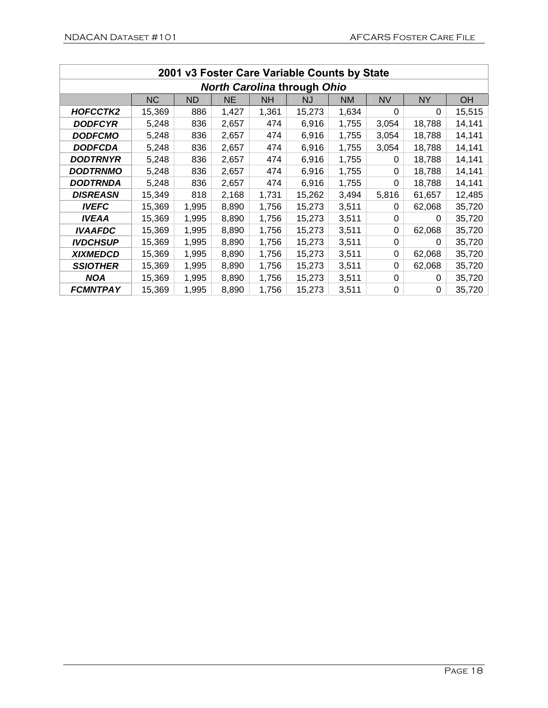| 2001 v3 Foster Care Variable Counts by State |           |           |           |           |        |           |           |           |           |
|----------------------------------------------|-----------|-----------|-----------|-----------|--------|-----------|-----------|-----------|-----------|
| <b>North Carolina through Ohio</b>           |           |           |           |           |        |           |           |           |           |
|                                              | <b>NC</b> | <b>ND</b> | <b>NE</b> | <b>NH</b> | NJ     | <b>NM</b> | <b>NV</b> | <b>NY</b> | <b>OH</b> |
| HOFCCTK2                                     | 15,369    | 886       | 1,427     | 1,361     | 15,273 | 1,634     | 0         | 0         | 15,515    |
| <b>DODFCYR</b>                               | 5,248     | 836       | 2,657     | 474       | 6,916  | 1,755     | 3,054     | 18,788    | 14,141    |
| <b>DODFCMO</b>                               | 5,248     | 836       | 2,657     | 474       | 6,916  | 1,755     | 3,054     | 18,788    | 14,141    |
| <b>DODFCDA</b>                               | 5,248     | 836       | 2,657     | 474       | 6,916  | 1,755     | 3,054     | 18,788    | 14,141    |
| <b>DODTRNYR</b>                              | 5,248     | 836       | 2,657     | 474       | 6,916  | 1,755     | 0         | 18,788    | 14,141    |
| <b>DODTRNMO</b>                              | 5,248     | 836       | 2,657     | 474       | 6,916  | 1,755     | 0         | 18,788    | 14,141    |
| <b>DODTRNDA</b>                              | 5,248     | 836       | 2,657     | 474       | 6,916  | 1,755     | 0         | 18,788    | 14,141    |
| <b>DISREASN</b>                              | 15,349    | 818       | 2,168     | 1,731     | 15,262 | 3,494     | 5,816     | 61,657    | 12,485    |
| <b>IVEFC</b>                                 | 15,369    | 1,995     | 8,890     | 1,756     | 15,273 | 3,511     | 0         | 62,068    | 35,720    |
| <b>IVEAA</b>                                 | 15,369    | 1,995     | 8,890     | 1,756     | 15,273 | 3,511     | 0         | 0         | 35,720    |
| <b>IVAAFDC</b>                               | 15,369    | 1,995     | 8,890     | 1,756     | 15,273 | 3,511     | 0         | 62,068    | 35,720    |
| <b>IVDCHSUP</b>                              | 15,369    | 1,995     | 8,890     | 1,756     | 15,273 | 3,511     | 0         | 0         | 35,720    |
| <b>XIXMEDCD</b>                              | 15,369    | 1,995     | 8,890     | 1,756     | 15,273 | 3,511     | 0         | 62,068    | 35,720    |
| <b>SSIOTHER</b>                              | 15,369    | 1,995     | 8,890     | 1,756     | 15,273 | 3,511     | 0         | 62,068    | 35,720    |
| <b>NOA</b>                                   | 15,369    | 1,995     | 8,890     | 1,756     | 15,273 | 3,511     | 0         | 0         | 35,720    |
| <b>FCMNTPAY</b>                              | 15,369    | 1,995     | 8,890     | 1,756     | 15,273 | 3,511     | 0         | 0         | 35,720    |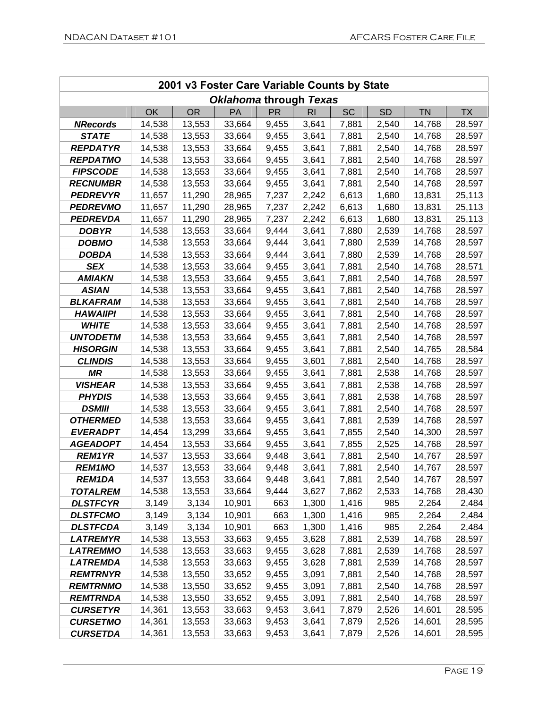| 2001 v3 Foster Care Variable Counts by State |        |           |                        |           |                |           |           |           |           |
|----------------------------------------------|--------|-----------|------------------------|-----------|----------------|-----------|-----------|-----------|-----------|
|                                              |        |           | Oklahoma through Texas |           |                |           |           |           |           |
|                                              | OK     | <b>OR</b> | PA                     | <b>PR</b> | R <sub>l</sub> | <b>SC</b> | <b>SD</b> | <b>TN</b> | <b>TX</b> |
| <b>NRecords</b>                              | 14,538 | 13,553    | 33,664                 | 9,455     | 3,641          | 7,881     | 2,540     | 14,768    | 28,597    |
| <b>STATE</b>                                 | 14,538 | 13,553    | 33,664                 | 9,455     | 3,641          | 7,881     | 2,540     | 14,768    | 28,597    |
| <b>REPDATYR</b>                              | 14,538 | 13,553    | 33,664                 | 9,455     | 3,641          | 7,881     | 2,540     | 14,768    | 28,597    |
| <b>REPDATMO</b>                              | 14,538 | 13,553    | 33,664                 | 9,455     | 3,641          | 7,881     | 2,540     | 14,768    | 28,597    |
| <b>FIPSCODE</b>                              | 14,538 | 13,553    | 33,664                 | 9,455     | 3,641          | 7,881     | 2,540     | 14,768    | 28,597    |
| <b>RECNUMBR</b>                              | 14,538 | 13,553    | 33,664                 | 9,455     | 3,641          | 7,881     | 2,540     | 14,768    | 28,597    |
| <b>PEDREVYR</b>                              | 11,657 | 11,290    | 28,965                 | 7,237     | 2,242          | 6,613     | 1,680     | 13,831    | 25,113    |
| <b>PEDREVMO</b>                              | 11,657 | 11,290    | 28,965                 | 7,237     | 2,242          | 6,613     | 1,680     | 13,831    | 25,113    |
| <b>PEDREVDA</b>                              | 11,657 | 11,290    | 28,965                 | 7,237     | 2,242          | 6,613     | 1,680     | 13,831    | 25,113    |
| <b>DOBYR</b>                                 | 14,538 | 13,553    | 33,664                 | 9,444     | 3,641          | 7,880     | 2,539     | 14,768    | 28,597    |
| <b>DOBMO</b>                                 | 14,538 | 13,553    | 33,664                 | 9,444     | 3,641          | 7,880     | 2,539     | 14,768    | 28,597    |
| <b>DOBDA</b>                                 | 14,538 | 13,553    | 33,664                 | 9,444     | 3,641          | 7,880     | 2,539     | 14,768    | 28,597    |
| <b>SEX</b>                                   | 14,538 | 13,553    | 33,664                 | 9,455     | 3,641          | 7,881     | 2,540     | 14,768    | 28,571    |
| <b>AMIAKN</b>                                | 14,538 | 13,553    | 33,664                 | 9,455     | 3,641          | 7,881     | 2,540     | 14,768    | 28,597    |
| <b>ASIAN</b>                                 | 14,538 | 13,553    | 33,664                 | 9,455     | 3,641          | 7,881     | 2,540     | 14,768    | 28,597    |
| <b>BLKAFRAM</b>                              | 14,538 | 13,553    | 33,664                 | 9,455     | 3,641          | 7,881     | 2,540     | 14,768    | 28,597    |
| <b>HAWAIIPI</b>                              | 14,538 | 13,553    | 33,664                 | 9,455     | 3,641          | 7,881     | 2,540     | 14,768    | 28,597    |
| <b>WHITE</b>                                 | 14,538 | 13,553    | 33,664                 | 9,455     | 3,641          | 7,881     | 2,540     | 14,768    | 28,597    |
| <b>UNTODETM</b>                              | 14,538 | 13,553    | 33,664                 | 9,455     | 3,641          | 7,881     | 2,540     | 14,768    | 28,597    |
| <b>HISORGIN</b>                              | 14,538 | 13,553    | 33,664                 | 9,455     | 3,641          | 7,881     | 2,540     | 14,765    | 28,584    |
| <b>CLINDIS</b>                               | 14,538 | 13,553    | 33,664                 | 9,455     | 3,601          | 7,881     | 2,540     | 14,768    | 28,597    |
| <b>MR</b>                                    | 14,538 | 13,553    | 33,664                 | 9,455     | 3,641          | 7,881     | 2,538     | 14,768    | 28,597    |
| <b>VISHEAR</b>                               | 14,538 | 13,553    | 33,664                 | 9,455     | 3,641          | 7,881     | 2,538     | 14,768    | 28,597    |
| <b>PHYDIS</b>                                | 14,538 | 13,553    | 33,664                 | 9,455     | 3,641          | 7,881     | 2,538     | 14,768    | 28,597    |
| <b>DSMIII</b>                                | 14,538 | 13,553    | 33,664                 | 9,455     | 3,641          | 7,881     | 2,540     | 14,768    | 28,597    |
| <b>OTHERMED</b>                              | 14,538 | 13,553    | 33,664                 | 9,455     | 3,641          | 7,881     | 2,539     | 14,768    | 28,597    |
| <b>EVERADPT</b>                              | 14,454 | 13,299    | 33,664                 | 9,455     | 3,641          | 7,855     | 2,540     | 14,300    | 28,597    |
| <b>AGEADOPT</b>                              | 14,454 | 13,553    | 33,664                 | 9,455     | 3,641          | 7,855     | 2,525     | 14,768    | 28,597    |
| <b>REM1YR</b>                                | 14,537 | 13,553    | 33,664                 | 9,448     | 3,641          | 7,881     | 2,540     | 14,767    | 28,597    |
| <b>REM1MO</b>                                | 14,537 | 13,553    | 33,664                 | 9,448     | 3,641          | 7,881     | 2,540     | 14,767    | 28,597    |
| REM1DA                                       | 14,537 | 13,553    | 33,664                 | 9,448     | 3,641          | 7,881     | 2,540     | 14,767    | 28,597    |
| <b>TOTALREM</b>                              | 14,538 | 13,553    | 33,664                 | 9,444     | 3,627          | 7,862     | 2,533     | 14,768    | 28,430    |
| <b>DLSTFCYR</b>                              | 3,149  | 3,134     | 10,901                 | 663       | 1,300          | 1,416     | 985       | 2,264     | 2,484     |
| <b>DLSTFCMO</b>                              | 3,149  | 3,134     | 10,901                 | 663       | 1,300          | 1,416     | 985       | 2,264     | 2,484     |
| <b>DLSTFCDA</b>                              | 3,149  | 3,134     | 10,901                 | 663       | 1,300          | 1,416     | 985       | 2,264     | 2,484     |
| <b>LATREMYR</b>                              | 14,538 | 13,553    | 33,663                 | 9,455     | 3,628          | 7,881     | 2,539     | 14,768    | 28,597    |
| <b>LATREMMO</b>                              | 14,538 | 13,553    | 33,663                 | 9,455     | 3,628          | 7,881     | 2,539     | 14,768    | 28,597    |
| <b>LATREMDA</b>                              | 14,538 | 13,553    | 33,663                 | 9,455     | 3,628          | 7,881     | 2,539     | 14,768    | 28,597    |
| <b>REMTRNYR</b>                              | 14,538 | 13,550    | 33,652                 | 9,455     | 3,091          | 7,881     | 2,540     | 14,768    | 28,597    |
| <b>REMTRNMO</b>                              | 14,538 | 13,550    | 33,652                 | 9,455     | 3,091          | 7,881     | 2,540     | 14,768    | 28,597    |
| <b>REMTRNDA</b>                              | 14,538 | 13,550    | 33,652                 | 9,455     | 3,091          | 7,881     | 2,540     | 14,768    | 28,597    |
| <b>CURSETYR</b>                              | 14,361 | 13,553    | 33,663                 | 9,453     | 3,641          | 7,879     | 2,526     | 14,601    | 28,595    |
| <b>CURSETMO</b>                              | 14,361 | 13,553    | 33,663                 | 9,453     | 3,641          | 7,879     | 2,526     | 14,601    | 28,595    |
| <b>CURSETDA</b>                              | 14,361 | 13,553    | 33,663                 | 9,453     | 3,641          | 7,879     | 2,526     | 14,601    | 28,595    |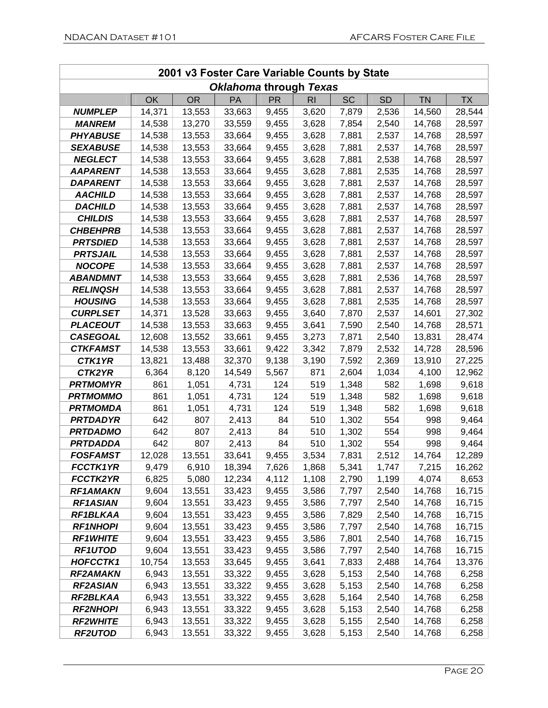| 2001 v3 Foster Care Variable Counts by State |           |           |                               |           |           |           |           |           |           |
|----------------------------------------------|-----------|-----------|-------------------------------|-----------|-----------|-----------|-----------|-----------|-----------|
|                                              |           |           | <b>Oklahoma through Texas</b> |           |           |           |           |           |           |
|                                              | <b>OK</b> | <b>OR</b> | <b>PA</b>                     | <b>PR</b> | <b>RI</b> | <b>SC</b> | <b>SD</b> | <b>TN</b> | <b>TX</b> |
| <b>NUMPLEP</b>                               | 14,371    | 13,553    | 33,663                        | 9,455     | 3,620     | 7,879     | 2,536     | 14,560    | 28,544    |
| <i><b>MANREM</b></i>                         | 14,538    | 13,270    | 33,559                        | 9,455     | 3,628     | 7,854     | 2,540     | 14,768    | 28,597    |
| <b>PHYABUSE</b>                              | 14,538    | 13,553    | 33,664                        | 9,455     | 3,628     | 7,881     | 2,537     | 14,768    | 28,597    |
| <b>SEXABUSE</b>                              | 14,538    | 13,553    | 33,664                        | 9,455     | 3,628     | 7,881     | 2,537     | 14,768    | 28,597    |
| <b>NEGLECT</b>                               | 14,538    | 13,553    | 33,664                        | 9,455     | 3,628     | 7,881     | 2,538     | 14,768    | 28,597    |
| <b>AAPARENT</b>                              | 14,538    | 13,553    | 33,664                        | 9,455     | 3,628     | 7,881     | 2,535     | 14,768    | 28,597    |
| <b>DAPARENT</b>                              | 14,538    | 13,553    | 33,664                        | 9,455     | 3,628     | 7,881     | 2,537     | 14,768    | 28,597    |
| <b>AACHILD</b>                               | 14,538    | 13,553    | 33,664                        | 9,455     | 3,628     | 7,881     | 2,537     | 14,768    | 28,597    |
| <b>DACHILD</b>                               | 14,538    | 13,553    | 33,664                        | 9,455     | 3,628     | 7,881     | 2,537     | 14,768    | 28,597    |
| <b>CHILDIS</b>                               | 14,538    | 13,553    | 33,664                        | 9,455     | 3,628     | 7,881     | 2,537     | 14,768    | 28,597    |
| <b>CHBEHPRB</b>                              | 14,538    | 13,553    | 33,664                        | 9,455     | 3,628     | 7,881     | 2,537     | 14,768    | 28,597    |
| <b>PRTSDIED</b>                              | 14,538    | 13,553    | 33,664                        | 9,455     | 3,628     | 7,881     | 2,537     | 14,768    | 28,597    |
| <b>PRTSJAIL</b>                              | 14,538    | 13,553    | 33,664                        | 9,455     | 3,628     | 7,881     | 2,537     | 14,768    | 28,597    |
| <b>NOCOPE</b>                                | 14,538    | 13,553    | 33,664                        | 9,455     | 3,628     | 7,881     | 2,537     | 14,768    | 28,597    |
| <b>ABANDMNT</b>                              | 14,538    | 13,553    | 33,664                        | 9,455     | 3,628     | 7,881     | 2,536     | 14,768    | 28,597    |
| <b>RELINQSH</b>                              | 14,538    | 13,553    | 33,664                        | 9,455     | 3,628     | 7,881     | 2,537     | 14,768    | 28,597    |
| <b>HOUSING</b>                               | 14,538    | 13,553    | 33,664                        | 9,455     | 3,628     | 7,881     | 2,535     | 14,768    | 28,597    |
| <b>CURPLSET</b>                              | 14,371    | 13,528    | 33,663                        | 9,455     | 3,640     | 7,870     | 2,537     | 14,601    | 27,302    |
| <b>PLACEOUT</b>                              | 14,538    | 13,553    | 33,663                        | 9,455     | 3,641     | 7,590     | 2,540     | 14,768    | 28,571    |
| <b>CASEGOAL</b>                              | 12,608    | 13,552    | 33,661                        | 9,455     | 3,273     | 7,871     | 2,540     | 13,831    | 28,474    |
| <b>CTKFAMST</b>                              | 14,538    | 13,553    | 33,661                        | 9,422     | 3,342     | 7,879     | 2,532     | 14,728    | 28,596    |
| <b>CTK1YR</b>                                | 13,821    | 13,488    | 32,370                        | 9,138     | 3,190     | 7,592     | 2,369     | 13,910    | 27,225    |
| CTK2YR                                       | 6,364     | 8,120     | 14,549                        | 5,567     | 871       | 2,604     | 1,034     | 4,100     | 12,962    |
| <b>PRTMOMYR</b>                              | 861       | 1,051     | 4,731                         | 124       | 519       | 1,348     | 582       | 1,698     | 9,618     |
| <b>PRTMOMMO</b>                              | 861       | 1,051     | 4,731                         | 124       | 519       | 1,348     | 582       | 1,698     | 9,618     |
| <b>PRTMOMDA</b>                              | 861       | 1,051     | 4,731                         | 124       | 519       | 1,348     | 582       | 1,698     | 9,618     |
| <b>PRTDADYR</b>                              | 642       | 807       | 2,413                         | 84        | 510       | 1,302     | 554       | 998       | 9,464     |
| <b>PRTDADMO</b>                              | 642       | 807       | 2,413                         | 84        | 510       | 1,302     | 554       | 998       | 9,464     |
| <b>PRTDADDA</b>                              | 642       | 807       | 2,413                         | 84        | 510       | 1,302     | 554       | 998       | 9,464     |
| <b>FOSFAMST</b>                              | 12,028    | 13,551    | 33,641                        | 9,455     | 3,534     | 7,831     | 2,512     | 14,764    | 12,289    |
| <b>FCCTK1YR</b>                              | 9,479     | 6,910     | 18,394                        | 7,626     | 1,868     | 5,341     | 1,747     | 7,215     | 16,262    |
| <b>FCCTK2YR</b>                              | 6,825     | 5,080     | 12,234                        | 4,112     | 1,108     | 2,790     | 1,199     | 4,074     | 8,653     |
| <b>RF1AMAKN</b>                              | 9,604     | 13,551    | 33,423                        | 9,455     | 3,586     | 7,797     | 2,540     | 14,768    | 16,715    |
| <b>RF1ASIAN</b>                              | 9,604     | 13,551    | 33,423                        | 9,455     | 3,586     | 7,797     | 2,540     | 14,768    | 16,715    |
| RF1BLKAA                                     | 9,604     | 13,551    | 33,423                        | 9,455     | 3,586     | 7,829     | 2,540     | 14,768    | 16,715    |
| <b>RF1NHOPI</b>                              | 9,604     | 13,551    | 33,423                        | 9,455     | 3,586     | 7,797     | 2,540     | 14,768    | 16,715    |
| <b>RF1WHITE</b>                              | 9,604     | 13,551    | 33,423                        | 9,455     | 3,586     | 7,801     | 2,540     | 14,768    | 16,715    |
| <b>RF1UTOD</b>                               | 9,604     | 13,551    | 33,423                        | 9,455     | 3,586     | 7,797     | 2,540     | 14,768    | 16,715    |
| <b>HOFCCTK1</b>                              | 10,754    | 13,553    | 33,645                        | 9,455     | 3,641     | 7,833     | 2,488     | 14,764    | 13,376    |
| <b>RF2AMAKN</b>                              | 6,943     | 13,551    | 33,322                        | 9,455     | 3,628     | 5,153     | 2,540     | 14,768    | 6,258     |
| <b>RF2ASIAN</b>                              | 6,943     | 13,551    | 33,322                        | 9,455     | 3,628     | 5,153     | 2,540     | 14,768    | 6,258     |
| RF2BLKAA                                     | 6,943     | 13,551    | 33,322                        | 9,455     | 3,628     | 5,164     | 2,540     | 14,768    | 6,258     |
| <b>RF2NHOPI</b>                              | 6,943     | 13,551    | 33,322                        | 9,455     | 3,628     | 5,153     | 2,540     | 14,768    | 6,258     |
| <b>RF2WHITE</b>                              | 6,943     | 13,551    | 33,322                        | 9,455     | 3,628     | 5,155     | 2,540     | 14,768    | 6,258     |
| <b>RF2UTOD</b>                               | 6,943     | 13,551    | 33,322                        | 9,455     | 3,628     | 5,153     | 2,540     | 14,768    | 6,258     |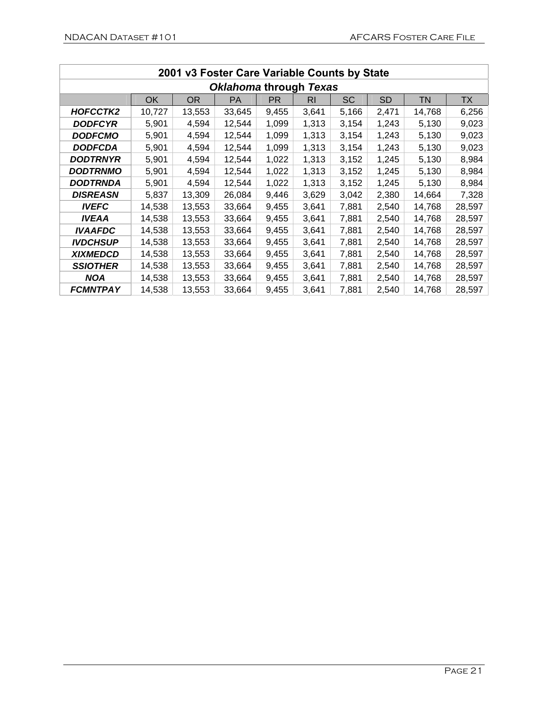| 2001 v3 Foster Care Variable Counts by State |        |        |           |       |           |           |           |        |        |
|----------------------------------------------|--------|--------|-----------|-------|-----------|-----------|-----------|--------|--------|
| <b>Oklahoma through Texas</b>                |        |        |           |       |           |           |           |        |        |
|                                              | OK     | OR.    | <b>PA</b> | PR    | <b>RI</b> | <b>SC</b> | <b>SD</b> | TN     | TX     |
| HOFCCTK2                                     | 10,727 | 13,553 | 33,645    | 9,455 | 3,641     | 5,166     | 2,471     | 14,768 | 6,256  |
| <b>DODFCYR</b>                               | 5,901  | 4,594  | 12,544    | 1,099 | 1,313     | 3,154     | 1,243     | 5,130  | 9,023  |
| <b>DODFCMO</b>                               | 5,901  | 4,594  | 12,544    | 1,099 | 1,313     | 3,154     | 1,243     | 5,130  | 9,023  |
| <b>DODFCDA</b>                               | 5,901  | 4,594  | 12,544    | 1,099 | 1,313     | 3,154     | 1,243     | 5,130  | 9,023  |
| DODTRNYR                                     | 5,901  | 4,594  | 12,544    | 1,022 | 1,313     | 3,152     | 1,245     | 5,130  | 8,984  |
| <b>DODTRNMO</b>                              | 5,901  | 4,594  | 12,544    | 1,022 | 1,313     | 3,152     | 1,245     | 5,130  | 8,984  |
| DODTRNDA                                     | 5,901  | 4,594  | 12,544    | 1,022 | 1,313     | 3,152     | 1,245     | 5,130  | 8,984  |
| <b>DISREASN</b>                              | 5,837  | 13,309 | 26,084    | 9,446 | 3,629     | 3,042     | 2,380     | 14,664 | 7,328  |
| <b>IVEFC</b>                                 | 14,538 | 13,553 | 33,664    | 9,455 | 3,641     | 7,881     | 2,540     | 14,768 | 28,597 |
| <b>IVEAA</b>                                 | 14,538 | 13,553 | 33,664    | 9,455 | 3,641     | 7,881     | 2,540     | 14,768 | 28,597 |
| <b>IVAAFDC</b>                               | 14,538 | 13,553 | 33,664    | 9,455 | 3,641     | 7,881     | 2,540     | 14,768 | 28,597 |
| <b>IVDCHSUP</b>                              | 14,538 | 13,553 | 33,664    | 9,455 | 3,641     | 7,881     | 2,540     | 14,768 | 28,597 |
| <b>XIXMEDCD</b>                              | 14,538 | 13,553 | 33,664    | 9,455 | 3,641     | 7,881     | 2,540     | 14,768 | 28,597 |
| <b>SSIOTHER</b>                              | 14,538 | 13,553 | 33,664    | 9,455 | 3,641     | 7,881     | 2,540     | 14,768 | 28,597 |
| <b>NOA</b>                                   | 14,538 | 13,553 | 33,664    | 9,455 | 3,641     | 7,881     | 2,540     | 14,768 | 28,597 |
| <b>FCMNTPAY</b>                              | 14,538 | 13,553 | 33,664    | 9,455 | 3,641     | 7,881     | 2,540     | 14,768 | 28,597 |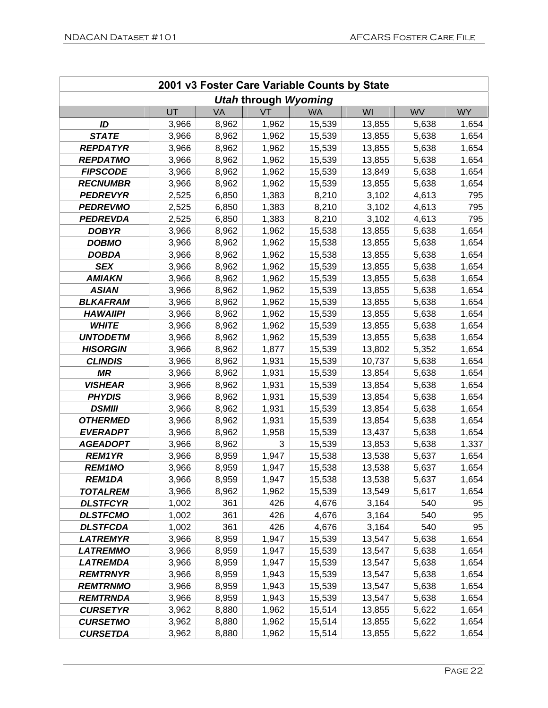|                                  | 2001 v3 Foster Care Variable Counts by State |                |                             |                  |                  |                |                |
|----------------------------------|----------------------------------------------|----------------|-----------------------------|------------------|------------------|----------------|----------------|
|                                  |                                              |                | <b>Utah through Wyoming</b> |                  |                  |                |                |
|                                  | UT                                           | VA             | VT                          | <b>WA</b>        | WI               | <b>WV</b>      | <b>WY</b>      |
| ID                               | 3,966                                        | 8,962          | 1,962                       | 15,539           | 13,855           | 5,638          | 1,654          |
| <b>STATE</b>                     | 3,966                                        | 8,962          | 1,962                       | 15,539           | 13,855           | 5,638          | 1,654          |
| <b>REPDATYR</b>                  | 3,966                                        | 8,962          | 1,962                       | 15,539           | 13,855           | 5,638          | 1,654          |
| <b>REPDATMO</b>                  | 3,966                                        | 8,962          | 1,962                       | 15,539           | 13,855           | 5,638          | 1,654          |
| <b>FIPSCODE</b>                  | 3,966                                        | 8,962          | 1,962                       | 15,539           | 13,849           | 5,638          | 1,654          |
| <b>RECNUMBR</b>                  | 3,966                                        | 8,962          | 1,962                       | 15,539           | 13,855           | 5,638          | 1,654          |
| <b>PEDREVYR</b>                  | 2,525                                        | 6,850          | 1,383                       | 8,210            | 3,102            | 4,613          | 795            |
| <b>PEDREVMO</b>                  | 2,525                                        | 6,850          | 1,383                       | 8,210            | 3,102            | 4,613          | 795            |
| <b>PEDREVDA</b>                  | 2,525                                        | 6,850          | 1,383                       | 8,210            | 3,102            | 4,613          | 795            |
| <b>DOBYR</b>                     | 3,966                                        | 8,962          | 1,962                       | 15,538           | 13,855           | 5,638          | 1,654          |
| <b>DOBMO</b>                     | 3,966                                        | 8,962          | 1,962                       | 15,538           | 13,855           | 5,638          | 1,654          |
| <b>DOBDA</b>                     | 3,966                                        | 8,962          | 1,962                       | 15,538           | 13,855           | 5,638          | 1,654          |
| <b>SEX</b>                       | 3,966                                        | 8,962          | 1,962                       | 15,539           | 13,855           | 5,638          | 1,654          |
| <b>AMIAKN</b>                    | 3,966                                        | 8,962          | 1,962                       | 15,539           | 13,855           | 5,638          | 1,654          |
| <b>ASIAN</b>                     | 3,966                                        | 8,962          | 1,962                       | 15,539           | 13,855           | 5,638          | 1,654          |
| <b>BLKAFRAM</b>                  | 3,966                                        | 8,962          | 1,962                       | 15,539           | 13,855           | 5,638          | 1,654          |
| <b>HAWAIIPI</b>                  | 3,966                                        | 8,962          | 1,962                       | 15,539           | 13,855           | 5,638          | 1,654          |
| <b>WHITE</b>                     | 3,966                                        | 8,962          | 1,962                       | 15,539           | 13,855           | 5,638          | 1,654          |
| <b>UNTODETM</b>                  | 3,966                                        | 8,962          | 1,962                       | 15,539           | 13,855           | 5,638          | 1,654          |
| <b>HISORGIN</b>                  | 3,966                                        | 8,962          | 1,877                       | 15,539           | 13,802           | 5,352          | 1,654          |
| <b>CLINDIS</b>                   | 3,966                                        | 8,962          | 1,931                       | 15,539           | 10,737           | 5,638          | 1,654          |
| <b>MR</b>                        | 3,966                                        | 8,962          | 1,931                       | 15,539           | 13,854           | 5,638          | 1,654          |
| <b>VISHEAR</b>                   | 3,966                                        | 8,962          | 1,931                       | 15,539           | 13,854           | 5,638          | 1,654          |
| <b>PHYDIS</b>                    | 3,966                                        | 8,962          | 1,931                       | 15,539           | 13,854           | 5,638          | 1,654          |
| <b>DSMIII</b>                    | 3,966                                        | 8,962          | 1,931                       | 15,539           | 13,854           | 5,638          | 1,654          |
| <b>OTHERMED</b>                  | 3,966                                        | 8,962          | 1,931                       | 15,539           | 13,854           | 5,638          | 1,654          |
| <b>EVERADPT</b>                  | 3,966                                        | 8,962          | 1,958<br>3                  | 15,539           | 13,437           | 5,638          | 1,654          |
| <b>AGEADOPT</b><br><b>REM1YR</b> | 3,966                                        | 8,962          |                             | 15,539           | 13,853           | 5,638          | 1,337          |
|                                  | 3,966                                        | 8,959          | 1,947                       | 15,538           | 13,538           | 5,637          | 1,654          |
| <b>REM1MO</b>                    | 3,966                                        | 8,959<br>8,959 | 1,947                       | 15,538           | 13,538           | 5,637          | 1,654          |
| REM1DA<br><b>TOTALREM</b>        | 3,966<br>3,966                               | 8,962          | 1,947<br>1,962              | 15,538<br>15,539 | 13,538<br>13,549 | 5,637<br>5,617 | 1,654<br>1,654 |
| <b>DLSTFCYR</b>                  | 1,002                                        | 361            | 426                         | 4,676            | 3,164            | 540            | 95             |
| <b>DLSTFCMO</b>                  | 1,002                                        | 361            | 426                         | 4,676            | 3,164            | 540            | 95             |
| <b>DLSTFCDA</b>                  | 1,002                                        | 361            | 426                         | 4,676            | 3,164            | 540            | 95             |
| <b>LATREMYR</b>                  | 3,966                                        | 8,959          | 1,947                       | 15,539           | 13,547           | 5,638          | 1,654          |
| <b>LATREMMO</b>                  | 3,966                                        | 8,959          | 1,947                       | 15,539           | 13,547           | 5,638          | 1,654          |
| <b>LATREMDA</b>                  | 3,966                                        | 8,959          | 1,947                       | 15,539           | 13,547           | 5,638          | 1,654          |
| <b>REMTRNYR</b>                  | 3,966                                        | 8,959          | 1,943                       | 15,539           | 13,547           | 5,638          | 1,654          |
| <b>REMTRNMO</b>                  | 3,966                                        | 8,959          | 1,943                       | 15,539           | 13,547           | 5,638          | 1,654          |
| <b>REMTRNDA</b>                  | 3,966                                        | 8,959          | 1,943                       | 15,539           | 13,547           | 5,638          | 1,654          |
| <b>CURSETYR</b>                  | 3,962                                        | 8,880          | 1,962                       | 15,514           | 13,855           | 5,622          | 1,654          |
| <b>CURSETMO</b>                  | 3,962                                        | 8,880          | 1,962                       | 15,514           | 13,855           | 5,622          | 1,654          |
| <b>CURSETDA</b>                  | 3,962                                        | 8,880          | 1,962                       | 15,514           | 13,855           | 5,622          | 1,654          |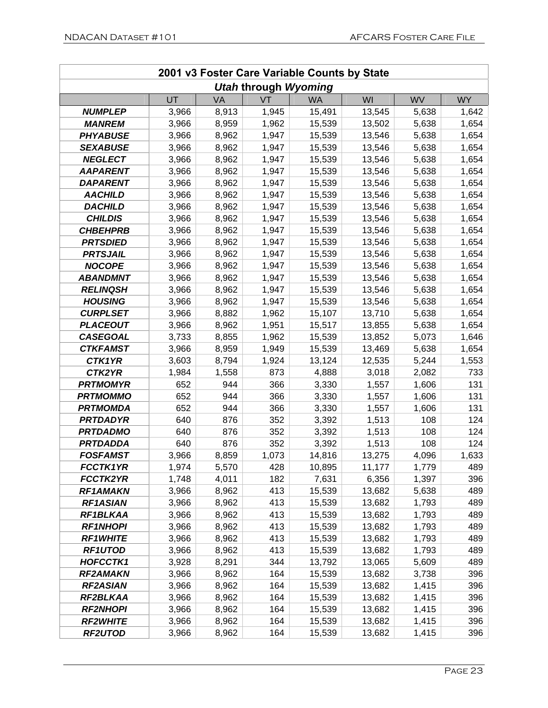|                 | 2001 v3 Foster Care Variable Counts by State |       |                             |           |        |           |           |
|-----------------|----------------------------------------------|-------|-----------------------------|-----------|--------|-----------|-----------|
|                 |                                              |       | <b>Utah through Wyoming</b> |           |        |           |           |
|                 | UT                                           | VA    | VT                          | <b>WA</b> | WI     | <b>WV</b> | <b>WY</b> |
| <b>NUMPLEP</b>  | 3,966                                        | 8,913 | 1,945                       | 15,491    | 13,545 | 5,638     | 1,642     |
| <b>MANREM</b>   | 3,966                                        | 8,959 | 1,962                       | 15,539    | 13,502 | 5,638     | 1,654     |
| <b>PHYABUSE</b> | 3,966                                        | 8,962 | 1,947                       | 15,539    | 13,546 | 5,638     | 1,654     |
| <b>SEXABUSE</b> | 3,966                                        | 8,962 | 1,947                       | 15,539    | 13,546 | 5,638     | 1,654     |
| <b>NEGLECT</b>  | 3,966                                        | 8,962 | 1,947                       | 15,539    | 13,546 | 5,638     | 1,654     |
| <b>AAPARENT</b> | 3,966                                        | 8,962 | 1,947                       | 15,539    | 13,546 | 5,638     | 1,654     |
| <b>DAPARENT</b> | 3,966                                        | 8,962 | 1,947                       | 15,539    | 13,546 | 5,638     | 1,654     |
| <b>AACHILD</b>  | 3,966                                        | 8,962 | 1,947                       | 15,539    | 13,546 | 5,638     | 1,654     |
| <b>DACHILD</b>  | 3,966                                        | 8,962 | 1,947                       | 15,539    | 13,546 | 5,638     | 1,654     |
| <b>CHILDIS</b>  | 3,966                                        | 8,962 | 1,947                       | 15,539    | 13,546 | 5,638     | 1,654     |
| <b>CHBEHPRB</b> | 3,966                                        | 8,962 | 1,947                       | 15,539    | 13,546 | 5,638     | 1,654     |
| <b>PRTSDIED</b> | 3,966                                        | 8,962 | 1,947                       | 15,539    | 13,546 | 5,638     | 1,654     |
| <b>PRTSJAIL</b> | 3,966                                        | 8,962 | 1,947                       | 15,539    | 13,546 | 5,638     | 1,654     |
| <b>NOCOPE</b>   | 3,966                                        | 8,962 | 1,947                       | 15,539    | 13,546 | 5,638     | 1,654     |
| <b>ABANDMNT</b> | 3,966                                        | 8,962 | 1,947                       | 15,539    | 13,546 | 5,638     | 1,654     |
| <b>RELINQSH</b> | 3,966                                        | 8,962 | 1,947                       | 15,539    | 13,546 | 5,638     | 1,654     |
| <b>HOUSING</b>  | 3,966                                        | 8,962 | 1,947                       | 15,539    | 13,546 | 5,638     | 1,654     |
| <b>CURPLSET</b> | 3,966                                        | 8,882 | 1,962                       | 15,107    | 13,710 | 5,638     | 1,654     |
| <b>PLACEOUT</b> | 3,966                                        | 8,962 | 1,951                       | 15,517    | 13,855 | 5,638     | 1,654     |
| <b>CASEGOAL</b> | 3,733                                        | 8,855 | 1,962                       | 15,539    | 13,852 | 5,073     | 1,646     |
| <b>CTKFAMST</b> | 3,966                                        | 8,959 | 1,949                       | 15,539    | 13,469 | 5,638     | 1,654     |
| CTK1YR          | 3,603                                        | 8,794 | 1,924                       | 13,124    | 12,535 | 5,244     | 1,553     |
| CTK2YR          | 1,984                                        | 1,558 | 873                         | 4,888     | 3,018  | 2,082     | 733       |
| <b>PRTMOMYR</b> | 652                                          | 944   | 366                         | 3,330     | 1,557  | 1,606     | 131       |
| <b>PRTMOMMO</b> | 652                                          | 944   | 366                         | 3,330     | 1,557  | 1,606     | 131       |
| <b>PRTMOMDA</b> | 652                                          | 944   | 366                         | 3,330     | 1,557  | 1,606     | 131       |
| <b>PRTDADYR</b> | 640                                          | 876   | 352                         | 3,392     | 1,513  | 108       | 124       |
| <b>PRTDADMO</b> | 640                                          | 876   | 352                         | 3,392     | 1,513  | 108       | 124       |
| <b>PRTDADDA</b> | 640                                          | 876   | 352                         | 3,392     | 1,513  | 108       | 124       |
| <b>FOSFAMST</b> | 3,966                                        | 8,859 | 1,073                       | 14,816    | 13,275 | 4,096     | 1,633     |
| FCCTK1YR        | 1,974                                        | 5,570 | 428                         | 10,895    | 11,177 | 1,779     | 489       |
| <b>FCCTK2YR</b> | 1,748                                        | 4,011 | 182                         | 7,631     | 6,356  | 1,397     | 396       |
| <b>RF1AMAKN</b> | 3,966                                        | 8,962 | 413                         | 15,539    | 13,682 | 5,638     | 489       |
| <b>RF1ASIAN</b> | 3,966                                        | 8,962 | 413                         | 15,539    | 13,682 | 1,793     | 489       |
| RF1BLKAA        | 3,966                                        | 8,962 | 413                         | 15,539    | 13,682 | 1,793     | 489       |
| <b>RF1NHOPI</b> | 3,966                                        | 8,962 | 413                         | 15,539    | 13,682 | 1,793     | 489       |
| <b>RF1WHITE</b> | 3,966                                        | 8,962 | 413                         | 15,539    | 13,682 | 1,793     | 489       |
| <b>RF1UTOD</b>  | 3,966                                        | 8,962 | 413                         | 15,539    | 13,682 | 1,793     | 489       |
| <b>HOFCCTK1</b> | 3,928                                        | 8,291 | 344                         | 13,792    | 13,065 | 5,609     | 489       |
| <b>RF2AMAKN</b> | 3,966                                        | 8,962 | 164                         | 15,539    | 13,682 | 3,738     | 396       |
| <b>RF2ASIAN</b> | 3,966                                        | 8,962 | 164                         | 15,539    | 13,682 | 1,415     | 396       |
| RF2BLKAA        | 3,966                                        | 8,962 | 164                         | 15,539    | 13,682 | 1,415     | 396       |
| <b>RF2NHOPI</b> | 3,966                                        | 8,962 | 164                         | 15,539    | 13,682 | 1,415     | 396       |
| <b>RF2WHITE</b> | 3,966                                        | 8,962 | 164                         | 15,539    | 13,682 | 1,415     | 396       |
| <b>RF2UTOD</b>  | 3,966                                        | 8,962 | 164                         | 15,539    | 13,682 | 1,415     | 396       |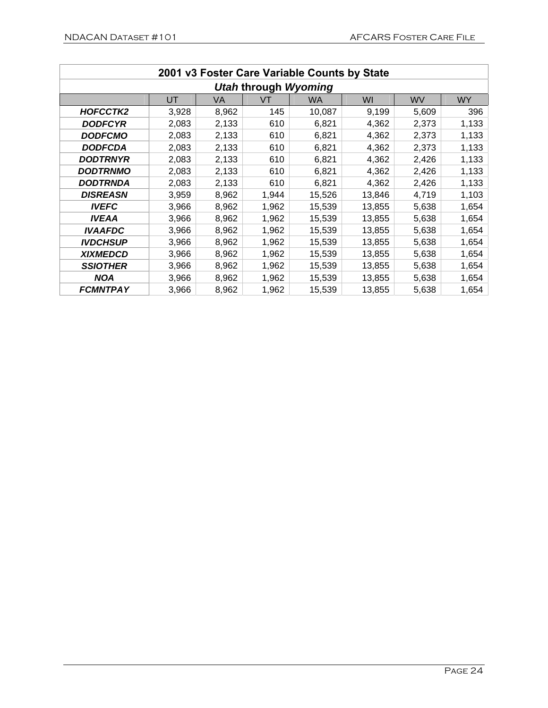| 2001 v3 Foster Care Variable Counts by State |       |       |       |           |        |       |           |  |
|----------------------------------------------|-------|-------|-------|-----------|--------|-------|-----------|--|
| <b>Utah through Wyoming</b>                  |       |       |       |           |        |       |           |  |
|                                              | UT    | VA    | VT    | <b>WA</b> | WI     | WV    | <b>WY</b> |  |
| HOFCCTK2                                     | 3,928 | 8,962 | 145   | 10,087    | 9,199  | 5,609 | 396       |  |
| <b>DODFCYR</b>                               | 2,083 | 2,133 | 610   | 6,821     | 4,362  | 2,373 | 1,133     |  |
| <b>DODFCMO</b>                               | 2,083 | 2,133 | 610   | 6,821     | 4,362  | 2,373 | 1,133     |  |
| <b>DODFCDA</b>                               | 2,083 | 2,133 | 610   | 6,821     | 4,362  | 2,373 | 1,133     |  |
| <b>DODTRNYR</b>                              | 2,083 | 2,133 | 610   | 6,821     | 4,362  | 2,426 | 1,133     |  |
| <b>DODTRNMO</b>                              | 2,083 | 2,133 | 610   | 6,821     | 4,362  | 2,426 | 1,133     |  |
| DODTRNDA                                     | 2,083 | 2,133 | 610   | 6,821     | 4,362  | 2,426 | 1,133     |  |
| <b>DISREASN</b>                              | 3,959 | 8,962 | 1,944 | 15,526    | 13,846 | 4,719 | 1,103     |  |
| <b>IVEFC</b>                                 | 3,966 | 8,962 | 1,962 | 15,539    | 13,855 | 5,638 | 1,654     |  |
| <b>IVEAA</b>                                 | 3,966 | 8,962 | 1,962 | 15,539    | 13,855 | 5,638 | 1,654     |  |
| <b>IVAAFDC</b>                               | 3,966 | 8,962 | 1,962 | 15,539    | 13,855 | 5,638 | 1,654     |  |
| <b>IVDCHSUP</b>                              | 3,966 | 8,962 | 1,962 | 15,539    | 13,855 | 5,638 | 1,654     |  |
| <b>XIXMEDCD</b>                              | 3,966 | 8,962 | 1,962 | 15,539    | 13,855 | 5,638 | 1,654     |  |
| <b>SSIOTHER</b>                              | 3,966 | 8,962 | 1,962 | 15,539    | 13,855 | 5,638 | 1,654     |  |
| <b>NOA</b>                                   | 3,966 | 8,962 | 1,962 | 15,539    | 13,855 | 5,638 | 1,654     |  |
| <b>FCMNTPAY</b>                              | 3,966 | 8,962 | 1,962 | 15,539    | 13,855 | 5,638 | 1,654     |  |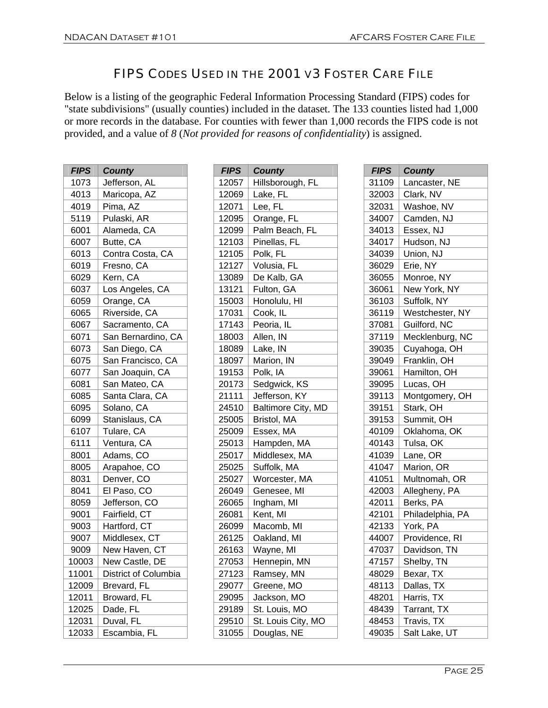#### FIPS CODES USED IN THE 2001 V3 FOSTER CARE FILE

Below is a listing of the geographic Federal Information Processing Standard (FIPS) codes for "state subdivisions" (usually counties) included in the dataset. The 133 counties listed had 1,000 or more records in the database. For counties with fewer than 1,000 records the FIPS code is not provided, and a value of *8* (*Not provided for reasons of confidentiality*) is assigned.

| <b>FIPS</b> | <b>County</b>        |
|-------------|----------------------|
| 1073        | Jefferson, AL        |
| 4013        | Maricopa, AZ         |
| 4019        | Pima, AZ             |
| 5119        | Pulaski, AR          |
| 6001        | Alameda, CA          |
| 6007        | Butte, CA            |
| 6013        | Contra Costa, CA     |
| 6019        | Fresno, CA           |
| 6029        | Kern, CA             |
| 6037        | Los Angeles, CA      |
| 6059        | Orange, CA           |
| 6065        | Riverside, CA        |
| 6067        | Sacramento, CA       |
| 6071        | San Bernardino, CA   |
| 6073        | San Diego, CA        |
| 6075        | San Francisco, CA    |
| 6077        | San Joaquin, CA      |
| 6081        | San Mateo, CA        |
| 6085        | Santa Clara, CA      |
| 6095        | Solano, CA           |
| 6099        | Stanislaus, CA       |
| 6107        | Tulare, CA           |
| 6111        | Ventura, CA          |
| 8001        | Adams, CO            |
| 8005        | Arapahoe, CO         |
| 8031        | Denver, CO           |
| 8041        | El Paso, CO          |
| 8059        | Jefferson, CO        |
| 9001        | Fairfield, CT        |
| 9003        | Hartford, CT         |
| 9007        | Middlesex, CT        |
| 9009        | New Haven, CT        |
| 10003       | New Castle, DE       |
| 11001       | District of Columbia |
| 12009       | Brevard, FL          |
| 12011       | Broward, FL          |
| 12025       | Dade, FL             |
| 12031       | Duval, FL            |
| 12033       | Escambia, FL         |

| <b>FIPS</b> | <b>County</b>      |
|-------------|--------------------|
| 12057       | Hillsborough, FL   |
| 12069       | Lake, FL           |
| 12071       | Lee, FL            |
| 12095       | Orange, FL         |
| 12099       | Palm Beach, FL     |
| 12103       | Pinellas, FL       |
| 12105       | Polk, FL           |
| 12127       | Volusia, FL        |
| 13089       | De Kalb, GA        |
| 13121       | Fulton, GA         |
| 15003       | Honolulu, HI       |
| 17031       | Cook, IL           |
| 17143       | Peoria, IL         |
| 18003       | Allen, IN          |
| 18089       | Lake, IN           |
| 18097       | Marion, IN         |
| 19153       | Polk, IA           |
| 20173       | Sedgwick, KS       |
| 21111       | Jefferson, KY      |
| 24510       | Baltimore City, MD |
| 25005       | Bristol, MA        |
| 25009       | Essex, MA          |
| 25013       | Hampden, MA        |
| 25017       | Middlesex, MA      |
| 25025       | Suffolk, MA        |
| 25027       | Worcester, MA      |
| 26049       | Genesee, MI        |
| 26065       | Ingham, MI         |
| 26081       | Kent, MI           |
| 26099       | Macomb, MI         |
| 26125       | Oakland, MI        |
| 26163       | Wayne, MI          |
| 27053       | Hennepin, MN       |
| 27123       | Ramsey, MN         |
| 29077       | Greene, MO         |
| 29095       | Jackson, MO        |
| 29189       | St. Louis, MO      |
| 29510       | St. Louis City, MO |
| 31055       | Douglas, NE        |

| <b>FIPS</b> | <b>County</b>    |
|-------------|------------------|
| 31109       | Lancaster, NE    |
| 32003       | Clark, NV        |
| 32031       | Washoe, NV       |
| 34007       | Camden, NJ       |
| 34013       | Essex, NJ        |
| 34017       | Hudson, NJ       |
| 34039       | Union, NJ        |
| 36029       | Erie, NY         |
| 36055       | Monroe, NY       |
| 36061       | New York, NY     |
| 36103       | Suffolk, NY      |
| 36119       | Westchester, NY  |
| 37081       | Guilford, NC     |
| 37119       | Mecklenburg, NC  |
| 39035       | Cuyahoga, OH     |
| 39049       | Franklin, OH     |
| 39061       | Hamilton, OH     |
| 39095       | Lucas, OH        |
| 39113       | Montgomery, OH   |
| 39151       | Stark, OH        |
| 39153       | Summit, OH       |
| 40109       | Oklahoma, OK     |
| 40143       | Tulsa, OK        |
| 41039       | Lane, OR         |
| 41047       | Marion, OR       |
| 41051       | Multnomah, OR    |
| 42003       | Allegheny, PA    |
| 42011       | Berks, PA        |
| 42101       | Philadelphia, PA |
| 42133       | York, PA         |
| 44007       | Providence, RI   |
| 47037       | Davidson, TN     |
| 47157       | Shelby, TN       |
| 48029       | <u>Bexar, TX</u> |
| 48113       | Dallas, TX       |
| 48201       | Harris, TX       |
| 48439       | Tarrant, TX      |
| 48453       | Travis, TX       |
| 49035       | Salt Lake, UT    |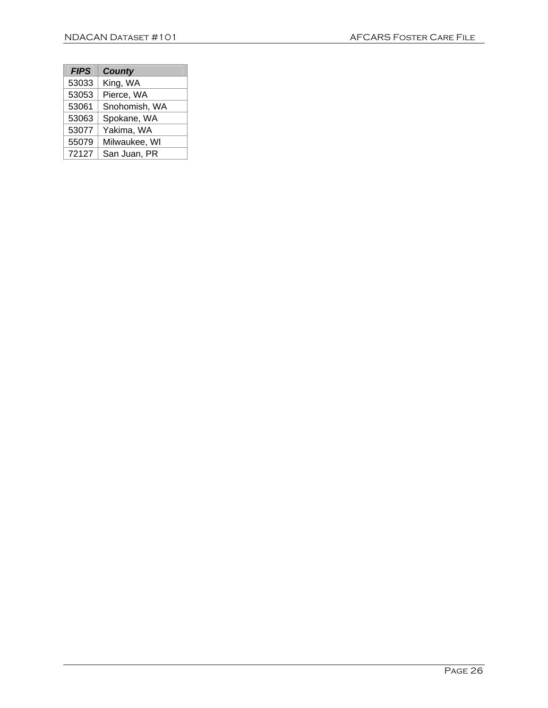| <b>FIPS</b> | <b>County</b> |
|-------------|---------------|
| 53033       | King, WA      |
| 53053       | Pierce, WA    |
| 53061       | Snohomish, WA |
| 53063       | Spokane, WA   |
| 53077       | Yakima, WA    |
| 55079       | Milwaukee, WI |
| 72127       | San Juan, PR  |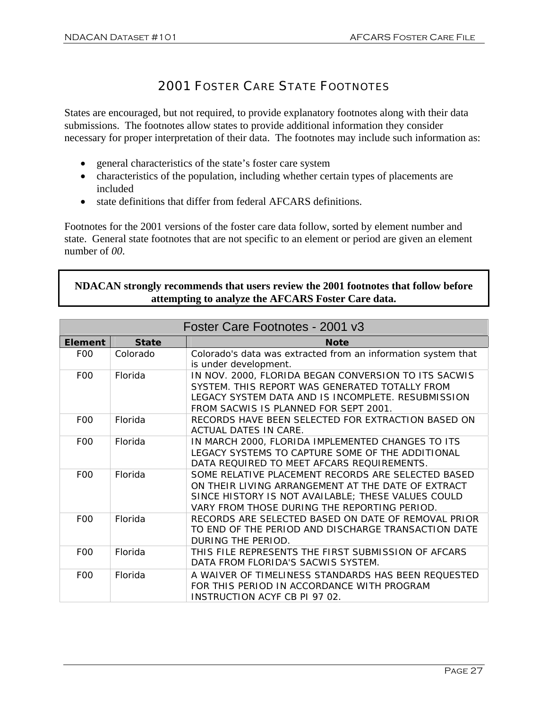#### 2001 FOSTER CARE STATE FOOTNOTES

States are encouraged, but not required, to provide explanatory footnotes along with their data submissions. The footnotes allow states to provide additional information they consider necessary for proper interpretation of their data. The footnotes may include such information as:

- general characteristics of the state's foster care system
- characteristics of the population, including whether certain types of placements are included
- state definitions that differ from federal AFCARS definitions.

Footnotes for the 2001 versions of the foster care data follow, sorted by element number and state. General state footnotes that are not specific to an element or period are given an element number of *00*.

#### **NDACAN strongly recommends that users review the 2001 footnotes that follow before attempting to analyze the AFCARS Foster Care data.**

| Foster Care Footnotes - 2001 v3 |              |                                                                                                                                                                                                                |
|---------------------------------|--------------|----------------------------------------------------------------------------------------------------------------------------------------------------------------------------------------------------------------|
| Element                         | <b>State</b> | <b>Note</b>                                                                                                                                                                                                    |
| F <sub>0</sub>                  | Colorado     | Colorado's data was extracted from an information system that<br>is under development.                                                                                                                         |
| F <sub>0</sub>                  | Florida      | IN NOV. 2000, FLORIDA BEGAN CONVERSION TO ITS SACWIS<br>SYSTEM. THIS REPORT WAS GENERATED TOTALLY FROM<br>LEGACY SYSTEM DATA AND IS INCOMPLETE. RESUBMISSION<br>FROM SACWIS IS PLANNED FOR SEPT 2001.          |
| F <sub>0</sub>                  | Florida      | RECORDS HAVE BEEN SELECTED FOR EXTRACTION BASED ON<br>ACTUAL DATES IN CARE.                                                                                                                                    |
| F <sub>0</sub>                  | Florida      | IN MARCH 2000, FLORIDA IMPLEMENTED CHANGES TO ITS<br>LEGACY SYSTEMS TO CAPTURE SOME OF THE ADDITIONAL<br>DATA REQUIRED TO MEET AFCARS REQUIREMENTS.                                                            |
| F <sub>0</sub>                  | Florida      | SOME RELATIVE PLACEMENT RECORDS ARE SELECTED BASED<br>ON THEIR LIVING ARRANGEMENT AT THE DATE OF EXTRACT<br>SINCE HISTORY IS NOT AVAILABLE; THESE VALUES COULD<br>VARY FROM THOSE DURING THE REPORTING PERIOD. |
| F <sub>0</sub>                  | Florida      | RECORDS ARE SELECTED BASED ON DATE OF REMOVAL PRIOR<br>TO END OF THE PERIOD AND DISCHARGE TRANSACTION DATE<br>DURING THE PERIOD.                                                                               |
| F <sub>0</sub>                  | Florida      | THIS FILE REPRESENTS THE FIRST SUBMISSION OF AFCARS<br>DATA FROM FLORIDA'S SACWIS SYSTEM.                                                                                                                      |
| F <sub>0</sub>                  | Florida      | A WAIVER OF TIMELINESS STANDARDS HAS BEEN REQUESTED<br>FOR THIS PERIOD IN ACCORDANCE WITH PROGRAM<br><b>INSTRUCTION ACYF CB PI 97 02.</b>                                                                      |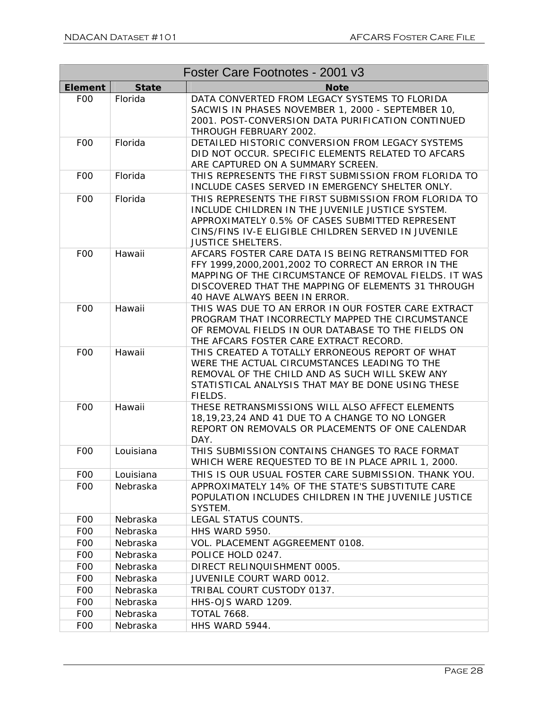|                |              | Foster Care Footnotes - 2001 v3                                                                                                                                                                                                                          |
|----------------|--------------|----------------------------------------------------------------------------------------------------------------------------------------------------------------------------------------------------------------------------------------------------------|
| <b>Element</b> | <b>State</b> | <b>Note</b>                                                                                                                                                                                                                                              |
| F <sub>0</sub> | Florida      | DATA CONVERTED FROM LEGACY SYSTEMS TO FLORIDA<br>SACWIS IN PHASES NOVEMBER 1, 2000 - SEPTEMBER 10,<br>2001. POST-CONVERSION DATA PURIFICATION CONTINUED<br>THROUGH FEBRUARY 2002.                                                                        |
| F <sub>0</sub> | Florida      | DETAILED HISTORIC CONVERSION FROM LEGACY SYSTEMS<br>DID NOT OCCUR. SPECIFIC ELEMENTS RELATED TO AFCARS<br>ARE CAPTURED ON A SUMMARY SCREEN.                                                                                                              |
| F <sub>0</sub> | Florida      | THIS REPRESENTS THE FIRST SUBMISSION FROM FLORIDA TO<br>INCLUDE CASES SERVED IN EMERGENCY SHELTER ONLY.                                                                                                                                                  |
| F <sub>0</sub> | Florida      | THIS REPRESENTS THE FIRST SUBMISSION FROM FLORIDA TO<br>INCLUDE CHILDREN IN THE JUVENILE JUSTICE SYSTEM.<br>APPROXIMATELY 0.5% OF CASES SUBMITTED REPRESENT<br>CINS/FINS IV-E ELIGIBLE CHILDREN SERVED IN JUVENILE<br><b>JUSTICE SHELTERS.</b>           |
| F <sub>0</sub> | Hawaii       | AFCARS FOSTER CARE DATA IS BEING RETRANSMITTED FOR<br>FFY 1999,2000,2001,2002 TO CORRECT AN ERROR IN THE<br>MAPPING OF THE CIRCUMSTANCE OF REMOVAL FIELDS. IT WAS<br>DISCOVERED THAT THE MAPPING OF ELEMENTS 31 THROUGH<br>40 HAVE ALWAYS BEEN IN ERROR. |
| F <sub>0</sub> | Hawaii       | THIS WAS DUE TO AN ERROR IN OUR FOSTER CARE EXTRACT<br>PROGRAM THAT INCORRECTLY MAPPED THE CIRCUMSTANCE<br>OF REMOVAL FIELDS IN OUR DATABASE TO THE FIELDS ON<br>THE AFCARS FOSTER CARE EXTRACT RECORD.                                                  |
| F <sub>0</sub> | Hawaii       | THIS CREATED A TOTALLY ERRONEOUS REPORT OF WHAT<br>WERE THE ACTUAL CIRCUMSTANCES LEADING TO THE<br>REMOVAL OF THE CHILD AND AS SUCH WILL SKEW ANY<br>STATISTICAL ANALYSIS THAT MAY BE DONE USING THESE<br>FIELDS.                                        |
| F <sub>0</sub> | Hawaii       | THESE RETRANSMISSIONS WILL ALSO AFFECT ELEMENTS<br>18,19,23,24 AND 41 DUE TO A CHANGE TO NO LONGER<br>REPORT ON REMOVALS OR PLACEMENTS OF ONE CALENDAR<br>DAY.                                                                                           |
| F <sub>0</sub> | Louisiana    | THIS SUBMISSION CONTAINS CHANGES TO RACE FORMAT<br>WHICH WERE REQUESTED TO BE IN PLACE APRIL 1, 2000.                                                                                                                                                    |
| F <sub>0</sub> | Louisiana    | THIS IS OUR USUAL FOSTER CARE SUBMISSION. THANK YOU.                                                                                                                                                                                                     |
| F <sub>0</sub> | Nebraska     | APPROXIMATELY 14% OF THE STATE'S SUBSTITUTE CARE<br>POPULATION INCLUDES CHILDREN IN THE JUVENILE JUSTICE<br>SYSTEM.                                                                                                                                      |
| F <sub>0</sub> | Nebraska     | LEGAL STATUS COUNTS.                                                                                                                                                                                                                                     |
| F <sub>0</sub> | Nebraska     | HHS WARD 5950.                                                                                                                                                                                                                                           |
| F <sub>0</sub> | Nebraska     | VOL. PLACEMENT AGGREEMENT 0108.                                                                                                                                                                                                                          |
| F <sub>0</sub> | Nebraska     | POLICE HOLD 0247.                                                                                                                                                                                                                                        |
| F <sub>0</sub> | Nebraska     | DIRECT RELINQUISHMENT 0005.                                                                                                                                                                                                                              |
| F <sub>0</sub> | Nebraska     | JUVENILE COURT WARD 0012.                                                                                                                                                                                                                                |
| F <sub>0</sub> | Nebraska     | TRIBAL COURT CUSTODY 0137.                                                                                                                                                                                                                               |
| F <sub>0</sub> | Nebraska     | HHS-OJS WARD 1209.                                                                                                                                                                                                                                       |
| <b>FOO</b>     | Nebraska     | <b>TOTAL 7668.</b>                                                                                                                                                                                                                                       |
| F <sub>0</sub> | Nebraska     | HHS WARD 5944.                                                                                                                                                                                                                                           |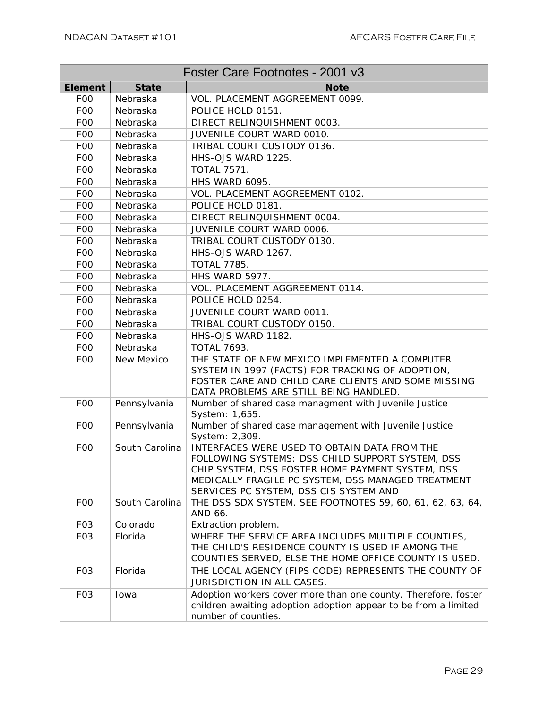| Foster Care Footnotes - 2001 v3 |                   |                                                                                                                                                                                                                                                      |
|---------------------------------|-------------------|------------------------------------------------------------------------------------------------------------------------------------------------------------------------------------------------------------------------------------------------------|
| <b>Element</b>                  | <b>State</b>      | <b>Note</b>                                                                                                                                                                                                                                          |
| F <sub>0</sub>                  | Nebraska          | VOL. PLACEMENT AGGREEMENT 0099.                                                                                                                                                                                                                      |
| F <sub>0</sub>                  | Nebraska          | POLICE HOLD 0151.                                                                                                                                                                                                                                    |
| F <sub>0</sub>                  | Nebraska          | DIRECT RELINQUISHMENT 0003.                                                                                                                                                                                                                          |
| F <sub>0</sub>                  | Nebraska          | JUVENILE COURT WARD 0010.                                                                                                                                                                                                                            |
| F <sub>0</sub>                  | Nebraska          | TRIBAL COURT CUSTODY 0136.                                                                                                                                                                                                                           |
| F <sub>0</sub>                  | Nebraska          | HHS-OJS WARD 1225.                                                                                                                                                                                                                                   |
| F <sub>0</sub>                  | Nebraska          | <b>TOTAL 7571.</b>                                                                                                                                                                                                                                   |
| F <sub>O</sub>                  | Nebraska          | HHS WARD 6095.                                                                                                                                                                                                                                       |
| F <sub>O</sub>                  | Nebraska          | VOL. PLACEMENT AGGREEMENT 0102.                                                                                                                                                                                                                      |
| F <sub>0</sub>                  | Nebraska          | POLICE HOLD 0181.                                                                                                                                                                                                                                    |
| F <sub>0</sub>                  | Nebraska          | DIRECT RELINQUISHMENT 0004.                                                                                                                                                                                                                          |
| F <sub>0</sub>                  | Nebraska          | JUVENILE COURT WARD 0006.                                                                                                                                                                                                                            |
| F <sub>0</sub>                  | Nebraska          | TRIBAL COURT CUSTODY 0130.                                                                                                                                                                                                                           |
| F <sub>0</sub>                  | Nebraska          | HHS-OJS WARD 1267.                                                                                                                                                                                                                                   |
| F <sub>0</sub>                  | Nebraska          | <b>TOTAL 7785.</b>                                                                                                                                                                                                                                   |
| F <sub>O</sub> O                | Nebraska          | HHS WARD 5977.                                                                                                                                                                                                                                       |
| F <sub>0</sub>                  | Nebraska          | VOL. PLACEMENT AGGREEMENT 0114.                                                                                                                                                                                                                      |
| F <sub>0</sub>                  | Nebraska          | POLICE HOLD 0254.                                                                                                                                                                                                                                    |
| F <sub>O</sub>                  | Nebraska          | <b>JUVENILE COURT WARD 0011.</b>                                                                                                                                                                                                                     |
| F <sub>0</sub>                  | Nebraska          | TRIBAL COURT CUSTODY 0150.                                                                                                                                                                                                                           |
| F <sub>0</sub>                  | Nebraska          | HHS-OJS WARD 1182.                                                                                                                                                                                                                                   |
| F <sub>0</sub>                  | Nebraska          | <b>TOTAL 7693.</b>                                                                                                                                                                                                                                   |
| F <sub>0</sub>                  | <b>New Mexico</b> | THE STATE OF NEW MEXICO IMPLEMENTED A COMPUTER<br>SYSTEM IN 1997 (FACTS) FOR TRACKING OF ADOPTION,<br>FOSTER CARE AND CHILD CARE CLIENTS AND SOME MISSING<br>DATA PROBLEMS ARE STILL BEING HANDLED.                                                  |
| F <sub>0</sub>                  | Pennsylvania      | Number of shared case managment with Juvenile Justice<br>System: 1,655.                                                                                                                                                                              |
| F <sub>0</sub>                  | Pennsylvania      | Number of shared case management with Juvenile Justice<br>System: 2,309.                                                                                                                                                                             |
| F <sub>0</sub>                  | South Carolina    | INTERFACES WERE USED TO OBTAIN DATA FROM THE<br>FOLLOWING SYSTEMS: DSS CHILD SUPPORT SYSTEM, DSS<br>CHIP SYSTEM, DSS FOSTER HOME PAYMENT SYSTEM, DSS<br>MEDICALLY FRAGILE PC SYSTEM, DSS MANAGED TREATMENT<br>SERVICES PC SYSTEM, DSS CIS SYSTEM AND |
| F <sub>0</sub>                  | South Carolina    | THE DSS SDX SYSTEM. SEE FOOTNOTES 59, 60, 61, 62, 63, 64,<br>AND 66.                                                                                                                                                                                 |
| F <sub>0</sub> 3                | Colorado          | Extraction problem.                                                                                                                                                                                                                                  |
| F <sub>0</sub> 3                | Florida           | WHERE THE SERVICE AREA INCLUDES MULTIPLE COUNTIES,<br>THE CHILD'S RESIDENCE COUNTY IS USED IF AMONG THE<br>COUNTIES SERVED, ELSE THE HOME OFFICE COUNTY IS USED.                                                                                     |
| F <sub>0</sub> 3                | Florida           | THE LOCAL AGENCY (FIPS CODE) REPRESENTS THE COUNTY OF<br><b>JURISDICTION IN ALL CASES.</b>                                                                                                                                                           |
| F <sub>O</sub> 3                | Iowa              | Adoption workers cover more than one county. Therefore, foster<br>children awaiting adoption adoption appear to be from a limited<br>number of counties.                                                                                             |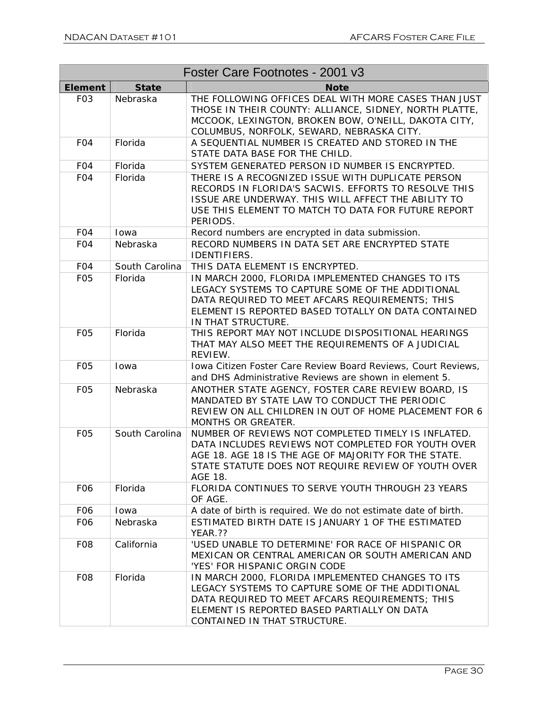| Foster Care Footnotes - 2001 v3 |                |                                                                                                                                                                                                                                         |
|---------------------------------|----------------|-----------------------------------------------------------------------------------------------------------------------------------------------------------------------------------------------------------------------------------------|
| <b>Element</b>                  | <b>State</b>   | <b>Note</b>                                                                                                                                                                                                                             |
| F <sub>0</sub> 3                | Nebraska       | THE FOLLOWING OFFICES DEAL WITH MORE CASES THAN JUST<br>THOSE IN THEIR COUNTY: ALLIANCE, SIDNEY, NORTH PLATTE,<br>MCCOOK, LEXINGTON, BROKEN BOW, O'NEILL, DAKOTA CITY,<br>COLUMBUS, NORFOLK, SEWARD, NEBRASKA CITY.                     |
| F <sub>O</sub> 4                | Florida        | A SEQUENTIAL NUMBER IS CREATED AND STORED IN THE<br>STATE DATA BASE FOR THE CHILD.                                                                                                                                                      |
| F <sub>O</sub> 4                | Florida        | SYSTEM GENERATED PERSON ID NUMBER IS ENCRYPTED.                                                                                                                                                                                         |
| FO <sub>4</sub>                 | Florida        | THERE IS A RECOGNIZED ISSUE WITH DUPLICATE PERSON<br>RECORDS IN FLORIDA'S SACWIS. EFFORTS TO RESOLVE THIS<br>ISSUE ARE UNDERWAY. THIS WILL AFFECT THE ABILITY TO<br>USE THIS ELEMENT TO MATCH TO DATA FOR FUTURE REPORT<br>PERIODS.     |
| F <sub>O</sub> 4                | Iowa           | Record numbers are encrypted in data submission.                                                                                                                                                                                        |
| FO <sub>4</sub>                 | Nebraska       | RECORD NUMBERS IN DATA SET ARE ENCRYPTED STATE<br>IDENTIFIERS.                                                                                                                                                                          |
| F <sub>O</sub> 4                | South Carolina | THIS DATA ELEMENT IS ENCRYPTED.                                                                                                                                                                                                         |
| F <sub>05</sub>                 | Florida        | IN MARCH 2000, FLORIDA IMPLEMENTED CHANGES TO ITS<br>LEGACY SYSTEMS TO CAPTURE SOME OF THE ADDITIONAL<br>DATA REQUIRED TO MEET AFCARS REQUIREMENTS; THIS<br>ELEMENT IS REPORTED BASED TOTALLY ON DATA CONTAINED<br>IN THAT STRUCTURE.   |
| F <sub>05</sub>                 | Florida        | THIS REPORT MAY NOT INCLUDE DISPOSITIONAL HEARINGS<br>THAT MAY ALSO MEET THE REQUIREMENTS OF A JUDICIAL<br>REVIEW.                                                                                                                      |
| F <sub>05</sub>                 | Iowa           | Iowa Citizen Foster Care Review Board Reviews, Court Reviews,<br>and DHS Administrative Reviews are shown in element 5.                                                                                                                 |
| F <sub>0</sub> 5                | Nebraska       | ANOTHER STATE AGENCY, FOSTER CARE REVIEW BOARD, IS<br>MANDATED BY STATE LAW TO CONDUCT THE PERIODIC<br>REVIEW ON ALL CHILDREN IN OUT OF HOME PLACEMENT FOR 6<br>MONTHS OR GREATER.                                                      |
| F <sub>0</sub> 5                | South Carolina | NUMBER OF REVIEWS NOT COMPLETED TIMELY IS INFLATED.<br>DATA INCLUDES REVIEWS NOT COMPLETED FOR YOUTH OVER<br>AGE 18. AGE 18 IS THE AGE OF MAJORITY FOR THE STATE.<br>STATE STATUTE DOES NOT REQUIRE REVIEW OF YOUTH OVER<br>AGE 18.     |
| F <sub>06</sub>                 | Florida        | FLORIDA CONTINUES TO SERVE YOUTH THROUGH 23 YEARS<br>OF AGE.                                                                                                                                                                            |
| F <sub>06</sub>                 | Iowa           | A date of birth is required. We do not estimate date of birth.                                                                                                                                                                          |
| F06                             | Nebraska       | ESTIMATED BIRTH DATE IS JANUARY 1 OF THE ESTIMATED<br>YEAR.??                                                                                                                                                                           |
| F <sub>08</sub>                 | California     | 'USED UNABLE TO DETERMINE' FOR RACE OF HISPANIC OR<br>MEXICAN OR CENTRAL AMERICAN OR SOUTH AMERICAN AND<br>'YES' FOR HISPANIC ORGIN CODE                                                                                                |
| F <sub>08</sub>                 | Florida        | IN MARCH 2000, FLORIDA IMPLEMENTED CHANGES TO ITS<br>LEGACY SYSTEMS TO CAPTURE SOME OF THE ADDITIONAL<br>DATA REQUIRED TO MEET AFCARS REQUIREMENTS; THIS<br>ELEMENT IS REPORTED BASED PARTIALLY ON DATA<br>CONTAINED IN THAT STRUCTURE. |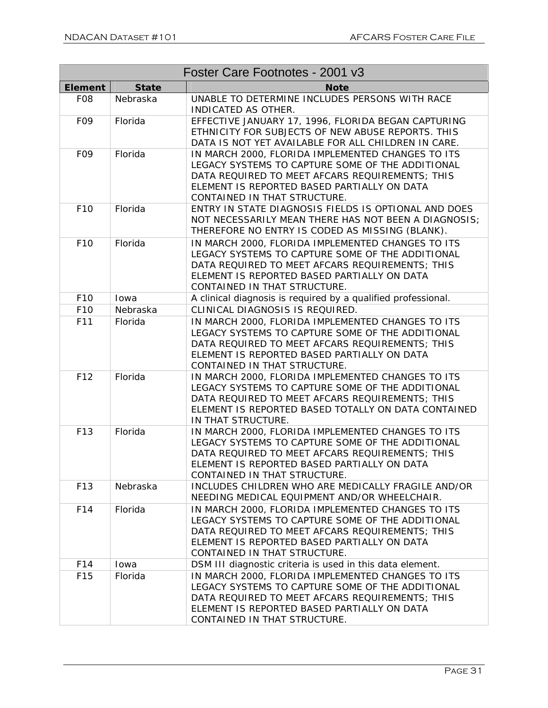| Foster Care Footnotes - 2001 v3 |              |                                                                                                                                                                                                                                         |
|---------------------------------|--------------|-----------------------------------------------------------------------------------------------------------------------------------------------------------------------------------------------------------------------------------------|
| <b>Element</b>                  | <b>State</b> | <b>Note</b>                                                                                                                                                                                                                             |
| F <sub>08</sub>                 | Nebraska     | UNABLE TO DETERMINE INCLUDES PERSONS WITH RACE<br>INDICATED AS OTHER.                                                                                                                                                                   |
| F <sub>09</sub>                 | Florida      | EFFECTIVE JANUARY 17, 1996, FLORIDA BEGAN CAPTURING<br>ETHNICITY FOR SUBJECTS OF NEW ABUSE REPORTS. THIS<br>DATA IS NOT YET AVAILABLE FOR ALL CHILDREN IN CARE.                                                                         |
| F <sub>09</sub>                 | Florida      | IN MARCH 2000, FLORIDA IMPLEMENTED CHANGES TO ITS<br>LEGACY SYSTEMS TO CAPTURE SOME OF THE ADDITIONAL<br>DATA REQUIRED TO MEET AFCARS REQUIREMENTS; THIS<br>ELEMENT IS REPORTED BASED PARTIALLY ON DATA<br>CONTAINED IN THAT STRUCTURE. |
| F <sub>10</sub>                 | Florida      | ENTRY IN STATE DIAGNOSIS FIELDS IS OPTIONAL AND DOES<br>NOT NECESSARILY MEAN THERE HAS NOT BEEN A DIAGNOSIS;<br>THEREFORE NO ENTRY IS CODED AS MISSING (BLANK).                                                                         |
| F10                             | Florida      | IN MARCH 2000, FLORIDA IMPLEMENTED CHANGES TO ITS<br>LEGACY SYSTEMS TO CAPTURE SOME OF THE ADDITIONAL<br>DATA REQUIRED TO MEET AFCARS REQUIREMENTS; THIS<br>ELEMENT IS REPORTED BASED PARTIALLY ON DATA<br>CONTAINED IN THAT STRUCTURE. |
| F <sub>10</sub>                 | Iowa         | A clinical diagnosis is required by a qualified professional.                                                                                                                                                                           |
| F10                             | Nebraska     | CLINICAL DIAGNOSIS IS REQUIRED.                                                                                                                                                                                                         |
| F11                             | Florida      | IN MARCH 2000, FLORIDA IMPLEMENTED CHANGES TO ITS<br>LEGACY SYSTEMS TO CAPTURE SOME OF THE ADDITIONAL<br>DATA REQUIRED TO MEET AFCARS REQUIREMENTS; THIS<br>ELEMENT IS REPORTED BASED PARTIALLY ON DATA<br>CONTAINED IN THAT STRUCTURE. |
| F12                             | Florida      | IN MARCH 2000, FLORIDA IMPLEMENTED CHANGES TO ITS<br>LEGACY SYSTEMS TO CAPTURE SOME OF THE ADDITIONAL<br>DATA REQUIRED TO MEET AFCARS REQUIREMENTS; THIS<br>ELEMENT IS REPORTED BASED TOTALLY ON DATA CONTAINED<br>IN THAT STRUCTURE.   |
| F13                             | Florida      | IN MARCH 2000, FLORIDA IMPLEMENTED CHANGES TO ITS<br>LEGACY SYSTEMS TO CAPTURE SOME OF THE ADDITIONAL<br>DATA REQUIRED TO MEET AFCARS REQUIREMENTS; THIS<br>ELEMENT IS REPORTED BASED PARTIALLY ON DATA<br>CONTAINED IN THAT STRUCTURE. |
| F <sub>13</sub>                 | Nebraska     | INCLUDES CHILDREN WHO ARE MEDICALLY FRAGILE AND/OR<br>NEEDING MEDICAL EQUIPMENT AND/OR WHEELCHAIR.                                                                                                                                      |
| F14                             | Florida      | IN MARCH 2000, FLORIDA IMPLEMENTED CHANGES TO ITS<br>LEGACY SYSTEMS TO CAPTURE SOME OF THE ADDITIONAL<br>DATA REQUIRED TO MEET AFCARS REQUIREMENTS; THIS<br>ELEMENT IS REPORTED BASED PARTIALLY ON DATA<br>CONTAINED IN THAT STRUCTURE. |
| F14                             | Iowa         | DSM III diagnostic criteria is used in this data element.                                                                                                                                                                               |
| F15                             | Florida      | IN MARCH 2000, FLORIDA IMPLEMENTED CHANGES TO ITS<br>LEGACY SYSTEMS TO CAPTURE SOME OF THE ADDITIONAL<br>DATA REQUIRED TO MEET AFCARS REQUIREMENTS; THIS<br>ELEMENT IS REPORTED BASED PARTIALLY ON DATA<br>CONTAINED IN THAT STRUCTURE. |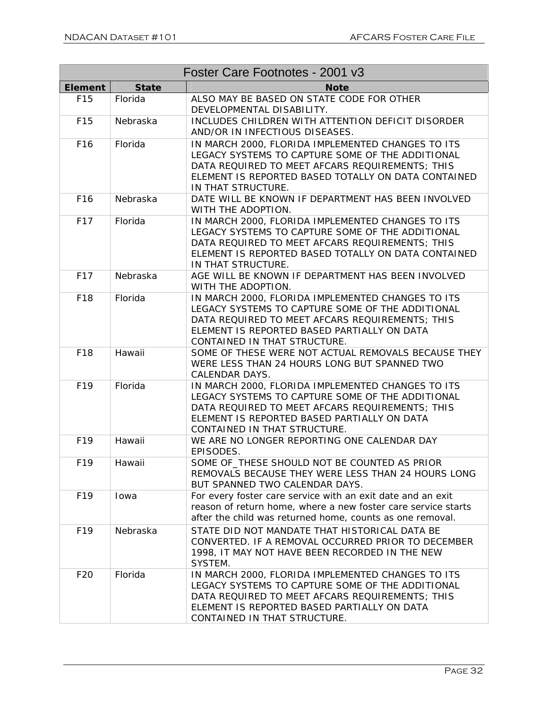| Foster Care Footnotes - 2001 v3 |              |                                                                                                                                                                                                                                         |
|---------------------------------|--------------|-----------------------------------------------------------------------------------------------------------------------------------------------------------------------------------------------------------------------------------------|
| <b>Element</b>                  | <b>State</b> | <b>Note</b>                                                                                                                                                                                                                             |
| F15                             | Florida      | ALSO MAY BE BASED ON STATE CODE FOR OTHER<br>DEVELOPMENTAL DISABILITY.                                                                                                                                                                  |
| F15                             | Nebraska     | INCLUDES CHILDREN WITH ATTENTION DEFICIT DISORDER<br>AND/OR IN INFECTIOUS DISEASES.                                                                                                                                                     |
| F <sub>16</sub>                 | Florida      | IN MARCH 2000, FLORIDA IMPLEMENTED CHANGES TO ITS<br>LEGACY SYSTEMS TO CAPTURE SOME OF THE ADDITIONAL<br>DATA REQUIRED TO MEET AFCARS REQUIREMENTS; THIS<br>ELEMENT IS REPORTED BASED TOTALLY ON DATA CONTAINED<br>IN THAT STRUCTURE.   |
| F <sub>16</sub>                 | Nebraska     | DATE WILL BE KNOWN IF DEPARTMENT HAS BEEN INVOLVED<br>WITH THE ADOPTION.                                                                                                                                                                |
| F17                             | Florida      | IN MARCH 2000, FLORIDA IMPLEMENTED CHANGES TO ITS<br>LEGACY SYSTEMS TO CAPTURE SOME OF THE ADDITIONAL<br>DATA REQUIRED TO MEET AFCARS REQUIREMENTS; THIS<br>ELEMENT IS REPORTED BASED TOTALLY ON DATA CONTAINED<br>IN THAT STRUCTURE.   |
| F17                             | Nebraska     | AGE WILL BE KNOWN IF DEPARTMENT HAS BEEN INVOLVED<br>WITH THE ADOPTION.                                                                                                                                                                 |
| F18                             | Florida      | IN MARCH 2000, FLORIDA IMPLEMENTED CHANGES TO ITS<br>LEGACY SYSTEMS TO CAPTURE SOME OF THE ADDITIONAL<br>DATA REQUIRED TO MEET AFCARS REQUIREMENTS; THIS<br>ELEMENT IS REPORTED BASED PARTIALLY ON DATA<br>CONTAINED IN THAT STRUCTURE. |
| F18                             | Hawaii       | SOME OF THESE WERE NOT ACTUAL REMOVALS BECAUSE THEY<br>WERE LESS THAN 24 HOURS LONG BUT SPANNED TWO<br>CALENDAR DAYS.                                                                                                                   |
| F19                             | Florida      | IN MARCH 2000, FLORIDA IMPLEMENTED CHANGES TO ITS<br>LEGACY SYSTEMS TO CAPTURE SOME OF THE ADDITIONAL<br>DATA REQUIRED TO MEET AFCARS REQUIREMENTS; THIS<br>ELEMENT IS REPORTED BASED PARTIALLY ON DATA<br>CONTAINED IN THAT STRUCTURE. |
| F19                             | Hawaii       | WE ARE NO LONGER REPORTING ONE CALENDAR DAY<br>EPISODES.                                                                                                                                                                                |
| F <sub>19</sub>                 | Hawaii       | SOME OF THESE SHOULD NOT BE COUNTED AS PRIOR<br>REMOVALS BECAUSE THEY WERE LESS THAN 24 HOURS LONG<br>BUT SPANNED TWO CALENDAR DAYS.                                                                                                    |
| F <sub>19</sub>                 | Iowa         | For every foster care service with an exit date and an exit<br>reason of return home, where a new foster care service starts<br>after the child was returned home, counts as one removal.                                               |
| F <sub>19</sub>                 | Nebraska     | STATE DID NOT MANDATE THAT HISTORICAL DATA BE<br>CONVERTED. IF A REMOVAL OCCURRED PRIOR TO DECEMBER<br>1998, IT MAY NOT HAVE BEEN RECORDED IN THE NEW<br>SYSTEM.                                                                        |
| F20                             | Florida      | IN MARCH 2000, FLORIDA IMPLEMENTED CHANGES TO ITS<br>LEGACY SYSTEMS TO CAPTURE SOME OF THE ADDITIONAL<br>DATA REQUIRED TO MEET AFCARS REQUIREMENTS; THIS<br>ELEMENT IS REPORTED BASED PARTIALLY ON DATA<br>CONTAINED IN THAT STRUCTURE. |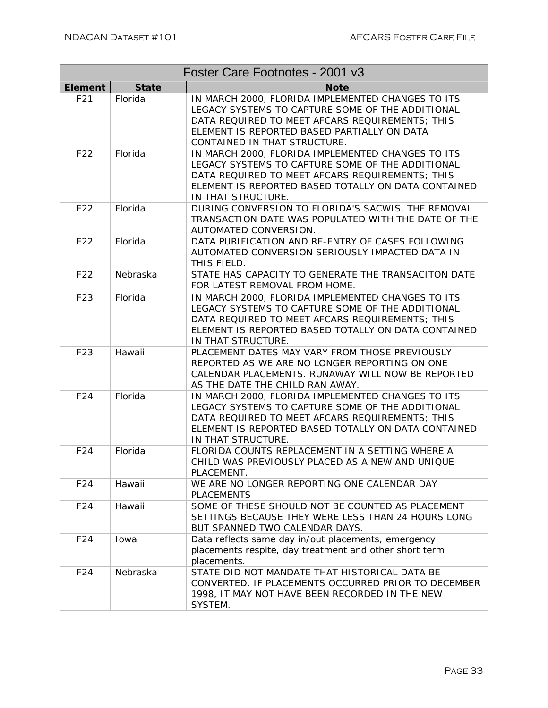| Foster Care Footnotes - 2001 v3 |              |                                                                                                                                                                                                                                         |
|---------------------------------|--------------|-----------------------------------------------------------------------------------------------------------------------------------------------------------------------------------------------------------------------------------------|
| <b>Element</b>                  | <b>State</b> | <b>Note</b>                                                                                                                                                                                                                             |
| F21                             | Florida      | IN MARCH 2000, FLORIDA IMPLEMENTED CHANGES TO ITS<br>LEGACY SYSTEMS TO CAPTURE SOME OF THE ADDITIONAL<br>DATA REQUIRED TO MEET AFCARS REQUIREMENTS; THIS<br>ELEMENT IS REPORTED BASED PARTIALLY ON DATA<br>CONTAINED IN THAT STRUCTURE. |
| F22                             | Florida      | IN MARCH 2000, FLORIDA IMPLEMENTED CHANGES TO ITS<br>LEGACY SYSTEMS TO CAPTURE SOME OF THE ADDITIONAL<br>DATA REQUIRED TO MEET AFCARS REQUIREMENTS; THIS<br>ELEMENT IS REPORTED BASED TOTALLY ON DATA CONTAINED<br>IN THAT STRUCTURE.   |
| F22                             | Florida      | DURING CONVERSION TO FLORIDA'S SACWIS, THE REMOVAL<br>TRANSACTION DATE WAS POPULATED WITH THE DATE OF THE<br>AUTOMATED CONVERSION.                                                                                                      |
| F22                             | Florida      | DATA PURIFICATION AND RE-ENTRY OF CASES FOLLOWING<br>AUTOMATED CONVERSION SERIOUSLY IMPACTED DATA IN<br>THIS FIELD.                                                                                                                     |
| F22                             | Nebraska     | STATE HAS CAPACITY TO GENERATE THE TRANSACITON DATE<br>FOR LATEST REMOVAL FROM HOME.                                                                                                                                                    |
| F23                             | Florida      | IN MARCH 2000, FLORIDA IMPLEMENTED CHANGES TO ITS<br>LEGACY SYSTEMS TO CAPTURE SOME OF THE ADDITIONAL<br>DATA REQUIRED TO MEET AFCARS REQUIREMENTS; THIS<br>ELEMENT IS REPORTED BASED TOTALLY ON DATA CONTAINED<br>IN THAT STRUCTURE.   |
| F23                             | Hawaii       | PLACEMENT DATES MAY VARY FROM THOSE PREVIOUSLY<br>REPORTED AS WE ARE NO LONGER REPORTING ON ONE<br>CALENDAR PLACEMENTS. RUNAWAY WILL NOW BE REPORTED<br>AS THE DATE THE CHILD RAN AWAY.                                                 |
| F24                             | Florida      | IN MARCH 2000, FLORIDA IMPLEMENTED CHANGES TO ITS<br>LEGACY SYSTEMS TO CAPTURE SOME OF THE ADDITIONAL<br>DATA REQUIRED TO MEET AFCARS REQUIREMENTS; THIS<br>ELEMENT IS REPORTED BASED TOTALLY ON DATA CONTAINED<br>IN THAT STRUCTURE.   |
| F24                             | Florida      | FLORIDA COUNTS REPLACEMENT IN A SETTING WHERE A<br>CHILD WAS PREVIOUSLY PLACED AS A NEW AND UNIQUE<br>PLACEMENT.                                                                                                                        |
| F24                             | Hawaii       | WE ARE NO LONGER REPORTING ONE CALENDAR DAY<br><b>PLACEMENTS</b>                                                                                                                                                                        |
| F24                             | Hawaii       | SOME OF THESE SHOULD NOT BE COUNTED AS PLACEMENT<br>SETTINGS BECAUSE THEY WERE LESS THAN 24 HOURS LONG<br>BUT SPANNED TWO CALENDAR DAYS.                                                                                                |
| F24                             | Iowa         | Data reflects same day in/out placements, emergency<br>placements respite, day treatment and other short term<br>placements.                                                                                                            |
| F24                             | Nebraska     | STATE DID NOT MANDATE THAT HISTORICAL DATA BE<br>CONVERTED. IF PLACEMENTS OCCURRED PRIOR TO DECEMBER<br>1998, IT MAY NOT HAVE BEEN RECORDED IN THE NEW<br>SYSTEM.                                                                       |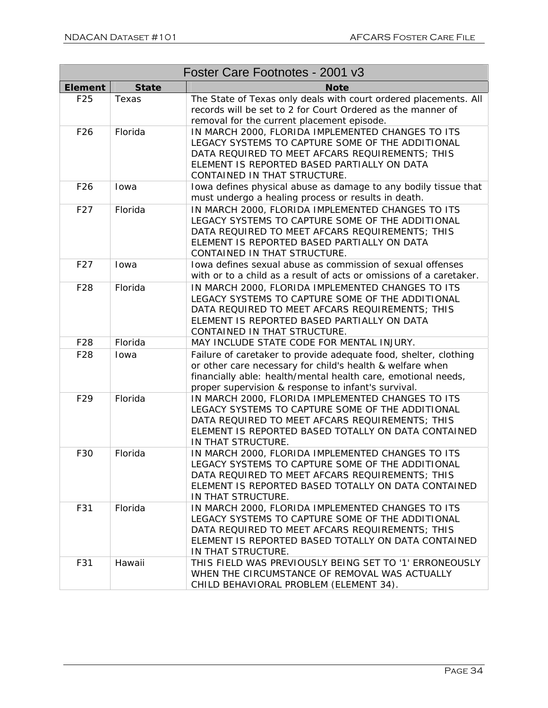| Foster Care Footnotes - 2001 v3 |              |                                                                                                                                                                                                                                                       |
|---------------------------------|--------------|-------------------------------------------------------------------------------------------------------------------------------------------------------------------------------------------------------------------------------------------------------|
| <b>Element</b>                  | <b>State</b> | <b>Note</b>                                                                                                                                                                                                                                           |
| F25                             | Texas        | The State of Texas only deals with court ordered placements. All<br>records will be set to 2 for Court Ordered as the manner of<br>removal for the current placement episode.                                                                         |
| F26                             | Florida      | IN MARCH 2000, FLORIDA IMPLEMENTED CHANGES TO ITS<br>LEGACY SYSTEMS TO CAPTURE SOME OF THE ADDITIONAL<br>DATA REQUIRED TO MEET AFCARS REQUIREMENTS; THIS<br>ELEMENT IS REPORTED BASED PARTIALLY ON DATA<br>CONTAINED IN THAT STRUCTURE.               |
| F <sub>26</sub>                 | Iowa         | Iowa defines physical abuse as damage to any bodily tissue that<br>must undergo a healing process or results in death.                                                                                                                                |
| F27                             | Florida      | IN MARCH 2000, FLORIDA IMPLEMENTED CHANGES TO ITS<br>LEGACY SYSTEMS TO CAPTURE SOME OF THE ADDITIONAL<br>DATA REQUIRED TO MEET AFCARS REQUIREMENTS; THIS<br>ELEMENT IS REPORTED BASED PARTIALLY ON DATA<br>CONTAINED IN THAT STRUCTURE.               |
| F27                             | Iowa         | Iowa defines sexual abuse as commission of sexual offenses<br>with or to a child as a result of acts or omissions of a caretaker.                                                                                                                     |
| F28                             | Florida      | IN MARCH 2000, FLORIDA IMPLEMENTED CHANGES TO ITS<br>LEGACY SYSTEMS TO CAPTURE SOME OF THE ADDITIONAL<br>DATA REQUIRED TO MEET AFCARS REQUIREMENTS; THIS<br>ELEMENT IS REPORTED BASED PARTIALLY ON DATA<br>CONTAINED IN THAT STRUCTURE.               |
| F28                             | Florida      | MAY INCLUDE STATE CODE FOR MENTAL INJURY.                                                                                                                                                                                                             |
| F28                             | Iowa         | Failure of caretaker to provide adequate food, shelter, clothing<br>or other care necessary for child's health & welfare when<br>financially able: health/mental health care, emotional needs,<br>proper supervision & response to infant's survival. |
| F29                             | Florida      | IN MARCH 2000, FLORIDA IMPLEMENTED CHANGES TO ITS<br>LEGACY SYSTEMS TO CAPTURE SOME OF THE ADDITIONAL<br>DATA REQUIRED TO MEET AFCARS REQUIREMENTS; THIS<br>ELEMENT IS REPORTED BASED TOTALLY ON DATA CONTAINED<br>IN THAT STRUCTURE.                 |
| F30                             | Florida      | IN MARCH 2000, FLORIDA IMPLEMENTED CHANGES TO ITS<br>LEGACY SYSTEMS TO CAPTURE SOME OF THE ADDITIONAL<br>DATA REQUIRED TO MEET AFCARS REQUIREMENTS; THIS<br>ELEMENT IS REPORTED BASED TOTALLY ON DATA CONTAINED<br>IN THAT STRUCTURE.                 |
| F31                             | Florida      | IN MARCH 2000, FLORIDA IMPLEMENTED CHANGES TO ITS<br>LEGACY SYSTEMS TO CAPTURE SOME OF THE ADDITIONAL<br>DATA REQUIRED TO MEET AFCARS REQUIREMENTS; THIS<br>ELEMENT IS REPORTED BASED TOTALLY ON DATA CONTAINED<br>IN THAT STRUCTURE.                 |
| F31                             | Hawaii       | THIS FIELD WAS PREVIOUSLY BEING SET TO '1' ERRONEOUSLY<br>WHEN THE CIRCUMSTANCE OF REMOVAL WAS ACTUALLY<br>CHILD BEHAVIORAL PROBLEM (ELEMENT 34).                                                                                                     |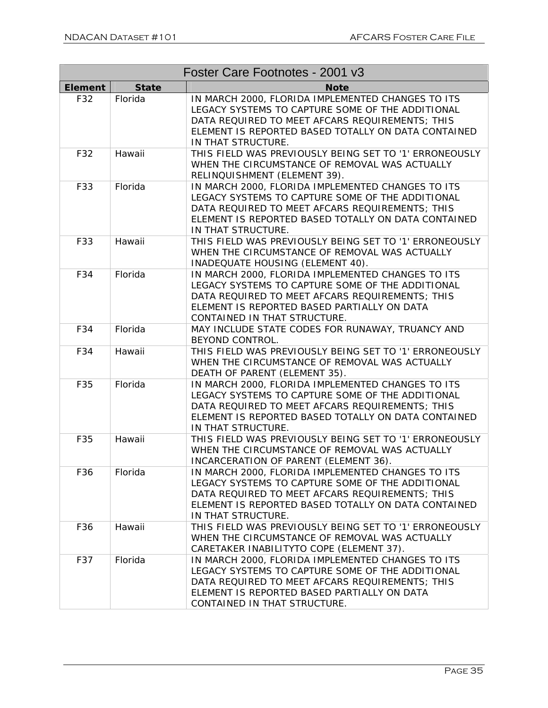| Foster Care Footnotes - 2001 v3 |              |                                                                                                                                                                                                                                         |
|---------------------------------|--------------|-----------------------------------------------------------------------------------------------------------------------------------------------------------------------------------------------------------------------------------------|
| <b>Element</b>                  | <b>State</b> | <b>Note</b>                                                                                                                                                                                                                             |
| F32                             | Florida      | IN MARCH 2000, FLORIDA IMPLEMENTED CHANGES TO ITS<br>LEGACY SYSTEMS TO CAPTURE SOME OF THE ADDITIONAL<br>DATA REQUIRED TO MEET AFCARS REQUIREMENTS; THIS<br>ELEMENT IS REPORTED BASED TOTALLY ON DATA CONTAINED<br>IN THAT STRUCTURE.   |
| F32                             | Hawaii       | THIS FIELD WAS PREVIOUSLY BEING SET TO '1' ERRONEOUSLY<br>WHEN THE CIRCUMSTANCE OF REMOVAL WAS ACTUALLY<br>RELINQUISHMENT (ELEMENT 39).                                                                                                 |
| F33                             | Florida      | IN MARCH 2000, FLORIDA IMPLEMENTED CHANGES TO ITS<br>LEGACY SYSTEMS TO CAPTURE SOME OF THE ADDITIONAL<br>DATA REQUIRED TO MEET AFCARS REQUIREMENTS; THIS<br>ELEMENT IS REPORTED BASED TOTALLY ON DATA CONTAINED<br>IN THAT STRUCTURE.   |
| F33                             | Hawaii       | THIS FIELD WAS PREVIOUSLY BEING SET TO '1' ERRONEOUSLY<br>WHEN THE CIRCUMSTANCE OF REMOVAL WAS ACTUALLY<br>INADEQUATE HOUSING (ELEMENT 40).                                                                                             |
| F34                             | Florida      | IN MARCH 2000, FLORIDA IMPLEMENTED CHANGES TO ITS<br>LEGACY SYSTEMS TO CAPTURE SOME OF THE ADDITIONAL<br>DATA REQUIRED TO MEET AFCARS REQUIREMENTS; THIS<br>ELEMENT IS REPORTED BASED PARTIALLY ON DATA<br>CONTAINED IN THAT STRUCTURE. |
| F34                             | Florida      | MAY INCLUDE STATE CODES FOR RUNAWAY, TRUANCY AND<br>BEYOND CONTROL.                                                                                                                                                                     |
| F34                             | Hawaii       | THIS FIELD WAS PREVIOUSLY BEING SET TO '1' ERRONEOUSLY<br>WHEN THE CIRCUMSTANCE OF REMOVAL WAS ACTUALLY<br>DEATH OF PARENT (ELEMENT 35).                                                                                                |
| F35                             | Florida      | IN MARCH 2000, FLORIDA IMPLEMENTED CHANGES TO ITS<br>LEGACY SYSTEMS TO CAPTURE SOME OF THE ADDITIONAL<br>DATA REQUIRED TO MEET AFCARS REQUIREMENTS; THIS<br>ELEMENT IS REPORTED BASED TOTALLY ON DATA CONTAINED<br>IN THAT STRUCTURE.   |
| F35                             | Hawaii       | THIS FIELD WAS PREVIOUSLY BEING SET TO '1' ERRONEOUSLY<br>WHEN THE CIRCUMSTANCE OF REMOVAL WAS ACTUALLY<br>INCARCERATION OF PARENT (ELEMENT 36).                                                                                        |
| F36                             | Florida      | IN MARCH 2000, FLORIDA IMPLEMENTED CHANGES TO ITS<br>LEGACY SYSTEMS TO CAPTURE SOME OF THE ADDITIONAL<br>DATA REQUIRED TO MEET AFCARS REQUIREMENTS; THIS<br>ELEMENT IS REPORTED BASED TOTALLY ON DATA CONTAINED<br>IN THAT STRUCTURE.   |
| F36                             | Hawaii       | THIS FIELD WAS PREVIOUSLY BEING SET TO '1' ERRONEOUSLY<br>WHEN THE CIRCUMSTANCE OF REMOVAL WAS ACTUALLY<br>CARETAKER INABILITYTO COPE (ELEMENT 37).                                                                                     |
| F37                             | Florida      | IN MARCH 2000, FLORIDA IMPLEMENTED CHANGES TO ITS<br>LEGACY SYSTEMS TO CAPTURE SOME OF THE ADDITIONAL<br>DATA REQUIRED TO MEET AFCARS REQUIREMENTS; THIS<br>ELEMENT IS REPORTED BASED PARTIALLY ON DATA<br>CONTAINED IN THAT STRUCTURE. |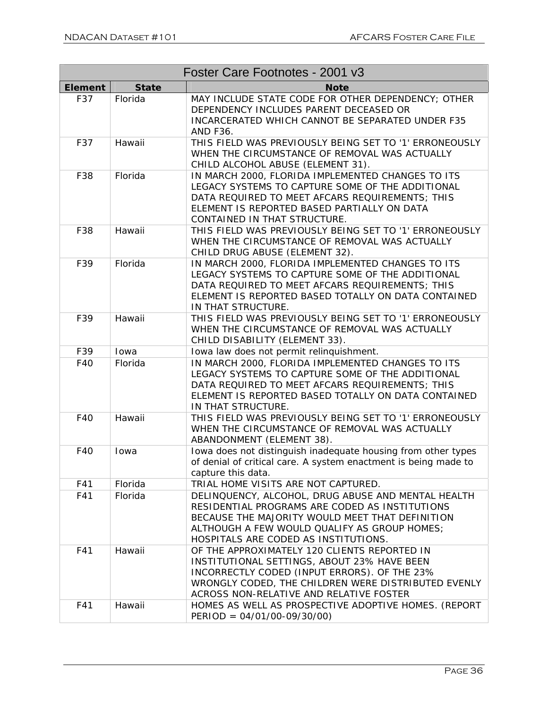| Foster Care Footnotes - 2001 v3 |              |                                                                                                                                                                                                                                                 |  |  |
|---------------------------------|--------------|-------------------------------------------------------------------------------------------------------------------------------------------------------------------------------------------------------------------------------------------------|--|--|
| <b>Element</b>                  | <b>State</b> | <b>Note</b>                                                                                                                                                                                                                                     |  |  |
| F37                             | Florida      | MAY INCLUDE STATE CODE FOR OTHER DEPENDENCY; OTHER<br>DEPENDENCY INCLUDES PARENT DECEASED OR<br>INCARCERATED WHICH CANNOT BE SEPARATED UNDER F35<br><b>AND F36.</b>                                                                             |  |  |
| F37                             | Hawaii       | THIS FIELD WAS PREVIOUSLY BEING SET TO '1' ERRONEOUSLY<br>WHEN THE CIRCUMSTANCE OF REMOVAL WAS ACTUALLY<br>CHILD ALCOHOL ABUSE (ELEMENT 31).                                                                                                    |  |  |
| F38                             | Florida      | IN MARCH 2000, FLORIDA IMPLEMENTED CHANGES TO ITS<br>LEGACY SYSTEMS TO CAPTURE SOME OF THE ADDITIONAL<br>DATA REQUIRED TO MEET AFCARS REQUIREMENTS; THIS<br>ELEMENT IS REPORTED BASED PARTIALLY ON DATA<br>CONTAINED IN THAT STRUCTURE.         |  |  |
| F38                             | Hawaii       | THIS FIELD WAS PREVIOUSLY BEING SET TO '1' ERRONEOUSLY<br>WHEN THE CIRCUMSTANCE OF REMOVAL WAS ACTUALLY<br>CHILD DRUG ABUSE (ELEMENT 32).                                                                                                       |  |  |
| F39                             | Florida      | IN MARCH 2000, FLORIDA IMPLEMENTED CHANGES TO ITS<br>LEGACY SYSTEMS TO CAPTURE SOME OF THE ADDITIONAL<br>DATA REQUIRED TO MEET AFCARS REQUIREMENTS; THIS<br>ELEMENT IS REPORTED BASED TOTALLY ON DATA CONTAINED<br>IN THAT STRUCTURE.           |  |  |
| F39                             | Hawaii       | THIS FIELD WAS PREVIOUSLY BEING SET TO '1' ERRONEOUSLY<br>WHEN THE CIRCUMSTANCE OF REMOVAL WAS ACTUALLY<br>CHILD DISABILITY (ELEMENT 33).                                                                                                       |  |  |
| F39                             | Iowa         | Iowa law does not permit relinquishment.                                                                                                                                                                                                        |  |  |
| F40                             | Florida      | IN MARCH 2000, FLORIDA IMPLEMENTED CHANGES TO ITS<br>LEGACY SYSTEMS TO CAPTURE SOME OF THE ADDITIONAL<br>DATA REQUIRED TO MEET AFCARS REQUIREMENTS; THIS<br>ELEMENT IS REPORTED BASED TOTALLY ON DATA CONTAINED<br>IN THAT STRUCTURE.           |  |  |
| F40                             | Hawaii       | THIS FIELD WAS PREVIOUSLY BEING SET TO '1' ERRONEOUSLY<br>WHEN THE CIRCUMSTANCE OF REMOVAL WAS ACTUALLY<br>ABANDONMENT (ELEMENT 38).                                                                                                            |  |  |
| F40                             | Iowa         | Iowa does not distinguish inadequate housing from other types<br>of denial of critical care. A system enactment is being made to<br>capture this data.                                                                                          |  |  |
| F41                             | Florida      | TRIAL HOME VISITS ARE NOT CAPTURED.                                                                                                                                                                                                             |  |  |
| F41                             | Florida      | DELINQUENCY, ALCOHOL, DRUG ABUSE AND MENTAL HEALTH<br>RESIDENTIAL PROGRAMS ARE CODED AS INSTITUTIONS<br>BECAUSE THE MAJORITY WOULD MEET THAT DEFINITION<br>ALTHOUGH A FEW WOULD QUALIFY AS GROUP HOMES;<br>HOSPITALS ARE CODED AS INSTITUTIONS. |  |  |
| F41                             | Hawaii       | OF THE APPROXIMATELY 120 CLIENTS REPORTED IN<br>INSTITUTIONAL SETTINGS, ABOUT 23% HAVE BEEN<br>INCORRECTLY CODED (INPUT ERRORS). OF THE 23%<br>WRONGLY CODED, THE CHILDREN WERE DISTRIBUTED EVENLY<br>ACROSS NON-RELATIVE AND RELATIVE FOSTER   |  |  |
| F41                             | Hawaii       | HOMES AS WELL AS PROSPECTIVE ADOPTIVE HOMES. (REPORT<br>$PERIOD = 04/01/00-09/30/00)$                                                                                                                                                           |  |  |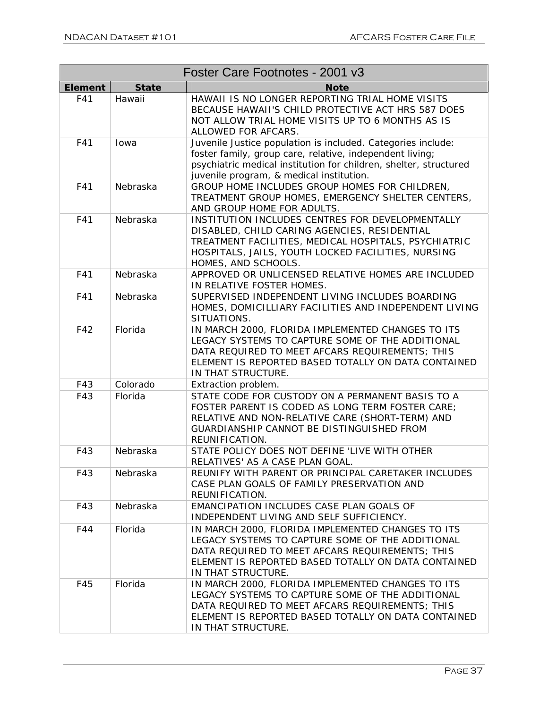| Foster Care Footnotes - 2001 v3 |              |                                                                                                                                                                                                                                           |  |  |
|---------------------------------|--------------|-------------------------------------------------------------------------------------------------------------------------------------------------------------------------------------------------------------------------------------------|--|--|
| <b>Element</b>                  | <b>State</b> | <b>Note</b>                                                                                                                                                                                                                               |  |  |
| F41                             | Hawaii       | HAWAII IS NO LONGER REPORTING TRIAL HOME VISITS<br>BECAUSE HAWAII'S CHILD PROTECTIVE ACT HRS 587 DOES<br>NOT ALLOW TRIAL HOME VISITS UP TO 6 MONTHS AS IS<br>ALLOWED FOR AFCARS.                                                          |  |  |
| F41                             | Iowa         | Juvenile Justice population is included. Categories include:<br>foster family, group care, relative, independent living;<br>psychiatric medical institution for children, shelter, structured<br>juvenile program, & medical institution. |  |  |
| F41                             | Nebraska     | GROUP HOME INCLUDES GROUP HOMES FOR CHILDREN,<br>TREATMENT GROUP HOMES, EMERGENCY SHELTER CENTERS,<br>AND GROUP HOME FOR ADULTS.                                                                                                          |  |  |
| F41                             | Nebraska     | INSTITUTION INCLUDES CENTRES FOR DEVELOPMENTALLY<br>DISABLED, CHILD CARING AGENCIES, RESIDENTIAL<br>TREATMENT FACILITIES, MEDICAL HOSPITALS, PSYCHIATRIC<br>HOSPITALS, JAILS, YOUTH LOCKED FACILITIES, NURSING<br>HOMES, AND SCHOOLS.     |  |  |
| F41                             | Nebraska     | APPROVED OR UNLICENSED RELATIVE HOMES ARE INCLUDED<br>IN RELATIVE FOSTER HOMES.                                                                                                                                                           |  |  |
| F41                             | Nebraska     | SUPERVISED INDEPENDENT LIVING INCLUDES BOARDING<br>HOMES, DOMICILLIARY FACILITIES AND INDEPENDENT LIVING<br>SITUATIONS.                                                                                                                   |  |  |
| F42                             | Florida      | IN MARCH 2000, FLORIDA IMPLEMENTED CHANGES TO ITS<br>LEGACY SYSTEMS TO CAPTURE SOME OF THE ADDITIONAL<br>DATA REQUIRED TO MEET AFCARS REQUIREMENTS; THIS<br>ELEMENT IS REPORTED BASED TOTALLY ON DATA CONTAINED<br>IN THAT STRUCTURE.     |  |  |
| F43                             | Colorado     | Extraction problem.                                                                                                                                                                                                                       |  |  |
| F43                             | Florida      | STATE CODE FOR CUSTODY ON A PERMANENT BASIS TO A<br>FOSTER PARENT IS CODED AS LONG TERM FOSTER CARE;<br>RELATIVE AND NON-RELATIVE CARE (SHORT-TERM) AND<br><b>GUARDIANSHIP CANNOT BE DISTINGUISHED FROM</b><br>REUNIFICATION.             |  |  |
| F43                             | Nebraska     | STATE POLICY DOES NOT DEFINE 'LIVE WITH OTHER<br>RELATIVES' AS A CASE PLAN GOAL.                                                                                                                                                          |  |  |
| F43                             | Nebraska     | REUNIFY WITH PARENT OR PRINCIPAL CARETAKER INCLUDES<br>CASE PLAN GOALS OF FAMILY PRESERVATION AND<br>REUNIFICATION.                                                                                                                       |  |  |
| F43                             | Nebraska     | EMANCIPATION INCLUDES CASE PLAN GOALS OF<br>INDEPENDENT LIVING AND SELF SUFFICIENCY.                                                                                                                                                      |  |  |
| F44                             | Florida      | IN MARCH 2000, FLORIDA IMPLEMENTED CHANGES TO ITS<br>LEGACY SYSTEMS TO CAPTURE SOME OF THE ADDITIONAL<br>DATA REQUIRED TO MEET AFCARS REQUIREMENTS; THIS<br>ELEMENT IS REPORTED BASED TOTALLY ON DATA CONTAINED<br>IN THAT STRUCTURE.     |  |  |
| F45                             | Florida      | IN MARCH 2000, FLORIDA IMPLEMENTED CHANGES TO ITS<br>LEGACY SYSTEMS TO CAPTURE SOME OF THE ADDITIONAL<br>DATA REQUIRED TO MEET AFCARS REQUIREMENTS; THIS<br>ELEMENT IS REPORTED BASED TOTALLY ON DATA CONTAINED<br>IN THAT STRUCTURE.     |  |  |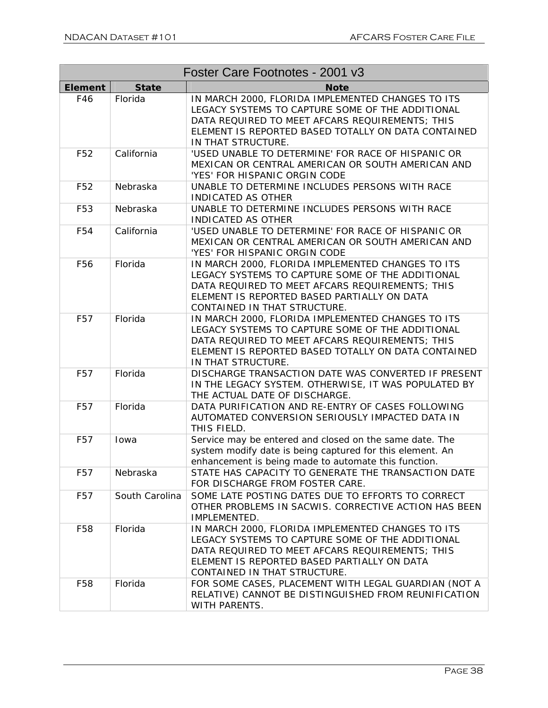| Foster Care Footnotes - 2001 v3 |                |                                                                                                                                                                                                                                         |  |  |
|---------------------------------|----------------|-----------------------------------------------------------------------------------------------------------------------------------------------------------------------------------------------------------------------------------------|--|--|
| <b>Element</b>                  | <b>State</b>   | <b>Note</b>                                                                                                                                                                                                                             |  |  |
| F46                             | Florida        | IN MARCH 2000, FLORIDA IMPLEMENTED CHANGES TO ITS<br>LEGACY SYSTEMS TO CAPTURE SOME OF THE ADDITIONAL<br>DATA REQUIRED TO MEET AFCARS REQUIREMENTS; THIS<br>ELEMENT IS REPORTED BASED TOTALLY ON DATA CONTAINED<br>IN THAT STRUCTURE.   |  |  |
| F <sub>52</sub>                 | California     | 'USED UNABLE TO DETERMINE' FOR RACE OF HISPANIC OR<br>MEXICAN OR CENTRAL AMERICAN OR SOUTH AMERICAN AND<br>'YES' FOR HISPANIC ORGIN CODE                                                                                                |  |  |
| F <sub>52</sub>                 | Nebraska       | UNABLE TO DETERMINE INCLUDES PERSONS WITH RACE<br><b>INDICATED AS OTHER</b>                                                                                                                                                             |  |  |
| F53                             | Nebraska       | UNABLE TO DETERMINE INCLUDES PERSONS WITH RACE<br><b>INDICATED AS OTHER</b>                                                                                                                                                             |  |  |
| F54                             | California     | 'USED UNABLE TO DETERMINE' FOR RACE OF HISPANIC OR<br>MEXICAN OR CENTRAL AMERICAN OR SOUTH AMERICAN AND<br>'YES' FOR HISPANIC ORGIN CODE                                                                                                |  |  |
| F <sub>56</sub>                 | Florida        | IN MARCH 2000, FLORIDA IMPLEMENTED CHANGES TO ITS<br>LEGACY SYSTEMS TO CAPTURE SOME OF THE ADDITIONAL<br>DATA REQUIRED TO MEET AFCARS REQUIREMENTS; THIS<br>ELEMENT IS REPORTED BASED PARTIALLY ON DATA<br>CONTAINED IN THAT STRUCTURE. |  |  |
| F57                             | Florida        | IN MARCH 2000, FLORIDA IMPLEMENTED CHANGES TO ITS<br>LEGACY SYSTEMS TO CAPTURE SOME OF THE ADDITIONAL<br>DATA REQUIRED TO MEET AFCARS REQUIREMENTS; THIS<br>ELEMENT IS REPORTED BASED TOTALLY ON DATA CONTAINED<br>IN THAT STRUCTURE.   |  |  |
| F57                             | Florida        | DISCHARGE TRANSACTION DATE WAS CONVERTED IF PRESENT<br>IN THE LEGACY SYSTEM. OTHERWISE, IT WAS POPULATED BY<br>THE ACTUAL DATE OF DISCHARGE.                                                                                            |  |  |
| F57                             | Florida        | DATA PURIFICATION AND RE-ENTRY OF CASES FOLLOWING<br>AUTOMATED CONVERSION SERIOUSLY IMPACTED DATA IN<br>THIS FIELD.                                                                                                                     |  |  |
| F57                             | Iowa           | Service may be entered and closed on the same date. The<br>system modify date is being captured for this element. An<br>enhancement is being made to automate this function.                                                            |  |  |
| F57                             | Nebraska       | STATE HAS CAPACITY TO GENERATE THE TRANSACTION DATE<br>FOR DISCHARGE FROM FOSTER CARE.                                                                                                                                                  |  |  |
| F57                             | South Carolina | SOME LATE POSTING DATES DUE TO EFFORTS TO CORRECT<br>OTHER PROBLEMS IN SACWIS. CORRECTIVE ACTION HAS BEEN<br>IMPLEMENTED.                                                                                                               |  |  |
| F58                             | Florida        | IN MARCH 2000, FLORIDA IMPLEMENTED CHANGES TO ITS<br>LEGACY SYSTEMS TO CAPTURE SOME OF THE ADDITIONAL<br>DATA REQUIRED TO MEET AFCARS REQUIREMENTS; THIS<br>ELEMENT IS REPORTED BASED PARTIALLY ON DATA<br>CONTAINED IN THAT STRUCTURE. |  |  |
| F58                             | Florida        | FOR SOME CASES, PLACEMENT WITH LEGAL GUARDIAN (NOT A<br>RELATIVE) CANNOT BE DISTINGUISHED FROM REUNIFICATION<br>WITH PARENTS.                                                                                                           |  |  |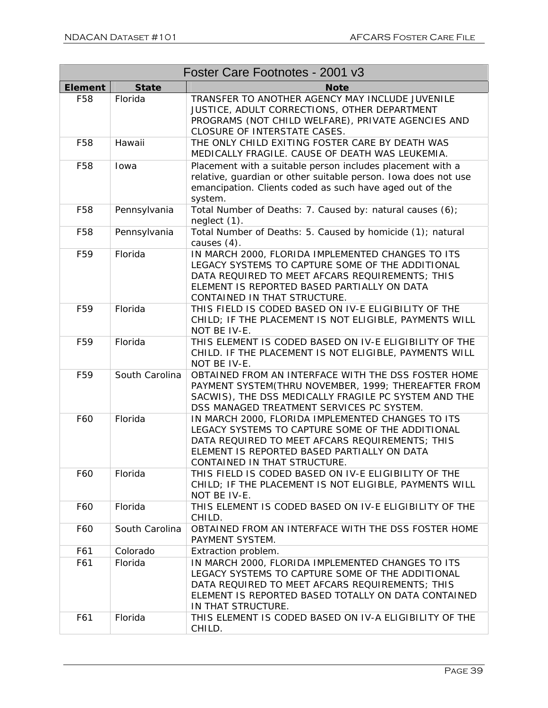| Foster Care Footnotes - 2001 v3 |                |                                                                                                                                                                                                                                         |  |  |
|---------------------------------|----------------|-----------------------------------------------------------------------------------------------------------------------------------------------------------------------------------------------------------------------------------------|--|--|
| <b>Element</b>                  | <b>State</b>   | <b>Note</b>                                                                                                                                                                                                                             |  |  |
| F58                             | Florida        | TRANSFER TO ANOTHER AGENCY MAY INCLUDE JUVENILE<br>JUSTICE, ADULT CORRECTIONS, OTHER DEPARTMENT<br>PROGRAMS (NOT CHILD WELFARE), PRIVATE AGENCIES AND<br>CLOSURE OF INTERSTATE CASES.                                                   |  |  |
| F58                             | Hawaii         | THE ONLY CHILD EXITING FOSTER CARE BY DEATH WAS<br>MEDICALLY FRAGILE. CAUSE OF DEATH WAS LEUKEMIA.                                                                                                                                      |  |  |
| F58                             | Iowa           | Placement with a suitable person includes placement with a<br>relative, quardian or other suitable person. Iowa does not use<br>emancipation. Clients coded as such have aged out of the<br>system.                                     |  |  |
| F58                             | Pennsylvania   | Total Number of Deaths: 7. Caused by: natural causes (6);<br>neglect (1).                                                                                                                                                               |  |  |
| F58                             | Pennsylvania   | Total Number of Deaths: 5. Caused by homicide (1); natural<br>causes $(4)$ .                                                                                                                                                            |  |  |
| F <sub>59</sub>                 | Florida        | IN MARCH 2000, FLORIDA IMPLEMENTED CHANGES TO ITS<br>LEGACY SYSTEMS TO CAPTURE SOME OF THE ADDITIONAL<br>DATA REQUIRED TO MEET AFCARS REQUIREMENTS; THIS<br>ELEMENT IS REPORTED BASED PARTIALLY ON DATA<br>CONTAINED IN THAT STRUCTURE. |  |  |
| F <sub>59</sub>                 | Florida        | THIS FIELD IS CODED BASED ON IV-E ELIGIBILITY OF THE<br>CHILD; IF THE PLACEMENT IS NOT ELIGIBLE, PAYMENTS WILL<br>NOT BE IV-E.                                                                                                          |  |  |
| F <sub>59</sub>                 | Florida        | THIS ELEMENT IS CODED BASED ON IV-E ELIGIBILITY OF THE<br>CHILD. IF THE PLACEMENT IS NOT ELIGIBLE, PAYMENTS WILL<br>NOT BE IV-E.                                                                                                        |  |  |
| F <sub>59</sub>                 | South Carolina | OBTAINED FROM AN INTERFACE WITH THE DSS FOSTER HOME<br>PAYMENT SYSTEM(THRU NOVEMBER, 1999; THEREAFTER FROM<br>SACWIS), THE DSS MEDICALLY FRAGILE PC SYSTEM AND THE<br>DSS MANAGED TREATMENT SERVICES PC SYSTEM.                         |  |  |
| F60                             | Florida        | IN MARCH 2000, FLORIDA IMPLEMENTED CHANGES TO ITS<br>LEGACY SYSTEMS TO CAPTURE SOME OF THE ADDITIONAL<br>DATA REQUIRED TO MEET AFCARS REQUIREMENTS; THIS<br>ELEMENT IS REPORTED BASED PARTIALLY ON DATA<br>CONTAINED IN THAT STRUCTURE. |  |  |
| F60                             | Florida        | THIS FIELD IS CODED BASED ON IV-E ELIGIBILITY OF THE<br>CHILD; IF THE PLACEMENT IS NOT ELIGIBLE, PAYMENTS WILL<br>NOT BE IV-E.                                                                                                          |  |  |
| F60                             | Florida        | THIS ELEMENT IS CODED BASED ON IV-E ELIGIBILITY OF THE<br>CHILD.                                                                                                                                                                        |  |  |
| F60                             | South Carolina | OBTAINED FROM AN INTERFACE WITH THE DSS FOSTER HOME<br>PAYMENT SYSTEM.                                                                                                                                                                  |  |  |
| F61                             | Colorado       | Extraction problem.                                                                                                                                                                                                                     |  |  |
| F61                             | Florida        | IN MARCH 2000, FLORIDA IMPLEMENTED CHANGES TO ITS<br>LEGACY SYSTEMS TO CAPTURE SOME OF THE ADDITIONAL<br>DATA REQUIRED TO MEET AFCARS REQUIREMENTS; THIS<br>ELEMENT IS REPORTED BASED TOTALLY ON DATA CONTAINED<br>IN THAT STRUCTURE.   |  |  |
| F61                             | Florida        | THIS ELEMENT IS CODED BASED ON IV-A ELIGIBILITY OF THE<br>CHILD.                                                                                                                                                                        |  |  |